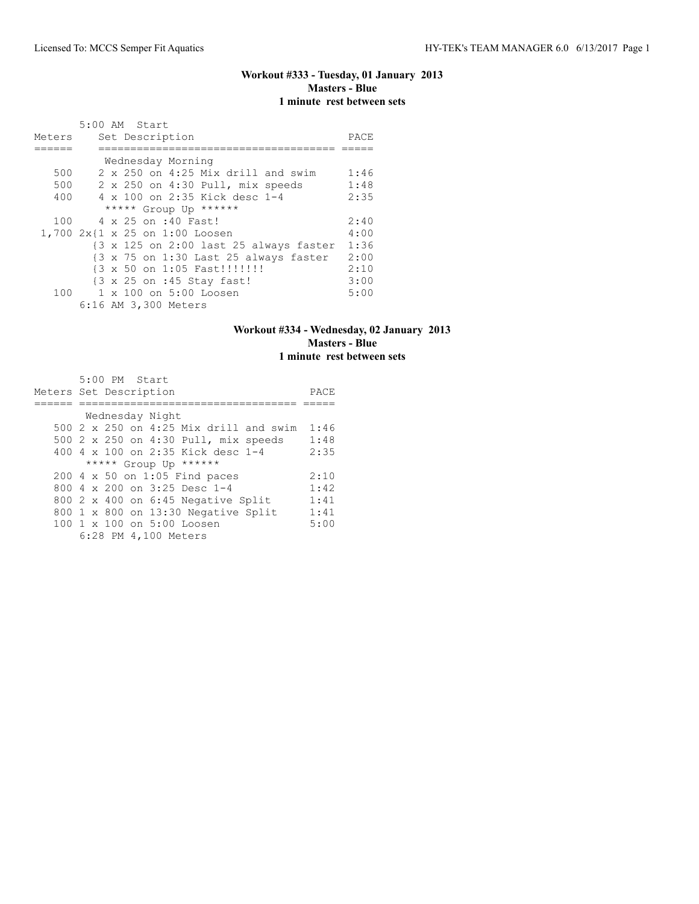#### **Workout #333 - Tuesday, 01 January 2013 Masters - Blue 1 minute rest between sets**

|        | 5:00 AM Start                          |      |
|--------|----------------------------------------|------|
| Meters | Set Description                        | PACE |
|        |                                        |      |
|        | Wednesday Morning                      |      |
| 500    | 2 x 250 on 4:25 Mix drill and swim     | 1:46 |
| 500    | 2 x 250 on 4:30 Pull, mix speeds       | 1:48 |
| 400    | 4 x 100 on 2:35 Kick desc 1-4          | 2:35 |
|        | ***** Group Up ******                  |      |
| 100    | 4 x 25 on :40 Fast!                    | 2:40 |
|        | 1,700 2x{1 x 25 on 1:00 Loosen         | 4:00 |
|        | {3 x 125 on 2:00 last 25 always faster | 1:36 |
|        | {3 x 75 on 1:30 Last 25 always faster  | 2:00 |
|        | {3 x 50 on 1:05 Fast!!!!!!!!           | 2:10 |
|        | {3 x 25 on :45 Stay fast!              | 3:00 |
|        | 100 1 x 100 on 5:00 Loosen             | 5:00 |
|        | 6:16 AM 3,300 Meters                   |      |

## **Workout #334 - Wednesday, 02 January 2013 Masters - Blue 1 minute rest between sets**

| 5:00 PM Start                          |      |
|----------------------------------------|------|
| Meters Set Description                 | PACE |
|                                        |      |
| Wednesday Night                        |      |
| 500 2 x 250 on 4:25 Mix drill and swim | 1:46 |
| 500 2 x 250 on 4:30 Pull, mix speeds   | 1:48 |
| 400 4 x 100 on 2:35 Kick desc 1-4      | 2:35 |
| ***** Group Up ******                  |      |
| 200 4 x 50 on 1:05 Find paces          | 2:10 |
| 800 $4 \times 200$ on 3:25 Desc 1-4    | 1:42 |
| 800 2 x 400 on 6:45 Negative Split     | 1:41 |
| 800 1 x 800 on 13:30 Negative Split    | 1:41 |
| 100 1 x 100 on 5:00 Loosen             | 5:00 |
| 6:28 PM 4,100 Meters                   |      |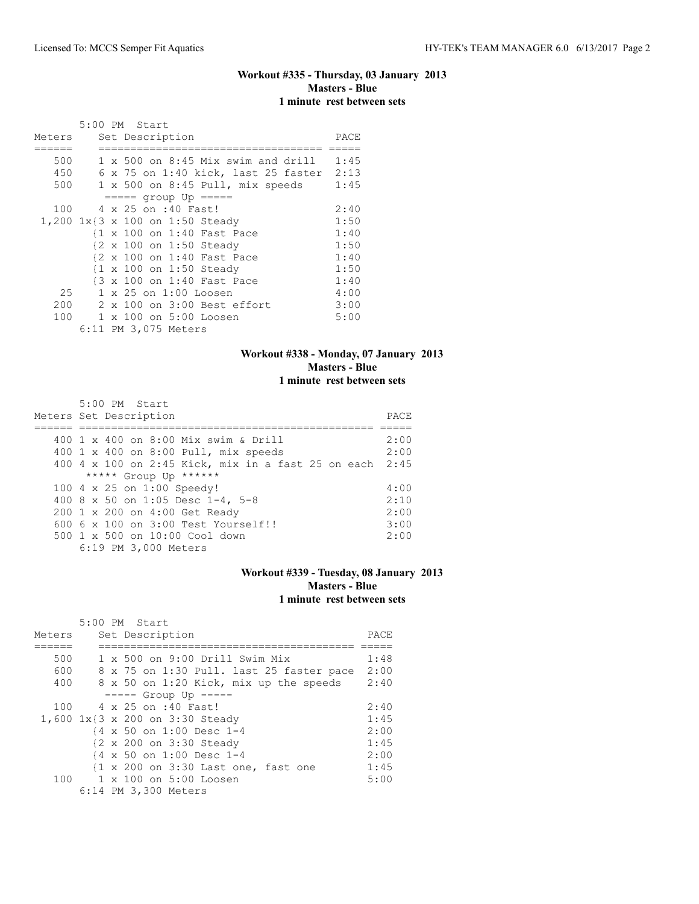# **Workout #335 - Thursday, 03 January 2013 Masters - Blue 1 minute rest between sets**

|                                 | 5:00 PM Start |  |                      |                                |                                             |      |
|---------------------------------|---------------|--|----------------------|--------------------------------|---------------------------------------------|------|
| Meters                          |               |  | Set Description      |                                |                                             | PACE |
|                                 |               |  |                      |                                |                                             |      |
| 500                             |               |  |                      |                                | $1 \times 500$ on $8:45$ Mix swim and drill | 1:45 |
| 450                             |               |  |                      |                                | 6 x 75 on 1:40 kick, last 25 faster 2:13    |      |
| 500                             |               |  |                      |                                | 1 x 500 on 8:45 Pull, mix speeds            | 1:45 |
|                                 |               |  |                      | $==== qroup Up == ==$          |                                             |      |
| 100                             |               |  | 4 x 25 on :40 Fast!  |                                |                                             | 2:40 |
| 1,200 1x{3 x 100 on 1:50 Steady |               |  |                      |                                |                                             | 1:50 |
|                                 |               |  |                      | {1 x 100 on 1:40 Fast Pace     |                                             | 1:40 |
|                                 |               |  |                      | {2 x 100 on 1:50 Steady        |                                             | 1:50 |
|                                 |               |  |                      | {2 x 100 on 1:40 Fast Pace     |                                             | 1:40 |
|                                 |               |  |                      | {1 x 100 on 1:50 Steady        |                                             | 1:50 |
|                                 |               |  |                      | {3 x 100 on 1:40 Fast Pace     |                                             | 1:40 |
| 25                              |               |  |                      | $1 \times 25$ on $1:00$ Loosen |                                             | 4:00 |
| 200                             |               |  |                      | 2 x 100 on 3:00 Best effort    |                                             | 3:00 |
| 100                             |               |  |                      | 1 x 100 on 5:00 Loosen         |                                             | 5:00 |
|                                 |               |  | 6:11 PM 3,075 Meters |                                |                                             |      |

## **Workout #338 - Monday, 07 January 2013 Masters - Blue 1 minute rest between sets**

| 5:00 PM Start                                           |      |
|---------------------------------------------------------|------|
| Meters Set Description                                  | PACE |
|                                                         |      |
| 400 1 x 400 on 8:00 Mix swim & Drill                    | 2:00 |
| 400 1 x 400 on 8:00 Pull, mix speeds                    | 2:00 |
| 400 4 x 100 on 2:45 Kick, mix in a fast 25 on each 2:45 |      |
| ***** Group Up ******                                   |      |
| 100 4 x 25 on 1:00 Speedy!                              | 4:00 |
| 400 8 x 50 on 1:05 Desc 1-4, 5-8                        | 2:10 |
| 200 1 x 200 on 4:00 Get Ready                           | 2:00 |
| $6006 \times 100$ on $3:00$ Test Yourself!!             | 3:00 |
| $500 \t 1 \t x \t 500$ on $10:00$ Cool down             | 2:00 |
| 6:19 PM 3,000 Meters                                    |      |

## **Workout #339 - Tuesday, 08 January 2013 Masters - Blue 1 minute rest between sets**

|        | $5:00$ PM Start                          |      |
|--------|------------------------------------------|------|
| Meters | Set Description                          | PACE |
|        |                                          |      |
| 500    | $1 \times 500$ on 9:00 Drill Swim Mix    | 1:48 |
| 600    | 8 x 75 on 1:30 Pull. last 25 faster pace | 2:00 |
| 400    | 8 x 50 on 1:20 Kick, mix up the speeds   | 2:40 |
|        | $--- $ Group Up $---$                    |      |
| 100    | 4 x 25 on :40 Fast!                      | 2:40 |
|        | 1,600 1x{3 x 200 on 3:30 Steady          | 1:45 |
|        | {4 x 50 on 1:00 Desc 1-4                 | 2:00 |
|        | {2 x 200 on 3:30 Steady                  | 1:45 |
|        | {4 x 50 on 1:00 Desc 1-4                 | 2:00 |
|        | {1 x 200 on 3:30 Last one, fast one      | 1:45 |
| 100    | 1 x 100 on 5:00 Loosen                   | 5:00 |
|        | 6:14 PM 3,300 Meters                     |      |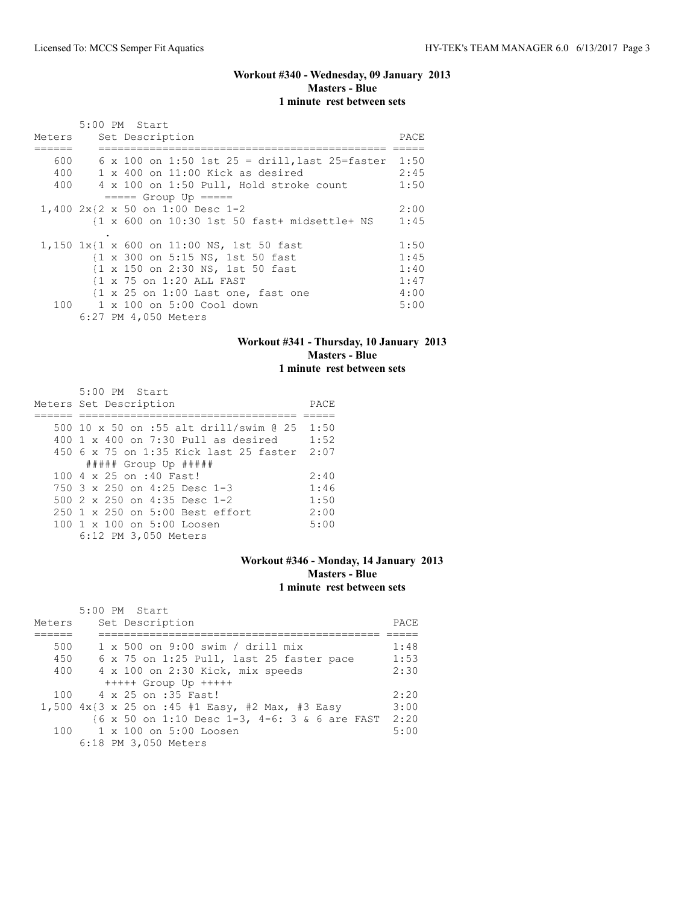## **Workout #340 - Wednesday, 09 January 2013 Masters - Blue 1 minute rest between sets**

|        |  | 5:00 PM Start                                                 |      |
|--------|--|---------------------------------------------------------------|------|
| Meters |  | Set Description                                               | PACE |
|        |  |                                                               |      |
| 600    |  | 6 x 100 on 1:50 1st 25 = drill, last 25=faster 1:50           |      |
| 400    |  | $1 \times 400$ on $11:00$ Kick as desired                     | 2:45 |
| 400    |  | 4 x 100 on 1:50 Pull, Hold stroke count                       | 1:50 |
|        |  | $====$ Group Up $====$                                        |      |
|        |  | 1,400 2x{2 x 50 on 1:00 Desc 1-2                              | 2:00 |
|        |  | {1 x 600 on 10:30 1st 50 fast+ midsettle+ NS                  | 1:45 |
|        |  |                                                               |      |
|        |  | 1,150 1x{1 x 600 on 11:00 NS, 1st 50 fast                     | 1:50 |
|        |  | {1 x 300 on 5:15 NS, 1st 50 fast                              | 1:45 |
|        |  | {1 x 150 on 2:30 NS, 1st 50 fast                              | 1:40 |
|        |  | {1 x 75 on 1:20 ALL FAST                                      | 1:47 |
|        |  | $\{1 \times 25 \text{ on } 1:00 \text{ Last one, fast one}\}$ | 4:00 |
|        |  | 100 1 x 100 on 5:00 Cool down                                 | 5:00 |
|        |  | 6:27 PM 4,050 Meters                                          |      |

## **Workout #341 - Thursday, 10 January 2013 Masters - Blue 1 minute rest between sets**

| 5:00 PM Start                               |      |
|---------------------------------------------|------|
| Meters Set Description                      | PACE |
|                                             |      |
| 500 10 x 50 on :55 alt drill/swim @ 25 1:50 |      |
| $400\,$ 1 x $400\,$ on 7:30 Pull as desired | 1:52 |
| 450 6 x 75 on 1:35 Kick last 25 faster 2:07 |      |
| $\#$ #### Group Up $\#$ ####                |      |
| 100 4 x 25 on :40 Fast!                     | 2:40 |
| 750 3 x 250 on 4:25 Desc 1-3                | 1:46 |
| 500 $2 \times 250$ on 4:35 Desc 1-2         | 1:50 |
| $250 \t1 x 250$ on $5:00$ Best effort       | 2:00 |
| 100 1 x 100 on 5:00 Loosen                  | 5:00 |
| 6:12 PM 3,050 Meters                        |      |

## **Workout #346 - Monday, 14 January 2013 Masters - Blue 1 minute rest between sets**

| Meters | 5:00 PM Start<br>Set Description                   | PACE |
|--------|----------------------------------------------------|------|
|        |                                                    |      |
| 500    | $1 \times 500$ on 9:00 swim / drill mix            | 1:48 |
| 450    | 6 x 75 on 1:25 Pull, last 25 faster pace           | 1:53 |
| 400    | 4 x 100 on 2:30 Kick, mix speeds                   | 2:30 |
|        | $++++$ Group Up $++++$                             |      |
| 100    | 4 x 25 on :35 Fast!                                | 2:20 |
|        | 1,500 $4x$ {3 x 25 on :45 #1 Easy, #2 Max, #3 Easy | 3:00 |
|        | {6 x 50 on 1:10 Desc 1-3, 4-6: 3 & 6 are FAST      | 2:20 |
|        | 100 1 x 100 on 5:00 Loosen                         | 5:00 |
|        | 6:18 PM 3,050 Meters                               |      |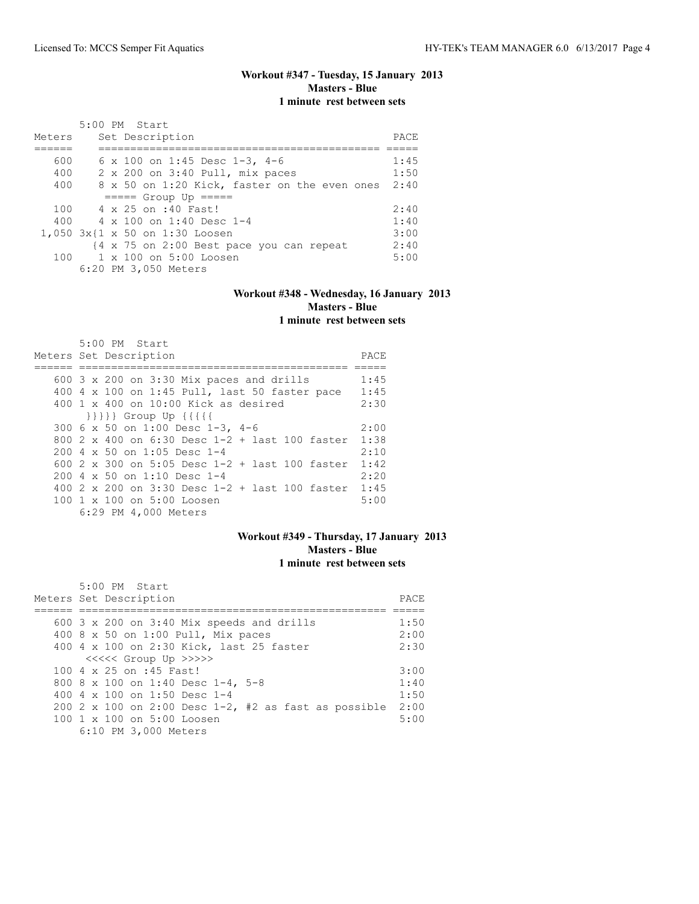# **Workout #347 - Tuesday, 15 January 2013 Masters - Blue 1 minute rest between sets**

| Meters | 5:00 PM Start<br>Set Description             | PACE |
|--------|----------------------------------------------|------|
|        |                                              |      |
| 600    | 6 x 100 on 1:45 Desc 1-3, 4-6                | 1:45 |
| 400    | 2 x 200 on 3:40 Pull, mix paces              | 1:50 |
| 400    | 8 x 50 on 1:20 Kick, faster on the even ones | 2:40 |
|        | $== == $ Group Up $== == $                   |      |
| 100    | 4 x 25 on :40 Fast!                          | 2:40 |
| 400    | 4 x 100 on 1:40 Desc 1-4                     | 1:40 |
|        | 1,050 3x{1 x 50 on 1:30 Loosen               | 3:00 |
|        | {4 x 75 on 2:00 Best pace you can repeat     | 2:40 |
| 100    | 1 x 100 on 5:00 Loosen                       | 5:00 |
|        | 6:20 PM 3,050 Meters                         |      |

#### **Workout #348 - Wednesday, 16 January 2013 Masters - Blue 1 minute rest between sets**

| 5:00 PM Start                                       |      |
|-----------------------------------------------------|------|
| Meters Set Description                              | PACE |
|                                                     |      |
| 600 $3 \times 200$ on $3:30$ Mix paces and drills   | 1:45 |
| 400 4 x 100 on 1:45 Pull, last 50 faster pace       | 1:45 |
| $400 \t 1 \t x \t 400$ on $10:00$ Kick as desired   | 2:30 |
| $\{\{\{\{\}\}\}\}$ Group Up $\{\{\{\{\{\}\}\}\}$    |      |
| 300 6 x 50 on 1:00 Desc 1-3, 4-6                    | 2:00 |
| 800 2 x 400 on 6:30 Desc 1-2 + last 100 faster 1:38 |      |
| $200 \text{ } 4 \times 50$ on 1:05 Desc 1-4         | 2:10 |
| 600 2 x 300 on 5:05 Desc 1-2 + last 100 faster      | 1:42 |
| $2004 \times 50$ on 1:10 Desc 1-4                   | 2:20 |
| 400 2 x 200 on 3:30 Desc $1-2$ + last 100 faster    | 1:45 |
| 100 1 x 100 on 5:00 Loosen                          | 5:00 |
| 6:29 PM 4,000 Meters                                |      |

## **Workout #349 - Thursday, 17 January 2013 Masters - Blue 1 minute rest between sets**

| $5:00$ PM Start                                      |      |
|------------------------------------------------------|------|
| Meters Set Description                               | PACE |
|                                                      |      |
| 600 $3 \times 200$ on $3:40$ Mix speeds and drills   | 1:50 |
| 400 8 x 50 on 1:00 Pull, Mix paces                   | 2:00 |
| 400 4 x 100 on 2:30 Kick, last 25 faster             | 2:30 |
| <<<<<< Group Up >>>>>>                               |      |
| 100 4 x 25 on :45 Fast!                              | 3:00 |
| 800 8 x 100 on 1:40 Desc 1-4, 5-8                    | 1:40 |
| 400 4 $\times$ 100 on 1:50 Desc 1-4                  | 1:50 |
| 200 2 x 100 on 2:00 Desc 1-2, #2 as fast as possible | 2:00 |
| 100 1 x 100 on 5:00 Loosen                           | 5:00 |
| 6:10 PM 3,000 Meters                                 |      |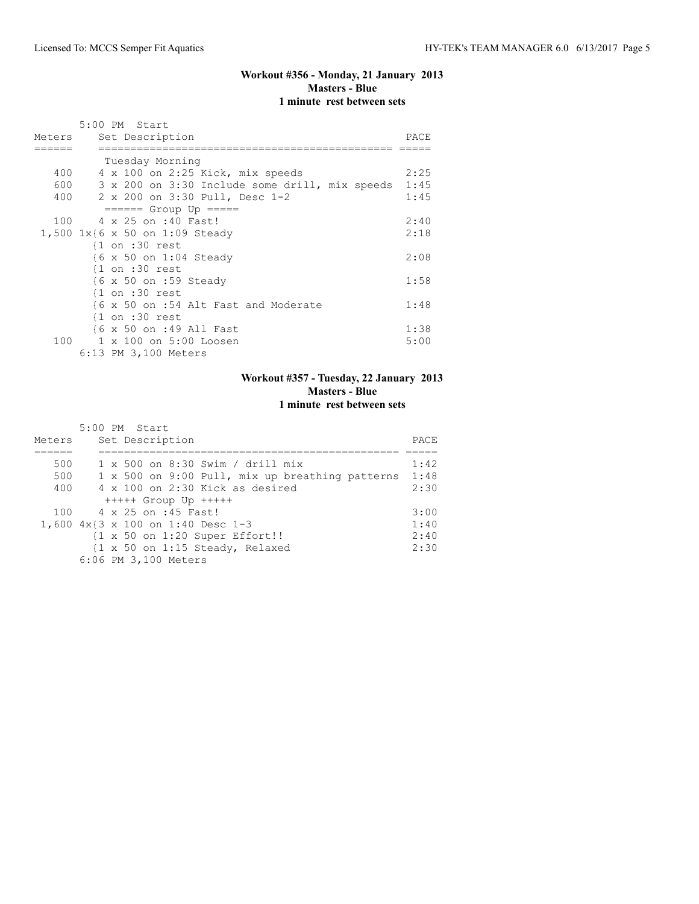# **Workout #356 - Monday, 21 January 2013 Masters - Blue 1 minute rest between sets**

|        | 5:00 PM Start                                  |      |
|--------|------------------------------------------------|------|
| Meters | Set Description                                | PACE |
|        |                                                |      |
|        | Tuesday Morning                                |      |
|        | 400 4 x 100 on 2:25 Kick, mix speeds           | 2:25 |
| 600 00 | 3 x 200 on 3:30 Include some drill, mix speeds | 1:45 |
|        | 400 2 x 200 on 3:30 Pull, Desc 1-2             | 1:45 |
|        | $=====$ Group Up $====$                        |      |
|        | 100 4 x 25 on :40 Fast!                        | 2:40 |
|        | 1,500 1x{6 x 50 on 1:09 Steady                 | 2:18 |
|        | $\{1$ on :30 rest                              |      |
|        | {6 x 50 on 1:04 Steady                         | 2:08 |
|        | $\{1$ on :30 rest                              |      |
|        | {6 x 50 on :59 Steady                          | 1:58 |
|        | $\{1$ on :30 rest                              |      |
|        | {6 x 50 on :54 Alt Fast and Moderate           | 1:48 |
|        | $\{1$ on :30 rest                              |      |
|        | {6 x 50 on :49 All Fast                        | 1:38 |
| 100    | 1 x 100 on 5:00 Loosen                         | 5:00 |
|        | 6:13 PM 3,100 Meters                           |      |

# **Workout #357 - Tuesday, 22 January 2013 Masters - Blue 1 minute rest between sets**

|        | 5:00 PM Start                                   |      |
|--------|-------------------------------------------------|------|
| Meters | Set Description                                 | PACE |
|        |                                                 |      |
| 500    | $1 \times 500$ on 8:30 Swim / drill mix         | 1:42 |
| 500    | 1 x 500 on 9:00 Pull, mix up breathing patterns | 1:48 |
| 400    | 4 x 100 on 2:30 Kick as desired                 | 2:30 |
|        | $++++$ Group Up $++++$                          |      |
| 100    | 4 x 25 on :45 Fast!                             | 3:00 |
|        | 1,600 4x{3 x 100 on 1:40 Desc 1-3               | 1:40 |
|        | {1 x 50 on 1:20 Super Effort!!                  | 2:40 |
|        | {1 x 50 on 1:15 Steady, Relaxed                 | 2:30 |
|        | 6:06 PM 3,100 Meters                            |      |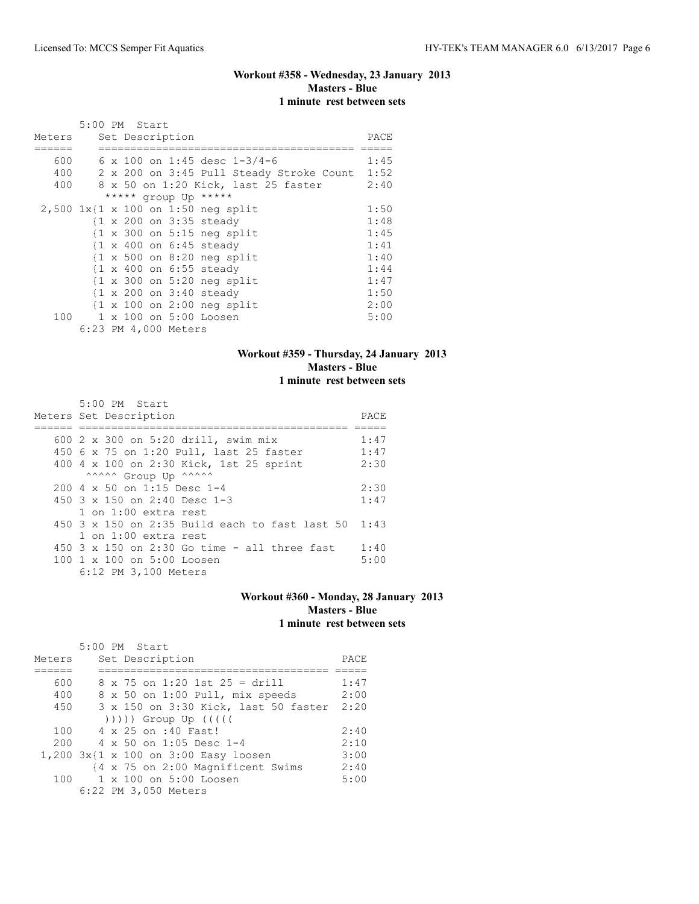## **Workout #358 - Wednesday, 23 January 2013 Masters - Blue 1 minute rest between sets**

|        | 5:00 PM Start |  |                      |                                                       |      |
|--------|---------------|--|----------------------|-------------------------------------------------------|------|
| Meters |               |  | Set Description      |                                                       | PACE |
|        |               |  |                      |                                                       |      |
| 600    |               |  |                      | 6 x 100 on 1:45 desc $1-3/4-6$                        | 1:45 |
| 400    |               |  |                      | 2 x 200 on 3:45 Pull Steady Stroke Count              | 1:52 |
| 400    |               |  |                      | 8 x 50 on 1:20 Kick, last 25 faster                   | 2:40 |
|        |               |  |                      | ***** group Up *****                                  |      |
|        |               |  |                      | $2,500$ 1x{1 x 100 on 1:50 neg split                  | 1:50 |
|        |               |  |                      | {1 x 200 on 3:35 steady                               | 1:48 |
|        |               |  |                      | $\{1 \times 300 \text{ on } 5:15 \text{ neg split}\}$ | 1:45 |
|        |               |  |                      | $\{1 \times 400 \text{ on } 6:45 \text{ steady}\}$    | 1:41 |
|        |               |  |                      | $\{1 \times 500$ on 8:20 neg split                    | 1:40 |
|        |               |  |                      | $\{1 \times 400 \text{ on } 6:55 \text{ steady}\}$    | 1:44 |
|        |               |  |                      | $\{1 \times 300 \text{ on } 5:20 \text{ neg split}\}$ | 1:47 |
|        |               |  |                      | $\{1 \times 200 \text{ on } 3:40 \text{ steady}\}$    | 1:50 |
|        |               |  |                      | $\{1 \times 100 \text{ on } 2:00 \text{ neg split}\}$ | 2:00 |
| 100    |               |  |                      | 1 x 100 on 5:00 Loosen                                | 5:00 |
|        |               |  | 6:23 PM 4,000 Meters |                                                       |      |

## **Workout #359 - Thursday, 24 January 2013 Masters - Blue 1 minute rest between sets**

| 5:00 PM Start                                    |      |
|--------------------------------------------------|------|
| Meters Set Description                           | PACE |
|                                                  |      |
| 600 2 x 300 on 5:20 drill, swim mix              | 1:47 |
| 450 6 x 75 on 1:20 Pull, last 25 faster          | 1:47 |
| 400 4 x 100 on 2:30 Kick, 1st 25 sprint          | 2:30 |
| ^^^^^^ Group Up ^^^^^^                           |      |
| $200.4 \times 50$ on 1:15 Desc 1-4               | 2:30 |
| 450 3 x 150 on 2:40 Desc 1-3                     | 1:47 |
| $1$ on $1:00$ extra rest                         |      |
| $450$ 3 x 150 on 2:35 Build each to fast last 50 | 1:43 |
| $1$ on $1:00$ extra rest                         |      |
| 450 3 x 150 on 2:30 Go time - all three fast     | 1:40 |
| 100 1 x 100 on 5:00 Loosen                       | 5:00 |
| 6:12 PM 3,100 Meters                             |      |

#### **Workout #360 - Monday, 28 January 2013 Masters - Blue 1 minute rest between sets**

|        | 5:00 PM Start                        |      |
|--------|--------------------------------------|------|
| Meters | Set Description                      | PACE |
|        |                                      |      |
| 600    | $8 \times 75$ on 1:20 1st 25 = drill | 1:47 |
| 400    | 8 x 50 on 1:00 Pull, mix speeds      | 2:00 |
| 450    | 3 x 150 on 3:30 Kick, last 50 faster | 2:20 |
|        | $( ) )$ ))) Group Up $( ( )$         |      |
| 100    | 4 x 25 on :40 Fast!                  | 2:40 |
| 200    | $4 \times 50$ on 1:05 Desc 1-4       | 2:10 |
|        | 1,200 3x{1 x 100 on 3:00 Easy loosen | 3:00 |
|        | {4 x 75 on 2:00 Magnificent Swims    | 2:40 |
| 100    | $1 \times 100$ on $5:00$ Loosen      | 5:00 |
|        | 6:22 PM 3,050 Meters                 |      |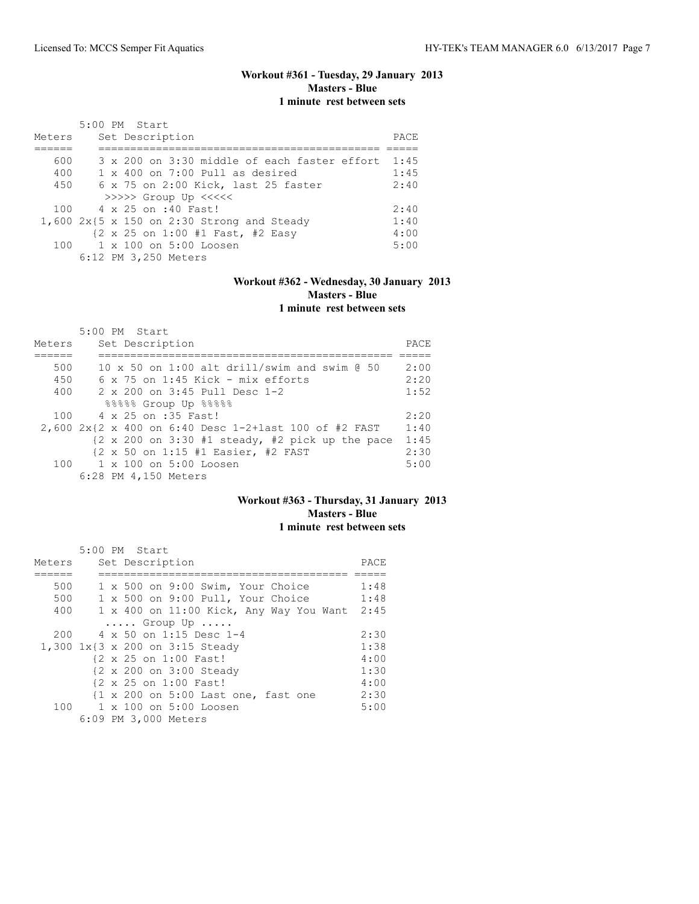# **Workout #361 - Tuesday, 29 January 2013 Masters - Blue 1 minute rest between sets**

|        | $5:00$ PM Start                                              |       |
|--------|--------------------------------------------------------------|-------|
| Meters | Set Description                                              | PACE. |
|        |                                                              |       |
| 600    | $3 \times 200$ on $3:30$ middle of each faster effort $1:45$ |       |
| 400    | $1 \times 400$ on 7:00 Pull as desired                       | 1:45  |
| 450    | 6 x 75 on 2:00 Kick, last 25 faster                          | 2:40  |
|        | >>>>> Group Up <<<<<                                         |       |
|        | 100 4 x 25 on :40 Fast!                                      | 2:40  |
|        | $1,600$ 2x{5 x 150 on 2:30 Strong and Steady                 | 1:40  |
|        | {2 x 25 on 1:00 #1 Fast, #2 Easy                             | 4:00  |
|        | 100 1 x 100 on 5:00 Loosen                                   | 5:00  |
|        | 6:12 PM 3,250 Meters                                         |       |

## **Workout #362 - Wednesday, 30 January 2013 Masters - Blue 1 minute rest between sets**

| Meters | $5:00$ PM Start<br>Set Description                                         | PACE |
|--------|----------------------------------------------------------------------------|------|
|        |                                                                            |      |
| 500    | 10 x 50 on 1:00 alt drill/swim and swim @ 50                               | 2:00 |
| 450    | $6 \times 75$ on 1:45 Kick - mix efforts                                   | 2:20 |
| 400    | 2 x 200 on 3:45 Pull Desc 1-2                                              | 1:52 |
|        | 88888 Group Up 88888                                                       |      |
| 100    | 4 x 25 on :35 Fast!                                                        | 2:20 |
|        | 2,600 $2x$ {2 x 400 on 6:40 Desc 1-2+last 100 of #2 FAST                   | 1:40 |
|        | $\{2 \times 200 \text{ on } 3:30 \text{ #1 steady, #2 pick up the pace}\}$ | 1:45 |
|        | {2 x 50 on 1:15 #1 Easier, #2 FAST                                         | 2:30 |
| 100    | $1 \times 100$ on $5:00$ Loosen                                            | 5:00 |
|        | 6:28 PM 4,150 Meters                                                       |      |

#### **Workout #363 - Thursday, 31 January 2013 Masters - Blue 1 minute rest between sets**

|        | 5:00 PM Start                                                  |      |
|--------|----------------------------------------------------------------|------|
| Meters | Set Description                                                | PACE |
|        |                                                                |      |
| 500    | 1 x 500 on 9:00 Swim, Your Choice                              | 1:48 |
| 500    | 1 x 500 on 9:00 Pull, Your Choice                              | 1:48 |
| 400    | 1 x 400 on 11:00 Kick, Any Way You Want                        | 2:45 |
|        | $\ldots$ . Group Up $\ldots$ .                                 |      |
| 200    | 4 x 50 on 1:15 Desc 1-4                                        | 2:30 |
|        | 1,300 1x{3 x 200 on 3:15 Steady                                | 1:38 |
|        | {2 x 25 on 1:00 Fast!                                          | 4:00 |
|        | {2 x 200 on 3:00 Steady                                        | 1:30 |
|        | {2 x 25 on 1:00 Fast!                                          | 4:00 |
|        | $\{1 \times 200 \text{ on } 5:00 \text{ Last one, fast one}\}$ | 2:30 |
|        | 100 1 x 100 on 5:00 Loosen                                     | 5:00 |
|        | 6:09 PM 3,000 Meters                                           |      |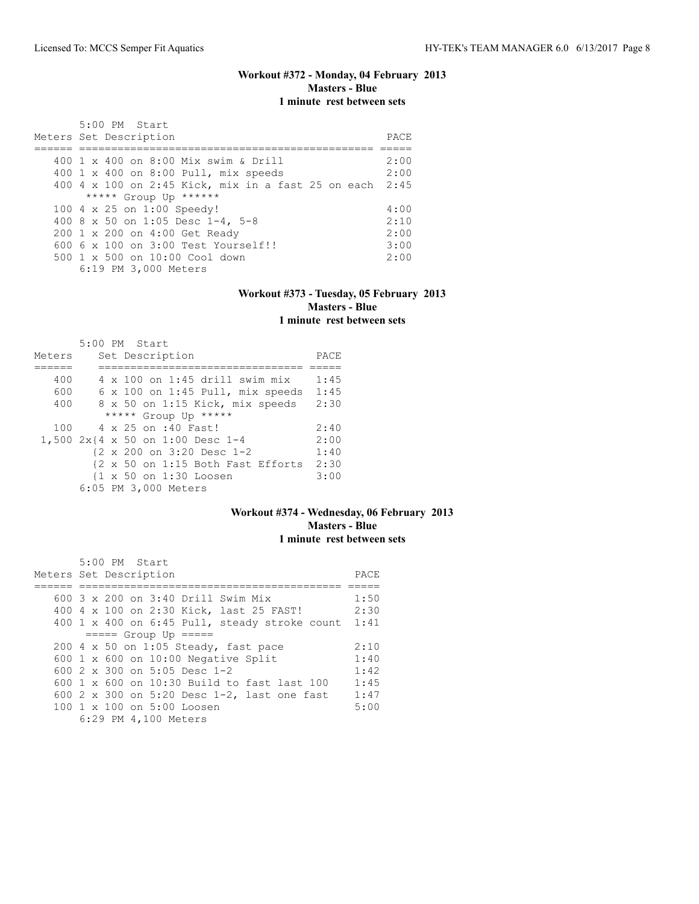## **Workout #372 - Monday, 04 February 2013 Masters - Blue 1 minute rest between sets**

| 5:00 PM Start<br>Meters Set Description                 | PACE. |
|---------------------------------------------------------|-------|
|                                                         |       |
| 400 1 x 400 on 8:00 Mix swim & Drill                    | 2:00  |
| 400 1 x 400 on 8:00 Pull, mix speeds                    | 2:00  |
| 400 4 x 100 on 2:45 Kick, mix in a fast 25 on each 2:45 |       |
| ***** Group Up ******                                   |       |
| 100 4 x 25 on 1:00 Speedy!                              | 4:00  |
| 400 8 x 50 on 1:05 Desc 1-4, 5-8                        | 2:10  |
| 200 1 x 200 on 4:00 Get Ready                           | 2:00  |
| $6006 \times 100$ on $3:00$ Test Yourself!!             | 3:00  |
| 500 1 x 500 on 10:00 Cool down                          | 2:00  |
| 6:19 PM 3,000 Meters                                    |       |

#### **Workout #373 - Tuesday, 05 February 2013 Masters - Blue 1 minute rest between sets**

|        |  | 5:00 PM Start                         |      |
|--------|--|---------------------------------------|------|
| Meters |  | Set Description                       | PACE |
|        |  |                                       |      |
| 400    |  | $4 \times 100$ on 1:45 drill swim mix | 1:45 |
| 600    |  | 6 x 100 on 1:45 Pull, mix speeds      | 1:45 |
| 400    |  | 8 x 50 on 1:15 Kick, mix speeds       | 2:30 |
|        |  | ***** Group Up *****                  |      |
| 100    |  | 4 x 25 on :40 Fast!                   | 2:40 |
|        |  | 1,500 2x{4 x 50 on 1:00 Desc 1-4      | 2:00 |
|        |  | {2 x 200 on 3:20 Desc 1-2             | 1:40 |
|        |  | {2 x 50 on 1:15 Both Fast Efforts     | 2:30 |
|        |  | {1 x 50 on 1:30 Loosen                | 3:00 |
|        |  | 6:05 PM 3,000 Meters                  |      |

## **Workout #374 - Wednesday, 06 February 2013 Masters - Blue 1 minute rest between sets**

| 5:00 PM Start                                          |      |
|--------------------------------------------------------|------|
| Meters Set Description                                 | PACE |
|                                                        |      |
| 600 3 x 200 on 3:40 Drill Swim Mix                     | 1:50 |
| 400 4 x 100 on 2:30 Kick, last 25 FAST!                | 2:30 |
| 400 1 x 400 on 6:45 Pull, steady stroke count          | 1:41 |
| $== == $ Group Up $== == $                             |      |
| 200 4 x 50 on 1:05 Steady, fast pace                   | 2:10 |
| 600 $1 \times 600$ on 10:00 Negative Split             | 1:40 |
| 600 2 x 300 on 5:05 Desc 1-2                           | 1:42 |
| 600 1 x 600 on 10:30 Build to fast last 100            | 1:45 |
| 600 2 x 300 on 5:20 Desc 1-2, last one fast            | 1:47 |
| $100 \text{ 1 x } 100 \text{ on } 5:00 \text{ Loosen}$ | 5:00 |
| 6:29 PM 4,100 Meters                                   |      |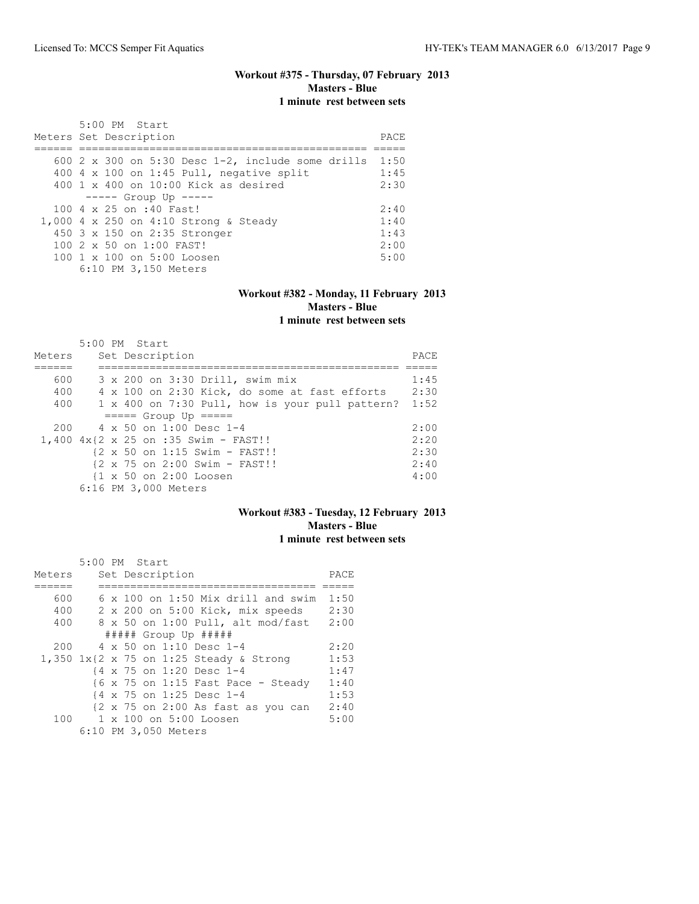## **Workout #375 - Thursday, 07 February 2013 Masters - Blue 1 minute rest between sets**

| 5:00 PM Start                                               |       |
|-------------------------------------------------------------|-------|
| Meters Set Description                                      | PACE. |
|                                                             |       |
| 600 2 x 300 on 5:30 Desc $1-2$ , include some drills $1:50$ |       |
| 400 4 x 100 on 1:45 Pull, negative split                    | 1:45  |
| $400 \t 1 \t x \t 400$ on $10:00$ Kick as desired           | 2:30  |
| $---$ Group Up $---$                                        |       |
| 100 4 x 25 on :40 Fast!                                     | 2:40  |
| 1,000 4 x 250 on 4:10 Strong & Steady                       | 1:40  |
| 450 3 x 150 on 2:35 Stronger                                | 1:43  |
| $1002 \times 50$ on $1:00$ FAST!                            | 2:00  |
| 100 1 x 100 on 5:00 Loosen                                  | 5:00  |
| 6:10 PM 3,150 Meters                                        |       |

#### **Workout #382 - Monday, 11 February 2013 Masters - Blue 1 minute rest between sets**

|        |  | 5:00 PM Start                                           |      |
|--------|--|---------------------------------------------------------|------|
| Meters |  | Set Description                                         | PACE |
|        |  |                                                         |      |
| 600    |  | 3 x 200 on 3:30 Drill, swim mix                         | 1:45 |
| 400    |  | 4 x 100 on 2:30 Kick, do some at fast efforts           | 2:30 |
| 400    |  | 1 x 400 on 7:30 Pull, how is your pull pattern?         | 1:52 |
|        |  | $====$ Group Up $====$                                  |      |
| 200    |  | 4 x 50 on 1:00 Desc 1-4                                 | 2:00 |
|        |  | 1,400 4x{2 x 25 on :35 Swim - FAST!!                    | 2:20 |
|        |  | {2 x 50 on 1:15 Swim - FAST!!                           | 2:30 |
|        |  | $\{2 \times 75 \text{ on } 2:00 \text{ Swim - FAST}!\}$ | 2:40 |
|        |  | {1 x 50 on 2:00 Loosen                                  | 4:00 |
|        |  | 6:16 PM 3,000 Meters                                    |      |

## **Workout #383 - Tuesday, 12 February 2013 Masters - Blue 1 minute rest between sets**

|        |  | 5:00 PM Start |                      |                                                                       |      |
|--------|--|---------------|----------------------|-----------------------------------------------------------------------|------|
| Meters |  |               | Set Description      |                                                                       | PACE |
|        |  |               |                      |                                                                       |      |
| 600    |  |               |                      | $6 \times 100$ on 1:50 Mix drill and swim                             | 1:50 |
| 400    |  |               |                      | 2 x 200 on 5:00 Kick, mix speeds                                      | 2:30 |
| 400    |  |               |                      | 8 x 50 on 1:00 Pull, alt mod/fast                                     | 2:00 |
|        |  |               |                      | ##### Group Up #####                                                  |      |
| 200    |  |               |                      | 4 x 50 on 1:10 Desc 1-4                                               | 2:20 |
|        |  |               |                      | 1,350 $1x$ {2 x 75 on 1:25 Steady & Strong                            | 1:53 |
|        |  |               |                      | {4 x 75 on 1:20 Desc 1-4                                              | 1:47 |
|        |  |               |                      | $\{6 \times 75 \text{ on } 1:15 \text{ Fast Face} - \text{ Steadv}\}$ | 1:40 |
|        |  |               |                      | {4 x 75 on 1:25 Desc 1-4                                              | 1:53 |
|        |  |               |                      | {2 x 75 on 2:00 As fast as you can                                    | 2:40 |
|        |  |               |                      | 100 1 x 100 on 5:00 Loosen                                            | 5:00 |
|        |  |               | 6:10 PM 3,050 Meters |                                                                       |      |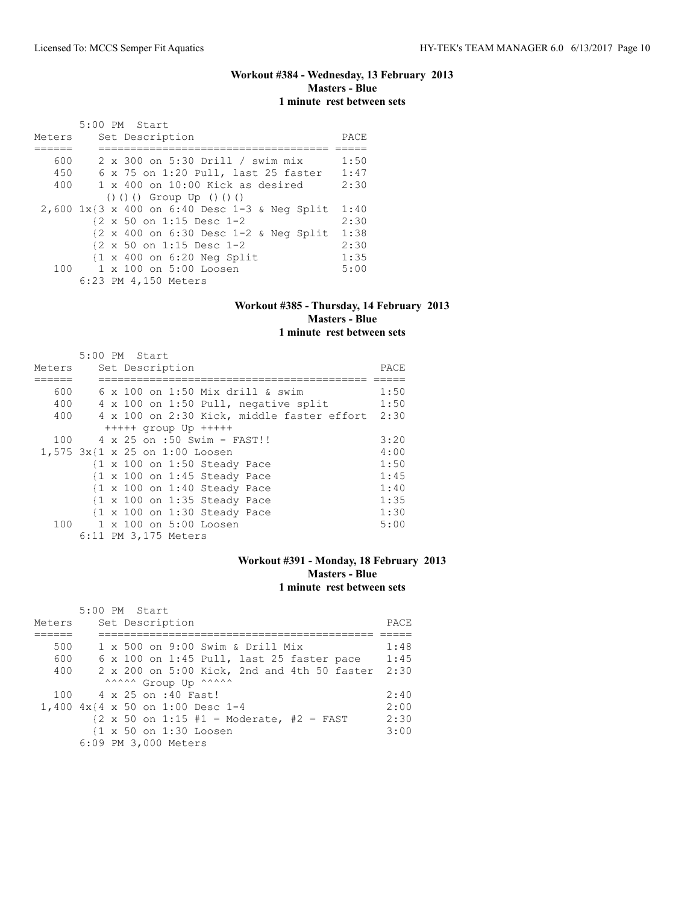# **Workout #384 - Wednesday, 13 February 2013 Masters - Blue 1 minute rest between sets**

|        | 5:00 PM Start                                         |      |
|--------|-------------------------------------------------------|------|
| Meters | Set Description                                       | PACE |
|        |                                                       |      |
| 600    | 2 x 300 on 5:30 Drill / swim mix                      | 1:50 |
| 450    | 6 x 75 on 1:20 Pull, last 25 faster                   | 1:47 |
| 400    | $1 \times 400$ on 10:00 Kick as desired               | 2:30 |
|        | $() () ()$ Group Up $() () ()$                        |      |
|        | 2,600 1x{3 x 400 on 6:40 Desc 1-3 & Neq Split         | 1:40 |
|        | {2 x 50 on 1:15 Desc 1-2                              | 2:30 |
|        | {2 x 400 on 6:30 Desc 1-2 & Neg Split                 | 1:38 |
|        | $\{2 \times 50 \text{ on } 1:15 \text{ Desc } 1-2\}$  | 2:30 |
|        | $\{1 \times 400 \text{ on } 6:20 \text{ Neg Split}\}$ | 1:35 |
| 100    | $1 \times 100$ on $5:00$ Loosen                       | 5:00 |
|        | 6:23 PM 4,150 Meters                                  |      |

#### **Workout #385 - Thursday, 14 February 2013 Masters - Blue 1 minute rest between sets**

|                                | 5:00 PM Start |  |                      |                                                                 |                                         |                                            |      |
|--------------------------------|---------------|--|----------------------|-----------------------------------------------------------------|-----------------------------------------|--------------------------------------------|------|
| Meters                         |               |  | Set Description      |                                                                 |                                         |                                            | PACE |
|                                |               |  |                      |                                                                 |                                         |                                            |      |
| 600                            |               |  |                      |                                                                 | $6 \times 100$ on 1:50 Mix drill & swim |                                            | 1:50 |
| 400                            |               |  |                      |                                                                 |                                         | 4 x 100 on 1:50 Pull, negative split       | 1:50 |
| 400                            |               |  |                      |                                                                 |                                         | 4 x 100 on 2:30 Kick, middle faster effort | 2:30 |
|                                |               |  |                      | $++++$ qroup Up $++++$                                          |                                         |                                            |      |
| 100                            |               |  |                      | 4 x 25 on :50 Swim - FAST!!                                     |                                         |                                            | 3:20 |
| 1,575 3x{1 x 25 on 1:00 Loosen |               |  |                      |                                                                 |                                         |                                            | 4:00 |
|                                |               |  |                      | $\{1 \times 100 \text{ on } 1:50 \text{ Steadv} \text{ pace}\}$ |                                         |                                            | 1:50 |
|                                |               |  |                      | $\{1 \times 100 \text{ on } 1:45 \text{ Steady Race}\}$         |                                         |                                            | 1:45 |
|                                |               |  |                      | $\{1 \times 100 \text{ on } 1:40 \text{ Steadv Page}\}$         |                                         |                                            | 1:40 |
|                                |               |  |                      | $\{1 \times 100 \text{ on } 1:35 \text{ Steadv Page}\}$         |                                         |                                            | 1:35 |
|                                |               |  |                      | $\{1 \times 100 \text{ on } 1:30 \text{ Steady Race}\}$         |                                         |                                            | 1:30 |
|                                |               |  |                      | 100 1 x 100 on 5:00 Loosen                                      |                                         |                                            | 5:00 |
|                                |               |  | 6:11 PM 3,175 Meters |                                                                 |                                         |                                            |      |

## **Workout #391 - Monday, 18 February 2013 Masters - Blue 1 minute rest between sets**

|        | 5:00 PM Start                                                              |      |
|--------|----------------------------------------------------------------------------|------|
| Meters | Set Description                                                            | PACE |
|        |                                                                            |      |
| 500    | $1 \times 500$ on 9:00 Swim & Drill Mix                                    | 1:48 |
| 600    | 6 x 100 on 1:45 Pull, last 25 faster pace                                  | 1:45 |
| 400    | 2 x 200 on 5:00 Kick, 2nd and 4th 50 faster                                | 2:30 |
|        | ^^^^^^ Group Up ^^^^^^                                                     |      |
|        | 100 4 x 25 on :40 Fast!                                                    | 2:40 |
|        | 1,400 4x{4 x 50 on 1:00 Desc 1-4                                           | 2:00 |
|        | $\{2 \times 50 \text{ on } 1:15 \#1 = \text{Modern} \}, \#2 = \text{FAST}$ | 2:30 |
|        | {1 x 50 on 1:30 Loosen                                                     | 3:00 |
|        | 6:09 PM 3,000 Meters                                                       |      |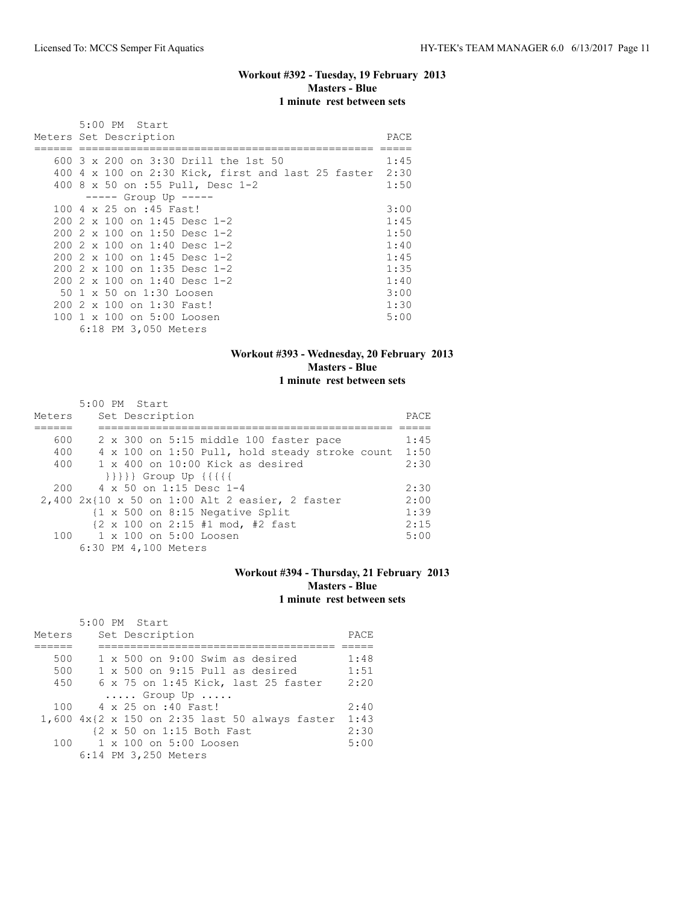# **Workout #392 - Tuesday, 19 February 2013 Masters - Blue 1 minute rest between sets**

|     | 5:00 PM Start                                           |      |
|-----|---------------------------------------------------------|------|
|     | Meters Set Description                                  | PACE |
|     |                                                         |      |
|     | 600 3 x 200 on 3:30 Drill the 1st 50                    | 1:45 |
|     | 400 4 x 100 on 2:30 Kick, first and last 25 faster 2:30 |      |
|     | 400 8 x 50 on :55 Pull, Desc 1-2                        | 1:50 |
|     | $--- $ Group Up $--- $                                  |      |
|     | 100 4 x 25 on :45 Fast!                                 | 3:00 |
|     | 200 2 x 100 on 1:45 Desc 1-2                            | 1:45 |
|     | $2002 \times 100$ on 1:50 Desc 1-2                      | 1:50 |
|     | $2002 \times 100$ on 1:40 Desc 1-2                      | 1:40 |
|     | 200 2 x 100 on 1:45 Desc 1-2                            | 1:45 |
|     | $2002 \times 100$ on 1:35 Desc 1-2                      | 1:35 |
|     | 200 2 x 100 on 1:40 Desc 1-2                            | 1:40 |
|     | 50 1 x 50 on 1:30 Loosen                                | 3:00 |
| 200 | 2 x 100 on 1:30 Fast!                                   | 1:30 |
| 100 | 1 x 100 on 5:00 Loosen                                  | 5:00 |
|     | 6:18 PM 3,050 Meters                                    |      |

## **Workout #393 - Wednesday, 20 February 2013 Masters - Blue 1 minute rest between sets**

|        | 5:00 PM Start                                                       |      |
|--------|---------------------------------------------------------------------|------|
| Meters | Set Description                                                     | PACE |
|        |                                                                     |      |
| 600    | 2 x 300 on 5:15 middle 100 faster pace                              | 1:45 |
| 400    | 4 x 100 on 1:50 Pull, hold steady stroke count                      | 1:50 |
| 400    | $1 \times 400$ on $10:00$ Kick as desired                           | 2:30 |
|        | $\{\{\{\{\}\}\}\}$ Group Up $\{\{\{\{\{\}\}\}\}$                    |      |
|        | $200 \t 4 \times 50$ on 1:15 Desc 1-4                               | 2:30 |
|        | $2,400$ $2x10$ x 50 on 1:00 Alt 2 easier, 2 faster                  | 2:00 |
|        | $\{1 \times 500$ on 8:15 Negative Split                             | 1:39 |
|        | $\{2 \times 100 \text{ on } 2:15 \text{ #1 mod, } \text{#2 fast}\}$ | 2:15 |
|        | 100 1 x 100 on 5:00 Loosen                                          | 5:00 |
|        | 6:30 PM 4,100 Meters                                                |      |

## **Workout #394 - Thursday, 21 February 2013 Masters - Blue 1 minute rest between sets**

|        | 5:00 PM Start                                  |      |
|--------|------------------------------------------------|------|
| Meters | Set Description                                | PACE |
|        |                                                |      |
| 500    | 1 x 500 on 9:00 Swim as desired                | 1:48 |
| 500    | $1 \times 500$ on 9:15 Pull as desired         | 1:51 |
| 450    | 6 x 75 on 1:45 Kick, last 25 faster            | 2:20 |
|        | $\ldots$ . Group Up                            |      |
|        | 100 4 x 25 on :40 Fast!                        | 2:40 |
|        | 1,600 4x{2 x 150 on 2:35 last 50 always faster | 1:43 |
|        | {2 x 50 on 1:15 Both Fast                      | 2:30 |
|        | 100 1 x 100 on 5:00 Loosen                     | 5:00 |
|        | 6:14 PM 3,250 Meters                           |      |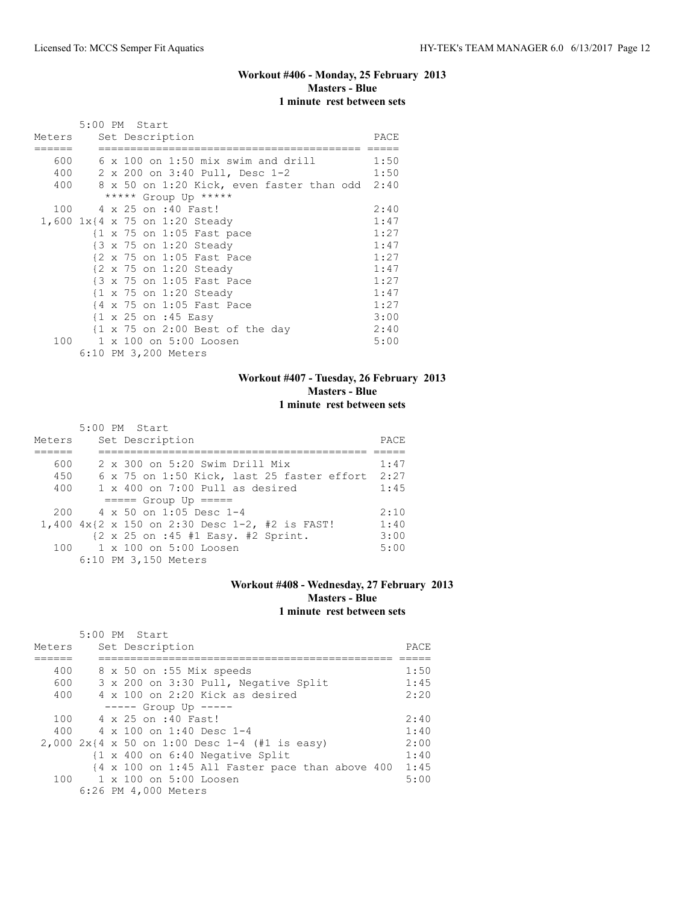## **Workout #406 - Monday, 25 February 2013 Masters - Blue 1 minute rest between sets**

|        | 5:00 PM Start |  |                                                      |      |
|--------|---------------|--|------------------------------------------------------|------|
| Meters |               |  | Set Description                                      | PACE |
| 600    |               |  | $6 \times 100$ on 1:50 mix swim and drill            | 1:50 |
| 400    |               |  | 2 x 200 on 3:40 Pull, Desc 1-2                       | 1:50 |
| 400    |               |  | 8 x 50 on 1:20 Kick, even faster than odd 2:40       |      |
|        |               |  | ***** Group Up *****                                 |      |
|        |               |  | 100 4 x 25 on :40 Fast!                              | 2:40 |
|        |               |  | 1,600 1x{4 x 75 on 1:20 Steady                       | 1:47 |
|        |               |  | $\{1 \times 75 \text{ on } 1:05 \text{ Fast pace}\}$ | 1:27 |
|        |               |  | {3 x 75 on 1:20 Steady                               | 1:47 |
|        |               |  | {2 x 75 on 1:05 Fast Pace                            | 1:27 |
|        |               |  | {2 x 75 on 1:20 Steady                               | 1:47 |
|        |               |  | {3 x 75 on 1:05 Fast Pace                            | 1:27 |
|        |               |  | $\{1 \times 75 \text{ on } 1:20 \text{ Steady}\}$    | 1:47 |
|        |               |  | {4 x 75 on 1:05 Fast Pace                            | 1:27 |
|        |               |  | $\{1 \times 25 \text{ on } : 45 \text{ Easy}\}$      | 3:00 |
|        |               |  | {1 x 75 on 2:00 Best of the day                      | 2:40 |
| 100    |               |  | 1 x 100 on 5:00 Loosen                               | 5:00 |
|        |               |  | 6:10 PM 3,200 Meters                                 |      |

## **Workout #407 - Tuesday, 26 February 2013 Masters - Blue 1 minute rest between sets**

|        |  | 5:00 PM Start                                                          |      |
|--------|--|------------------------------------------------------------------------|------|
| Meters |  | Set Description                                                        | PACE |
|        |  |                                                                        |      |
| 600    |  | 2 x 300 on 5:20 Swim Drill Mix                                         | 1:47 |
| 450    |  | 6 x 75 on 1:50 Kick, last 25 faster effort 2:27                        |      |
| 400    |  | $1 \times 400$ on 7:00 Pull as desired                                 | 1:45 |
|        |  | $====$ Group Up $====$                                                 |      |
| 200    |  | $4 \times 50$ on 1:05 Desc 1-4                                         | 2:10 |
|        |  | 1,400 $4x$ {2 x 150 on 2:30 Desc 1-2, #2 is FAST!                      | 1:40 |
|        |  | $\{2 \times 25 \text{ on } : 45 \text{ #1 Easy. } #2 \text{ Sprint. }$ | 3:00 |
|        |  | 100 1 x 100 on 5:00 Loosen                                             | 5:00 |
|        |  | 6:10 PM 3,150 Meters                                                   |      |

# **Workout #408 - Wednesday, 27 February 2013 Masters - Blue 1 minute rest between sets**

|        | 5:00 PM Start                                                          |      |
|--------|------------------------------------------------------------------------|------|
| Meters | Set Description                                                        | PACE |
|        |                                                                        |      |
| 400    | 8 x 50 on :55 Mix speeds                                               | 1:50 |
| 600    | 3 x 200 on 3:30 Pull, Negative Split                                   | 1:45 |
| 400    | $4 \times 100$ on 2:20 Kick as desired                                 | 2:20 |
|        | $--- $ Group Up $---$                                                  |      |
| 100    | 4 x 25 on :40 Fast!                                                    | 2:40 |
| 400    | $4 \times 100$ on 1:40 Desc 1-4                                        | 1:40 |
|        | 2,000 $2x(4 \times 50 \text{ on } 1:00 \text{ Desc } 1-4$ (#1 is easy) | 2:00 |
|        | {1 x 400 on 6:40 Negative Split                                        | 1:40 |
|        | {4 x 100 on 1:45 All Faster pace than above 400                        | 1:45 |
| 100    | 1 x 100 on 5:00 Loosen                                                 | 5:00 |
|        | 6:26 PM 4,000 Meters                                                   |      |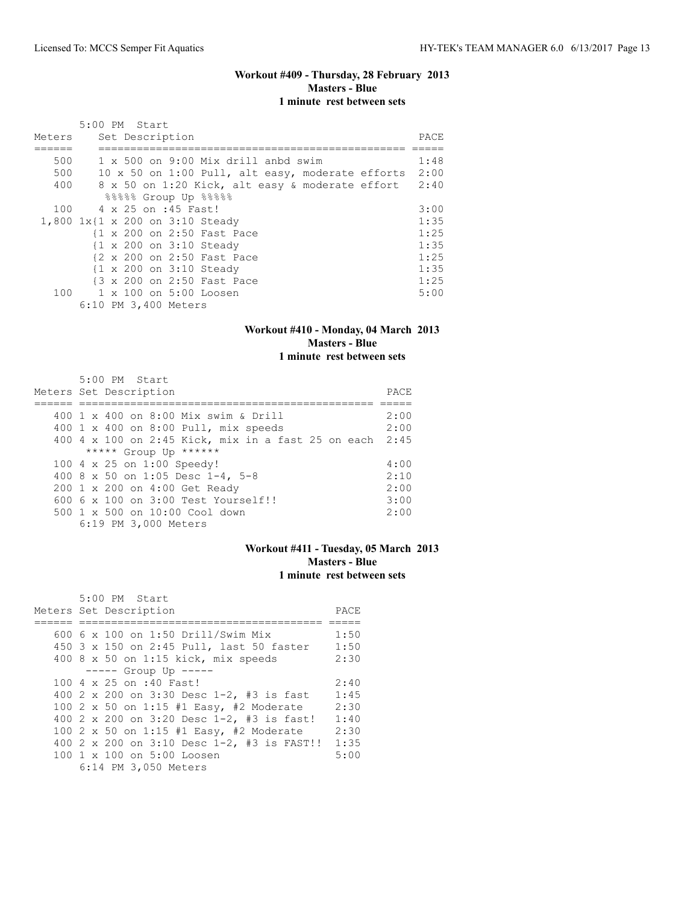## **Workout #409 - Thursday, 28 February 2013 Masters - Blue 1 minute rest between sets**

|        | 5:00 PM Start                                    |       |
|--------|--------------------------------------------------|-------|
| Meters | Set Description                                  | PACE. |
|        |                                                  |       |
| 500    | 1 x 500 on 9:00 Mix drill anbd swim              | 1:48  |
| 500    | 10 x 50 on 1:00 Pull, alt easy, moderate efforts | 2:00  |
| 400    | 8 x 50 on 1:20 Kick, alt easy & moderate effort  | 2:40  |
|        | 88888 Group Up 88888                             |       |
| 100    | 4 x 25 on :45 Fast!                              | 3:00  |
|        | 1,800 1x{1 x 200 on 3:10 Steady                  | 1:35  |
|        | {1 x 200 on 2:50 Fast Pace                       | 1:25  |
|        | {1 x 200 on 3:10 Steady                          | 1:35  |
|        | {2 x 200 on 2:50 Fast Pace                       | 1:25  |
|        | {1 x 200 on 3:10 Steady                          | 1:35  |
|        | {3 x 200 on 2:50 Fast Pace                       | 1:25  |
|        | 100 1 x 100 on 5:00 Loosen                       | 5:00  |
|        | 6:10 PM 3,400 Meters                             |       |

# **Workout #410 - Monday, 04 March 2013 Masters - Blue**

**1 minute rest between sets**

| $5:00$ PM Start                                         |      |
|---------------------------------------------------------|------|
| Meters Set Description                                  | PACE |
|                                                         |      |
| 400 1 x 400 on 8:00 Mix swim & Drill                    | 2:00 |
| 400 1 x 400 on 8:00 Pull, mix speeds                    | 2:00 |
| 400 4 x 100 on 2:45 Kick, mix in a fast 25 on each 2:45 |      |
| ***** Group Up ******                                   |      |
| 100 4 x 25 on 1:00 Speedy!                              | 4:00 |
| 400 8 x 50 on 1:05 Desc 1-4, 5-8                        | 2:10 |
| 200 1 x 200 on 4:00 Get Ready                           | 2:00 |
| 600 6 x 100 on 3:00 Test Yourself!!                     | 3:00 |
| 500 1 x 500 on 10:00 Cool down                          | 2:00 |
| 6:19 PM 3,000 Meters                                    |      |

## **Workout #411 - Tuesday, 05 March 2013 Masters - Blue 1 minute rest between sets**

| $5:00$ PM Start                            |      |
|--------------------------------------------|------|
| Meters Set Description                     | PACE |
|                                            |      |
| 600 6 x 100 on 1:50 Drill/Swim Mix         | 1:50 |
| 450 3 x 150 on 2:45 Pull, last 50 faster   | 1:50 |
| 400 8 x 50 on 1:15 kick, mix speeds        | 2:30 |
| $--- $ Group Up $--- $                     |      |
| 100 4 x 25 on :40 Fast!                    | 2:40 |
| 400 2 x 200 on 3:30 Desc 1-2, #3 is fast   | 1:45 |
| 100 2 x 50 on 1:15 #1 Easy, #2 Moderate    | 2:30 |
| 400 2 x 200 on 3:20 Desc 1-2, #3 is fast!  | 1:40 |
| 100 2 x 50 on 1:15 #1 Easy, #2 Moderate    | 2:30 |
| 400 2 x 200 on 3:10 Desc 1-2, #3 is FAST!! | 1:35 |
| 100 1 x 100 on 5:00 Loosen                 | 5:00 |
| 6:14 PM 3,050 Meters                       |      |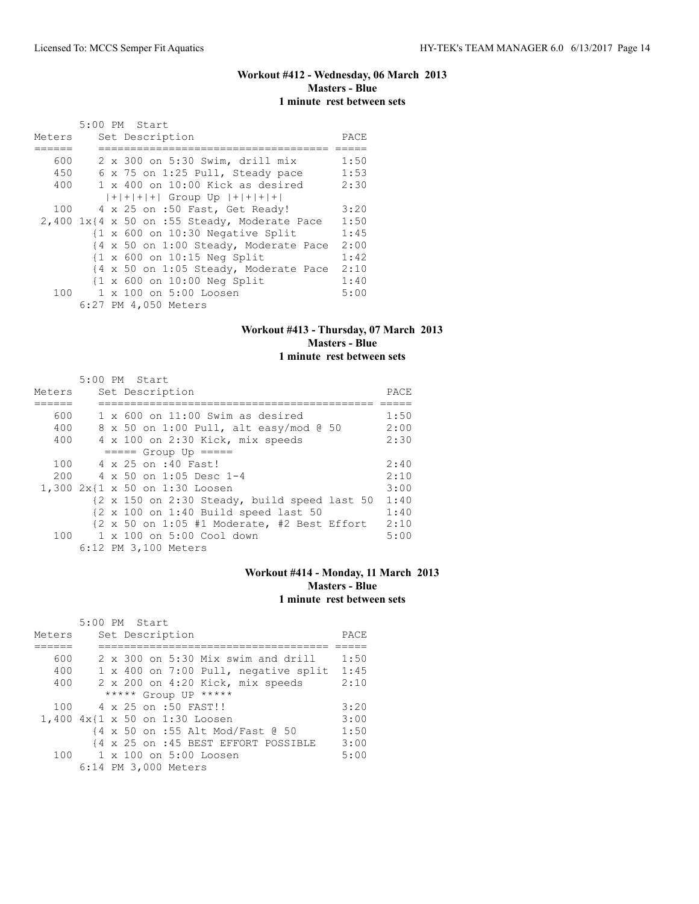# **Workout #412 - Wednesday, 06 March 2013 Masters - Blue 1 minute rest between sets**

|        | 5:00 PM Start                                               |             |
|--------|-------------------------------------------------------------|-------------|
| Meters | Set Description                                             | <b>PACE</b> |
|        |                                                             |             |
| 600    | 2 x 300 on 5:30 Swim, drill mix                             | 1:50        |
| 450    | 6 x 75 on 1:25 Pull, Steady pace                            | 1:53        |
| 400    | 1 x 400 on 10:00 Kick as desired                            | 2:30        |
|        | $ + + + + $ Group Up $ + + + + $                            |             |
| 100    | 4 x 25 on :50 Fast, Get Ready!                              | 3:20        |
|        | $2,400$ 1x{4 x 50 on :55 Steady, Moderate Pace              | 1:50        |
|        | $\{1 \times 600 \text{ on } 10:30 \text{ Negative Split}\}$ | 1:45        |
|        | {4 x 50 on 1:00 Steady, Moderate Pace                       | 2:00        |
|        | $\{1 \times 600$ on $10:15$ Neg Split                       | 1:42        |
|        | {4 x 50 on 1:05 Steady, Moderate Pace                       | 2:10        |
|        | {1 x 600 on 10:00 Neg Split                                 | 1:40        |
| 100    | 1 x 100 on 5:00 Loosen                                      | 5:00        |
|        | 6:27 PM 4,050 Meters                                        |             |

## **Workout #413 - Thursday, 07 March 2013 Masters - Blue 1 minute rest between sets**

| Meters | 5:00 PM Start<br>Set Description                                             | PACE |
|--------|------------------------------------------------------------------------------|------|
|        |                                                                              |      |
| 600    | $1 \times 600$ on $11:00$ Swim as desired                                    | 1:50 |
| 400    | 8 x 50 on 1:00 Pull, alt easy/mod @ 50                                       | 2:00 |
| 400    | 4 x 100 on 2:30 Kick, mix speeds                                             | 2:30 |
|        | $====$ Group Up $====$                                                       |      |
| 100    | 4 x 25 on :40 Fast!                                                          | 2:40 |
| 200    | 4 x 50 on 1:05 Desc 1-4                                                      | 2:10 |
|        | 1,300 2x{1 x 50 on 1:30 Loosen                                               | 3:00 |
|        | {2 x 150 on 2:30 Steady, build speed last 50                                 | 1:40 |
|        | $\{2 \times 100 \text{ on } 1:40 \text{ Build speed last } 50\}$             | 1:40 |
|        | $\{2 \times 50 \text{ on } 1:05 \text{ #1} \text{ Moderate, #2 Best Effect}$ | 2:10 |
|        | 100 1 x 100 on 5:00 Cool down                                                | 5:00 |
|        | 6:12 PM 3,100 Meters                                                         |      |

## **Workout #414 - Monday, 11 March 2013 Masters - Blue 1 minute rest between sets**

|        | 5:00 PM Start                        |      |
|--------|--------------------------------------|------|
| Meters | Set Description                      | PACE |
|        |                                      |      |
| 600    | 2 x 300 on 5:30 Mix swim and drill   | 1:50 |
| 400    | 1 x 400 on 7:00 Pull, negative split | 1:45 |
| 400    | 2 x 200 on 4:20 Kick, mix speeds     | 2:10 |
|        | ***** Group UP *****                 |      |
| 100    | 4 x 25 on :50 FAST!!                 | 3:20 |
|        | 1,400 4x{1 x 50 on 1:30 Loosen       | 3:00 |
|        | {4 x 50 on :55 Alt Mod/Fast @ 50     | 1:50 |
|        | {4 x 25 on :45 BEST EFFORT POSSIBLE  | 3:00 |
|        | 100 1 x 100 on 5:00 Loosen           | 5:00 |
|        | 6:14 PM 3,000 Meters                 |      |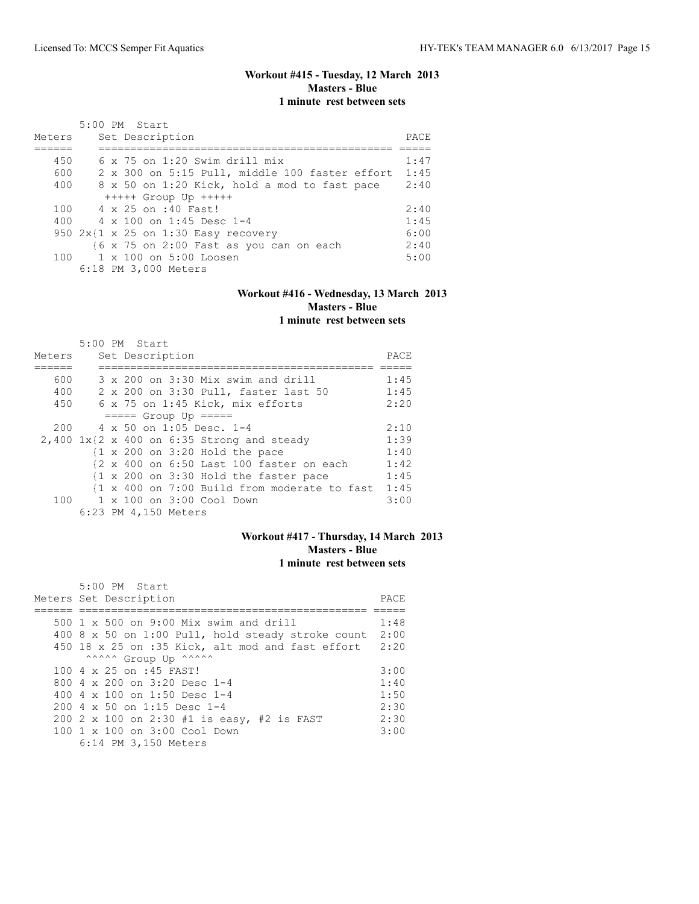# **Workout #415 - Tuesday, 12 March 2013 Masters - Blue 1 minute rest between sets**

| Meters | 5:00 PM Start<br>Set Description               | PACE |
|--------|------------------------------------------------|------|
| 450    | $6 \times 75$ on 1:20 Swim drill mix           | 1:47 |
| 600    | 2 x 300 on 5:15 Pull, middle 100 faster effort | 1:45 |
| 400    | 8 x 50 on 1:20 Kick, hold a mod to fast pace   | 2:40 |
|        | $++++$ Group Up $++++$                         |      |
| 100    | 4 x 25 on :40 Fast!                            | 2:40 |
| 400    | 4 x 100 on 1:45 Desc 1-4                       | 1:45 |
|        | 950 $2x(1 \times 25$ on 1:30 Easy recovery     | 6:00 |
|        | {6 x 75 on 2:00 Fast as you can on each        | 2:40 |
| 100    | $1 \times 100$ on $5:00$ Loosen                | 5:00 |
|        | 6:18 PM 3,000 Meters                           |      |

# **Workout #416 - Wednesday, 13 March 2013 Masters - Blue**

**1 minute rest between sets**

|                                              | 5:00 PM Start |  |                      |                                                           |  |  |                                              |      |
|----------------------------------------------|---------------|--|----------------------|-----------------------------------------------------------|--|--|----------------------------------------------|------|
| Meters                                       |               |  | Set Description      |                                                           |  |  |                                              | PACE |
|                                              |               |  |                      |                                                           |  |  |                                              |      |
| 600                                          |               |  |                      | $3 \times 200$ on $3:30$ Mix swim and drill               |  |  |                                              | 1:45 |
| 400                                          |               |  |                      | 2 x 200 on 3:30 Pull, faster last 50                      |  |  |                                              | 1:45 |
| 450                                          |               |  |                      | 6 x 75 on 1:45 Kick, mix efforts                          |  |  |                                              | 2:20 |
|                                              |               |  |                      | $====$ Group Up $====$                                    |  |  |                                              |      |
| 200                                          |               |  |                      | $4 \times 50$ on 1:05 Desc. 1-4                           |  |  |                                              | 2:10 |
| $2,400$ 1x{2 x 400 on 6:35 Strong and steady |               |  |                      |                                                           |  |  |                                              | 1:39 |
|                                              |               |  |                      | $\{1 \times 200 \text{ on } 3:20 \text{ Hold the pace}\}$ |  |  |                                              | 1:40 |
|                                              |               |  |                      | {2 x 400 on 6:50 Last 100 faster on each                  |  |  |                                              | 1:42 |
|                                              |               |  |                      | {1 x 200 on 3:30 Hold the faster pace                     |  |  |                                              | 1:45 |
|                                              |               |  |                      |                                                           |  |  | {1 x 400 on 7:00 Build from moderate to fast | 1:45 |
|                                              |               |  |                      | 100 1 x 100 on 3:00 Cool Down                             |  |  |                                              | 3:00 |
|                                              |               |  | 6:23 PM 4,150 Meters |                                                           |  |  |                                              |      |

## **Workout #417 - Thursday, 14 March 2013 Masters - Blue 1 minute rest between sets**

| 5:00 PM Start                                         |       |
|-------------------------------------------------------|-------|
| Meters Set Description                                | PACE. |
|                                                       |       |
| 500 1 x 500 on 9:00 Mix swim and drill                | 1:48  |
| 400 8 x 50 on 1:00 Pull, hold steady stroke count     | 2:00  |
| 450 18 x 25 on :35 Kick, alt mod and fast effort 2:20 |       |
| ^^^^^^ Group Up ^^^^^^                                |       |
| 100 4 x 25 on :45 FAST!                               | 3:00  |
| 800 4 $\times$ 200 on 3:20 Desc 1-4                   | 1:40  |
| 400 4 $\times$ 100 on 1:50 Desc 1-4                   | 1:50  |
| $200.4 \times 50$ on 1:15 Desc 1-4                    | 2:30  |
| 200 2 x 100 on 2:30 #1 is easy, #2 is FAST            | 2:30  |
| 100 1 x 100 on 3:00 Cool Down                         | 3:00  |
| 6:14 PM 3,150 Meters                                  |       |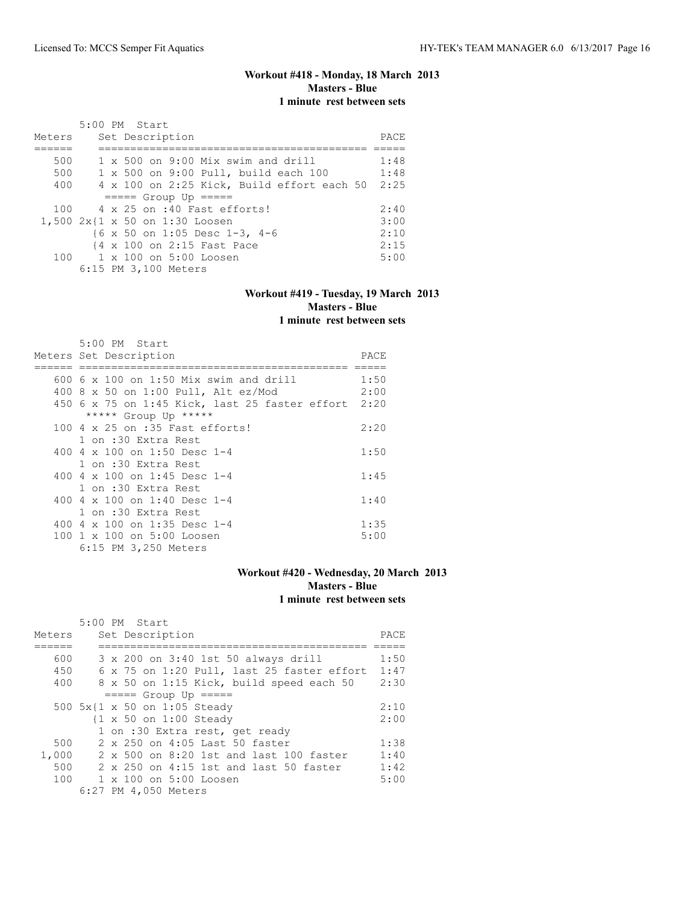## **Workout #418 - Monday, 18 March 2013 Masters - Blue 1 minute rest between sets**

|        | $5:00$ PM Start                            |       |
|--------|--------------------------------------------|-------|
| Meters | Set Description                            | PACE. |
|        |                                            |       |
| 500    | $1 \times 500$ on 9:00 Mix swim and drill  | 1:48  |
| 500    | 1 x 500 on 9:00 Pull, build each 100       | 1:48  |
| 400    | 4 x 100 on 2:25 Kick, Build effort each 50 | 2:25  |
|        | $== == $ Group Up $== == $                 |       |
| 100    | 4 x 25 on :40 Fast efforts!                | 2:40  |
|        | 1,500 2x{1 x 50 on 1:30 Loosen             | 3:00  |
|        | {6 x 50 on 1:05 Desc 1-3, 4-6              | 2:10  |
|        | {4 x 100 on 2:15 Fast Pace                 | 2:15  |
|        | 100 1 x 100 on 5:00 Loosen                 | 5:00  |
|        | 6:15 PM 3,100 Meters                       |       |

#### **Workout #419 - Tuesday, 19 March 2013 Masters - Blue 1 minute rest between sets**

| $5:00$ PM Start                                     |      |
|-----------------------------------------------------|------|
| Meters Set Description                              | PACE |
|                                                     |      |
| 600 6 x 100 on 1:50 Mix swim and drill              | 1:50 |
| 400 8 x 50 on 1:00 Pull, Alt ez/Mod                 | 2:00 |
| 450 6 x 75 on 1:45 Kick, last 25 faster effort 2:20 |      |
| ***** Group Up *****                                |      |
| 100 4 x 25 on :35 Fast efforts!                     | 2:20 |
| 1 on :30 Extra Rest                                 |      |
| 400 4 $\times$ 100 on 1:50 Desc 1-4                 | 1:50 |
| 1 on :30 Extra Rest                                 |      |
| 400 4 $\times$ 100 on 1:45 Desc 1-4                 | 1:45 |
| 1 on :30 Extra Rest                                 |      |
| 400 4 x 100 on 1:40 Desc 1-4                        | 1:40 |
| 1 on :30 Extra Rest                                 |      |
| 400 4 $\times$ 100 on 1:35 Desc 1-4                 | 1:35 |
| 100 1 x 100 on 5:00 Loosen                          | 5:00 |
| 6:15 PM 3,250 Meters                                |      |

## **Workout #420 - Wednesday, 20 March 2013 Masters - Blue 1 minute rest between sets**

|        | $5:00$ PM Start                                   |      |
|--------|---------------------------------------------------|------|
| Meters | Set Description                                   | PACE |
|        |                                                   |      |
| 600    | 3 x 200 on 3:40 1st 50 always drill               | 1:50 |
| 450    | 6 x 75 on 1:20 Pull, last 25 faster effort        | 1:47 |
| 400    | 8 x 50 on 1:15 Kick, build speed each 50          | 2:30 |
|        | $====$ Group Up $====$                            |      |
|        | 500 5x{1 x 50 on 1:05 Steady                      | 2:10 |
|        | $\{1 \times 50 \text{ on } 1:00 \text{ Steadv}\}$ | 2:00 |
|        | 1 on :30 Extra rest, get ready                    |      |
| 500    | 2 x 250 on 4:05 Last 50 faster                    | 1:38 |
| 1,000  | 2 x 500 on 8:20 1st and last 100 faster           | 1:40 |
| 500    | 2 x 250 on 4:15 1st and last 50 faster            | 1:42 |
| 100    | $1 \times 100$ on $5:00$ Loosen                   | 5:00 |
|        | 6:27 PM 4,050 Meters                              |      |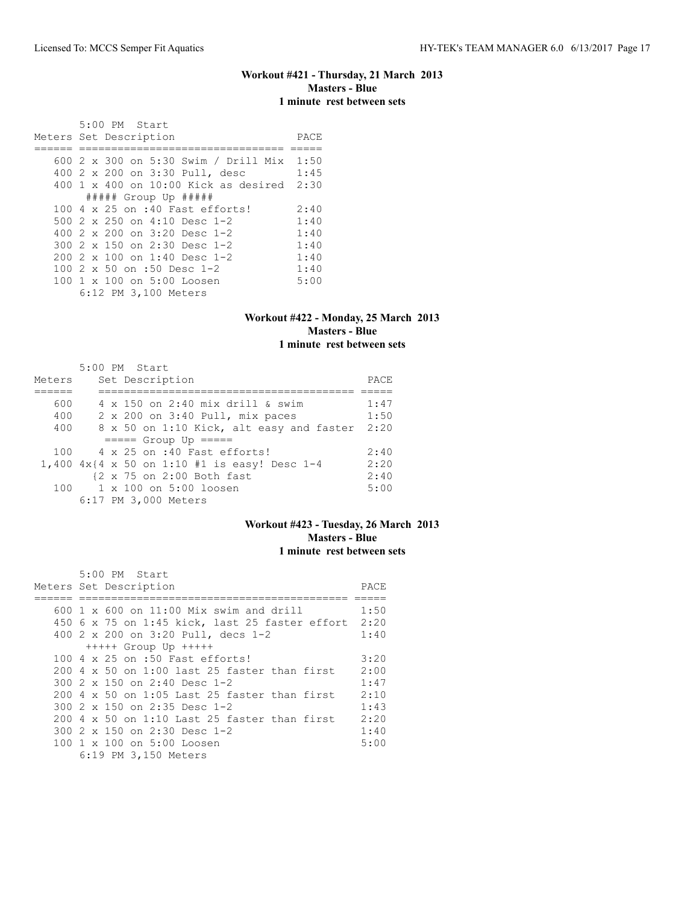#### **Workout #421 - Thursday, 21 March 2013 Masters - Blue 1 minute rest between sets**

 5:00 PM Start Meters Set Description PACE ====== ================================ ===== 600 2 x 300 on 5:30 Swim / Drill Mix 1:50 400 2 x 200 on 3:30 Pull, desc 1:45 400 1 x 400 on 10:00 Kick as desired 2:30 ##### Group Up ##### 100 4 x 25 on :40 Fast efforts! 2:40<br>500 2 x 250 on 4:10 Desc 1-2 1:40 500 2 x 250 on 4:10 Desc 1-2 1:40<br>400 2 x 200 on 3:20 Desc 1-2 1:40 400 2 x 200 on 3:20 Desc 1-2 1:40<br>300 2 x 150 on 2:30 Desc 1-2 1:40 300 2 x 150 on 2:30 Desc 1-2 1:40<br>200 2 x 100 on 1:40 Desc 1-2 1:40 200 2 x 100 on 1:40 Desc 1-2 1:40<br>100 2 x 50 on :50 Desc 1-2 1:40 100 2 x 50 on :50 Desc 1-2 1:40<br>100 1 x 100 on 5:00 Loosen 5:00 100 1 x 100 on 5:00 Loosen 6:12 PM 3,100 Meters

#### **Workout #422 - Monday, 25 March 2013 Masters - Blue 1 minute rest between sets**

|        | 5:00 PM Start                                   |      |
|--------|-------------------------------------------------|------|
| Meters | Set Description                                 | PACE |
|        |                                                 |      |
| 600    | 4 x 150 on 2:40 mix drill & swim                | 1:47 |
| 400    | 2 x 200 on 3:40 Pull, mix paces                 | 1:50 |
| 400    | 8 x 50 on 1:10 Kick, alt easy and faster        | 2:20 |
|        | $====$ Group Up $====$                          |      |
| 100    | 4 x 25 on :40 Fast efforts!                     | 2:40 |
|        | 1,400 $4x$ {4 x 50 on 1:10 #1 is easy! Desc 1-4 | 2:20 |
|        | {2 x 75 on 2:00 Both fast                       | 2:40 |
|        | 100 1 x 100 on 5:00 loosen                      | 5:00 |
|        | 6:17 PM 3,000 Meters                            |      |

# **Workout #423 - Tuesday, 26 March 2013 Masters - Blue 1 minute rest between sets**

| 5:00 PM Start                                           |      |
|---------------------------------------------------------|------|
| Meters Set Description                                  | PACE |
|                                                         |      |
| $600 \text{ 1 x } 600$ on $11:00$ Mix swim and drill    | 1:50 |
| 450 6 x 75 on 1:45 kick, last 25 faster effort 2:20     |      |
| 400 2 x 200 on 3:20 Pull, decs 1-2                      | 1:40 |
| $++++$ Group Up $++++$                                  |      |
| 100 4 x 25 on :50 Fast efforts!                         | 3:20 |
| $200\,$ 4 $\times$ 50 on 1:00 last 25 faster than first | 2:00 |
| 300 $2 \times 150$ on $2:40$ Desc 1-2                   | 1:47 |
| $200\,4 \times 50$ on 1:05 Last 25 faster than first    | 2:10 |
| 300 $2 \times 150$ on $2:35$ Desc 1-2                   | 1:43 |
| $200\,4 \times 50$ on 1:10 Last 25 faster than first    | 2:20 |
| $300.2 \times 150$ on 2:30 Desc 1-2                     | 1:40 |
| 100 1 x 100 on 5:00 Loosen                              | 5:00 |
| 6:19 PM 3,150 Meters                                    |      |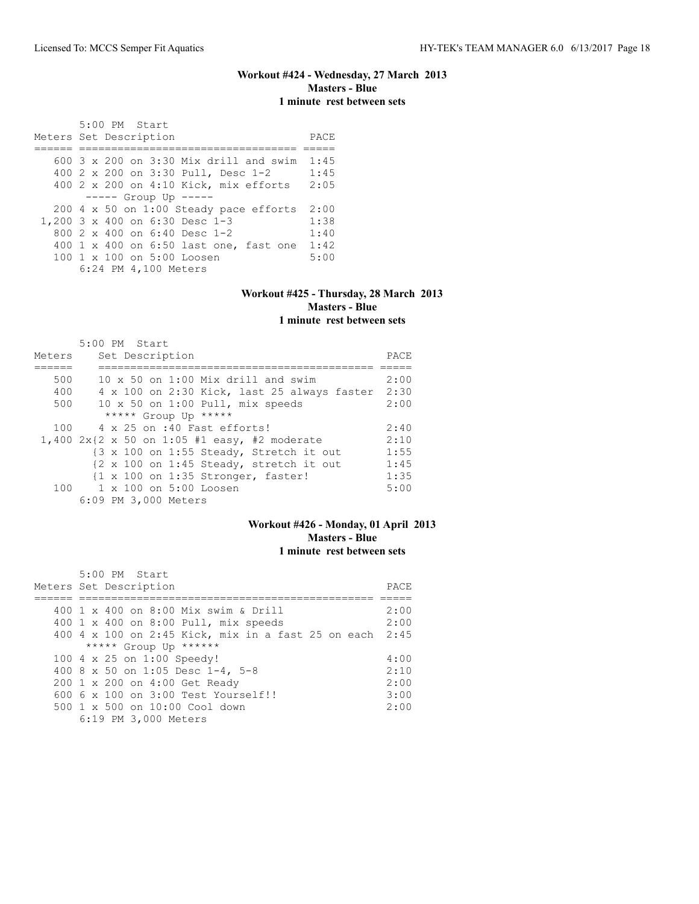## **Workout #424 - Wednesday, 27 March 2013 Masters - Blue 1 minute rest between sets**

 5:00 PM Start Meters Set Description **PACE** ====== ================================== ===== 600 3 x 200 on 3:30 Mix drill and swim 1:45 400 2 x 200 on 3:30 Pull, Desc 1-2 1:45 400 2 x 200 on 4:10 Kick, mix efforts 2:05 ----- Group Up ----- 200 4 x 50 on 1:00 Steady pace efforts 2:00 1,200 3 x 400 on 6:30 Desc 1-3 1:38 800 2 x 400 on 6:40 Desc 1-2 1:40 400 1 x 400 on 6:50 last one, fast one 1:42<br>100 1 x 100 on 5:00 Loosen 5:00 100 1 x 100 on 5:00 Loosen 6:24 PM 4,100 Meters

#### **Workout #425 - Thursday, 28 March 2013 Masters - Blue 1 minute rest between sets**

|        | 5:00 PM Start                                                             |      |
|--------|---------------------------------------------------------------------------|------|
| Meters | Set Description                                                           | PACE |
|        |                                                                           |      |
| 500    | $10 \times 50$ on 1:00 Mix drill and swim                                 | 2:00 |
| 400    | 4 x 100 on 2:30 Kick, last 25 always faster                               | 2:30 |
| 500    | 10 x 50 on 1:00 Pull, mix speeds                                          | 2:00 |
|        | ***** Group Up *****                                                      |      |
| 100    | 4 x 25 on :40 Fast efforts!                                               | 2:40 |
|        | 1,400 $2x(2 \times 50$ on 1:05 #1 easy, #2 moderate                       | 2:10 |
|        | {3 x 100 on 1:55 Steady, Stretch it out                                   | 1:55 |
|        | $\{2 \times 100 \text{ on } 1:45 \text{ Steadv}, \text{stretch it out}\}$ | 1:45 |
|        | $\{1 \times 100 \text{ on } 1:35 \text{ stronger, faster}\}$              | 1:35 |
|        | 100 1 x 100 on 5:00 Loosen                                                | 5:00 |
|        | 6:09 PM 3,000 Meters                                                      |      |

# **Workout #426 - Monday, 01 April 2013 Masters - Blue 1 minute rest between sets**

| 5:00 PM Start<br>Meters Set Description                 | PACE |
|---------------------------------------------------------|------|
|                                                         |      |
| 400 1 x 400 on 8:00 Mix swim & Drill                    | 2:00 |
| 400 1 x 400 on 8:00 Pull, mix speeds                    | 2:00 |
| 400 4 x 100 on 2:45 Kick, mix in a fast 25 on each 2:45 |      |
| ***** Group Up ******                                   |      |
| 100 4 x 25 on 1:00 Speedy!                              | 4:00 |
| 400 8 x 50 on 1:05 Desc 1-4, 5-8                        | 2:10 |
| 200 1 x 200 on 4:00 Get Ready                           | 2:00 |
| 600 6 x 100 on 3:00 Test Yourself!!                     | 3:00 |
| 500 1 x 500 on 10:00 Cool down                          | 2:00 |
| 6:19 PM 3,000 Meters                                    |      |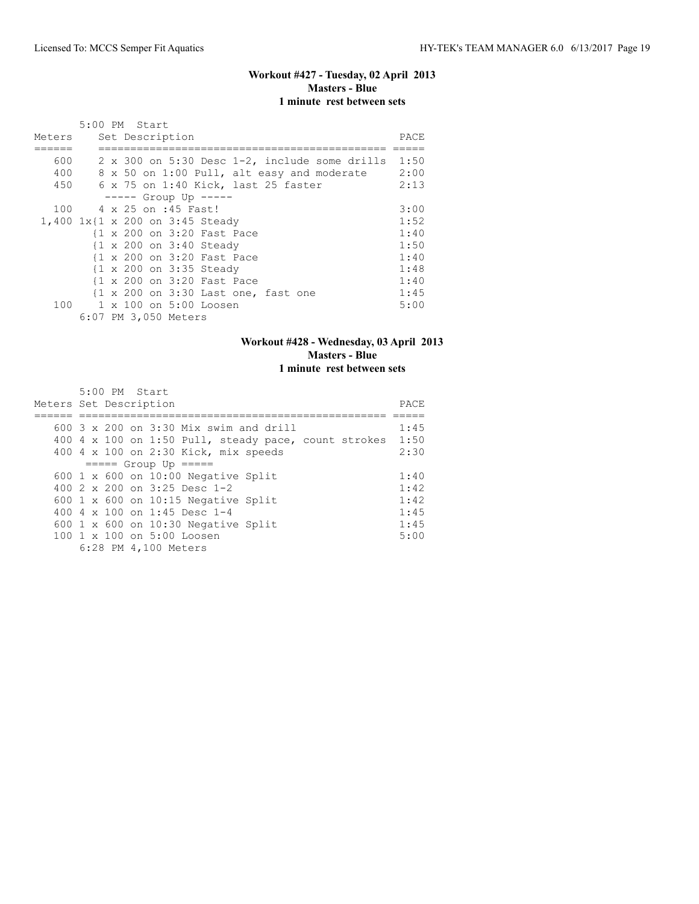# **Workout #427 - Tuesday, 02 April 2013 Masters - Blue 1 minute rest between sets**

|        |  | 5:00 PM Start              |                                     |  |                                                      |      |
|--------|--|----------------------------|-------------------------------------|--|------------------------------------------------------|------|
| Meters |  | Set Description            |                                     |  |                                                      | PACE |
|        |  |                            |                                     |  |                                                      |      |
| 600    |  |                            |                                     |  | $2 \times 300$ on 5:30 Desc 1-2, include some drills | 1:50 |
| 400    |  |                            |                                     |  | 8 x 50 on 1:00 Pull, alt easy and moderate           | 2:00 |
| 450    |  |                            | 6 x 75 on 1:40 Kick, last 25 faster |  |                                                      | 2:13 |
|        |  | $--- $ Group Up $---$      |                                     |  |                                                      |      |
| 100    |  | 4 x 25 on :45 Fast!        |                                     |  |                                                      | 3:00 |
|        |  |                            | 1,400 1x{1 x 200 on 3:45 Steady     |  |                                                      | 1:52 |
|        |  |                            | {1 x 200 on 3:20 Fast Pace          |  |                                                      | 1:40 |
|        |  |                            | {1 x 200 on 3:40 Steady             |  |                                                      | 1:50 |
|        |  |                            | {1 x 200 on 3:20 Fast Pace          |  |                                                      | 1:40 |
|        |  |                            | {1 x 200 on 3:35 Steady             |  |                                                      | 1:48 |
|        |  |                            | {1 x 200 on 3:20 Fast Pace          |  |                                                      | 1:40 |
|        |  |                            | {1 x 200 on 3:30 Last one, fast one |  |                                                      | 1:45 |
|        |  | 100 1 x 100 on 5:00 Loosen |                                     |  |                                                      | 5:00 |
|        |  | 6:07 PM 3,050 Meters       |                                     |  |                                                      |      |

## **Workout #428 - Wednesday, 03 April 2013 Masters - Blue 1 minute rest between sets**

| 5:00 PM Start                                          |      |
|--------------------------------------------------------|------|
| Meters Set Description                                 | PACE |
|                                                        |      |
| 600 $3 \times 200$ on $3:30$ Mix swim and drill        | 1:45 |
| 400 4 x 100 on 1:50 Pull, steady pace, count strokes   | 1:50 |
| 400 4 x 100 on 2:30 Kick, mix speeds                   | 2:30 |
| $== == $ Group Up $== ==$                              |      |
| 600 $1 \times 600$ on 10:00 Negative Split             | 1:40 |
| 400 $2 \times 200$ on $3:25$ Desc 1-2                  | 1:42 |
| 600 $1 \times 600$ on 10:15 Negative Split             | 1:42 |
| 400 4 $\times$ 100 on 1:45 Desc 1-4                    | 1:45 |
| 600 $1 \times 600$ on 10:30 Negative Split             | 1:45 |
| $100 \text{ 1 x } 100 \text{ on } 5:00 \text{ Loosen}$ | 5:00 |
| 6:28 PM 4,100 Meters                                   |      |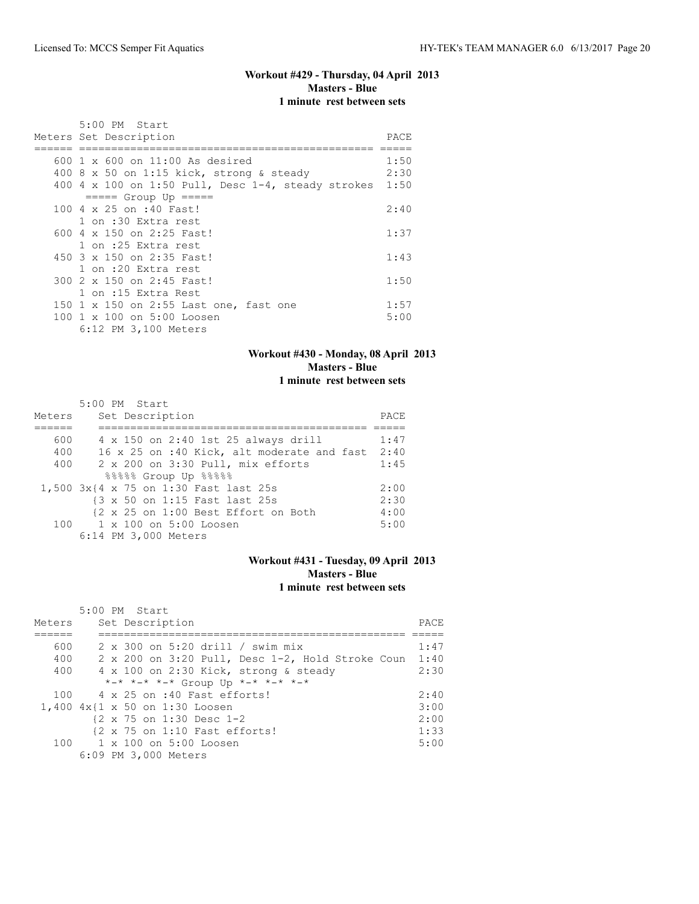#### **Workout #429 - Thursday, 04 April 2013 Masters - Blue 1 minute rest between sets**

| 5:00 PM Start                                         |      |
|-------------------------------------------------------|------|
| Meters Set Description                                | PACE |
|                                                       |      |
| $600 \text{ 1 x } 600$ on $11:00$ As desired          | 1:50 |
| 400 8 x 50 on 1:15 kick, strong & steady              | 2:30 |
| 400 4 x 100 on 1:50 Pull, Desc $1-4$ , steady strokes | 1:50 |
| $====$ Group Up $====$                                |      |
| 100 4 x 25 on :40 Fast!                               | 2:40 |
| 1 on :30 Extra rest                                   |      |
| 600 $4 \times 150$ on 2:25 Fast!                      | 1:37 |
| 1 on :25 Extra rest                                   |      |
| 450 3 x 150 on 2:35 Fast!                             | 1:43 |
| 1 on :20 Extra rest                                   |      |
| 300 2 x 150 on 2:45 Fast!                             | 1:50 |
| 1 on :15 Extra Rest                                   |      |
| 150 1 x 150 on 2:55 Last one, fast one                | 1:57 |
| 100 1 x 100 on 5:00 Loosen                            | 5:00 |
| 6:12 PM 3,100 Meters                                  |      |

## **Workout #430 - Monday, 08 April 2013 Masters - Blue 1 minute rest between sets**

|        | 5:00 PM Start                              |      |
|--------|--------------------------------------------|------|
| Meters | Set Description                            | PACE |
|        |                                            |      |
| 600    | 4 x 150 on 2:40 1st 25 always drill        | 1:47 |
| 400    | 16 x 25 on :40 Kick, alt moderate and fast | 2:40 |
| 400    | 2 x 200 on 3:30 Pull, mix efforts          | 1:45 |
|        | 88888 Group Up 88888                       |      |
|        | 1,500 3x{4 x 75 on 1:30 Fast last 25s      | 2:00 |
|        | {3 x 50 on 1:15 Fast last 25s              | 2:30 |
|        | {2 x 25 on 1:00 Best Effort on Both        | 4:00 |
|        | 100 1 x 100 on 5:00 Loosen                 | 5:00 |
|        | 6:14 PM 3,000 Meters                       |      |

## **Workout #431 - Tuesday, 09 April 2013 Masters - Blue 1 minute rest between sets**

| Meters | $5:00$ PM Start<br>Set Description                   | PACE |
|--------|------------------------------------------------------|------|
|        |                                                      |      |
| 600    | 2 x 300 on 5:20 drill / swim mix                     | 1:47 |
| 400    | 2 x 200 on 3:20 Pull, Desc 1-2, Hold Stroke Coun     | 1:40 |
| 400    | 4 x 100 on 2:30 Kick, strong & steady                | 2:30 |
|        | *-* *-* *-* Group Up *-* *-* *-*                     |      |
| 100    | 4 x 25 on :40 Fast efforts!                          | 2:40 |
|        | 1,400 4x{1 x 50 on 1:30 Loosen                       | 3:00 |
|        | $\{2 \times 75 \text{ on } 1:30 \text{ Desc } 1-2\}$ | 2:00 |
|        | {2 x 75 on 1:10 Fast efforts!                        | 1:33 |
|        | $100 \t 1 \times 100$ on $5:00$ Loosen               | 5:00 |
|        | 6:09 PM 3,000 Meters                                 |      |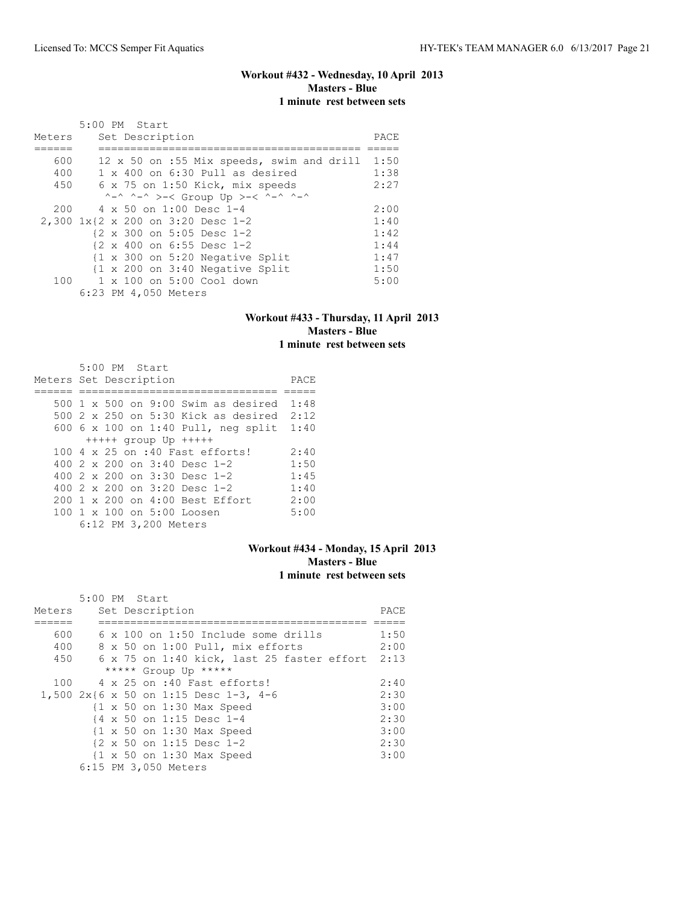# **Workout #432 - Wednesday, 10 April 2013 Masters - Blue 1 minute rest between sets**

|        | $5:00$ PM Start                                            |      |
|--------|------------------------------------------------------------|------|
| Meters | Set Description                                            | PACE |
|        |                                                            |      |
| 600    | 12 x 50 on :55 Mix speeds, swim and drill                  | 1:50 |
| 400    | 1 x 400 on 6:30 Pull as desired                            | 1:38 |
| 450    | 6 x 75 on 1:50 Kick, mix speeds                            | 2:27 |
|        | ^-^ ^-^ >-< Group Up >-< ^-^ ^-^                           |      |
| 200    | 4 x 50 on 1:00 Desc 1-4                                    | 2:00 |
|        | 2,300 1x{2 x 200 on 3:20 Desc 1-2                          | 1:40 |
|        | $\{2 \times 300 \text{ on } 5:05 \text{ Desc } 1-2\}$      | 1:42 |
|        | $\{2 \times 400 \text{ on } 6:55 \text{ Desc } 1-2\}$      | 1:44 |
|        | $\{1 \times 300 \text{ on } 5:20 \text{ Negative Split}\}$ | 1:47 |
|        | $\{1 \times 200 \text{ on } 3:40 \text{ Negative Split}\}$ | 1:50 |
| 100    | 1 x 100 on 5:00 Cool down                                  | 5:00 |
|        | 6:23 PM 4,050 Meters                                       |      |

#### **Workout #433 - Thursday, 11 April 2013 Masters - Blue 1 minute rest between sets**

| 5:00 PM Start                           |      |
|-----------------------------------------|------|
| Meters Set Description                  | PACE |
|                                         |      |
| 500 1 x 500 on 9:00 Swim as desired     | 1:48 |
| 500 2 x 250 on 5:30 Kick as desired     | 2:12 |
| 600 6 x 100 on 1:40 Pull, neg split     | 1:40 |
| $++++$ group Up $++++$                  |      |
| 100 4 x 25 on :40 Fast efforts!         | 2:40 |
| 400 $2 \times 200$ on $3:40$ Desc 1-2   | 1:50 |
| 400 $2 \times 200$ on $3:30$ Desc 1-2   | 1:45 |
| 400 $2 \times 200$ on $3:20$ Desc 1-2   | 1:40 |
| 200 1 x 200 on 4:00 Best Effort         | 2:00 |
| $100 \t 1 \t x \t 100$ on $5:00$ Loosen | 5:00 |
| 6:12 PM 3,200 Meters                    |      |

## **Workout #434 - Monday, 15 April 2013 Masters - Blue 1 minute rest between sets**

|        | $5:00$ PM Start |  |                                                      |      |
|--------|-----------------|--|------------------------------------------------------|------|
| Meters |                 |  | Set Description                                      | PACE |
|        |                 |  |                                                      |      |
| 600    |                 |  | $6 \times 100$ on 1:50 Include some drills           | 1:50 |
| 400    |                 |  | 8 x 50 on 1:00 Pull, mix efforts                     | 2:00 |
| 450    |                 |  | 6 x 75 on 1:40 kick, last 25 faster effort 2:13      |      |
|        |                 |  | ***** Group Up *****                                 |      |
| 100    |                 |  | 4 x 25 on :40 Fast efforts!                          | 2:40 |
|        |                 |  | 1,500 2x{6 x 50 on 1:15 Desc 1-3, 4-6                | 2:30 |
|        |                 |  | $\{1 \times 50 \text{ on } 1:30 \text{ Max Speed}\}$ | 3:00 |
|        |                 |  | {4 x 50 on 1:15 Desc 1-4                             | 2:30 |
|        |                 |  | $\{1 \times 50 \text{ on } 1:30 \text{ Max Speed}\}$ | 3:00 |
|        |                 |  | $\{2 \times 50 \text{ on } 1:15 \text{ Desc } 1-2\}$ | 2:30 |
|        |                 |  | $\{1 \times 50 \text{ on } 1:30 \text{ Max Speed}$   | 3:00 |
|        |                 |  | 6:15 PM 3,050 Meters                                 |      |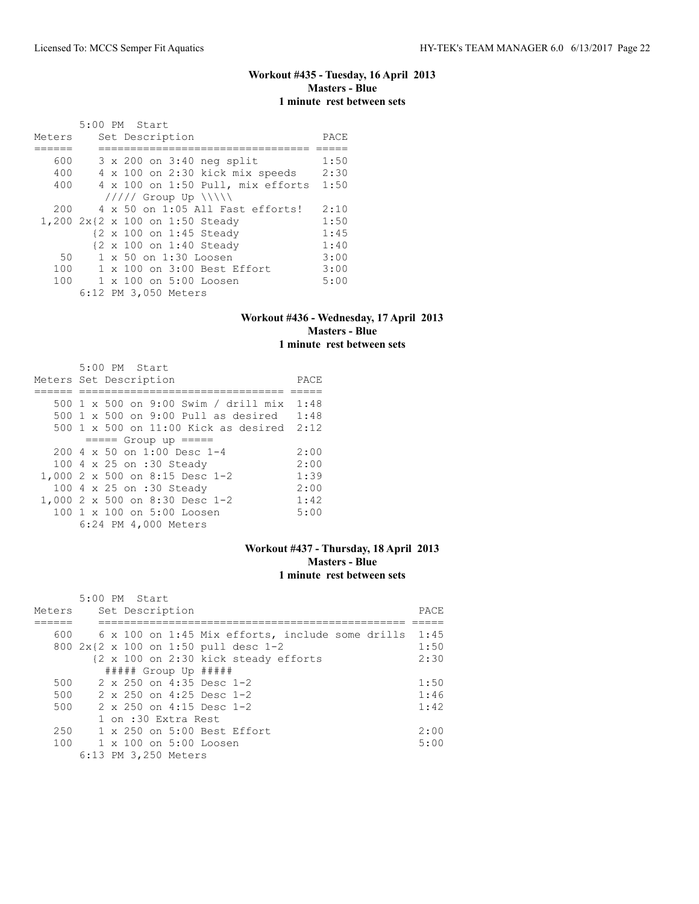# **Workout #435 - Tuesday, 16 April 2013 Masters - Blue 1 minute rest between sets**

| Meters | 5:00 PM Start<br>Set Description     | PACE |
|--------|--------------------------------------|------|
|        |                                      |      |
| 600    | 3 x 200 on 3:40 neg split            | 1:50 |
| 400    | 4 x 100 on 2:30 kick mix speeds      | 2:30 |
| 400    | 4 x 100 on 1:50 Pull, mix efforts    | 1:50 |
|        | $11111$ Group Up $\  \  \$           |      |
| 200    | 4 x 50 on 1:05 All Fast efforts!     | 2:10 |
|        | 1,200 2x{2 x 100 on 1:50 Steady      | 1:50 |
|        | {2 x 100 on 1:45 Steady              | 1:45 |
|        | {2 x 100 on 1:40 Steady              | 1:40 |
| 50     | 1 x 50 on 1:30 Loosen                | 3:00 |
| 100    | $1 \times 100$ on $3:00$ Best Effort | 3:00 |
| 100    | 1 x 100 on 5:00 Loosen               | 5:00 |
|        | 6:12 PM 3,050 Meters                 |      |

#### **Workout #436 - Wednesday, 17 April 2013 Masters - Blue 1 minute rest between sets**

| 5:00 PM Start                             |      |
|-------------------------------------------|------|
| Meters Set Description                    | PACE |
|                                           |      |
| 500 1 x 500 on 9:00 Swim / drill mix      | 1:48 |
| 500 1 x 500 on 9:00 Pull as desired       | 1:48 |
| 500 1 x 500 on 11:00 Kick as desired 2:12 |      |
| $== == $ Group up $== == $                |      |
| $2004 \times 50$ on 1:00 Desc 1-4         | 2:00 |
| 100 4 x 25 on :30 Steady                  | 2:00 |
| 1,000 2 x 500 on 8:15 Desc 1-2            | 1:39 |
| 100 4 x 25 on :30 Steady                  | 2:00 |
| 1,000 2 x 500 on 8:30 Desc 1-2            | 1:42 |
| 100 1 x 100 on 5:00 Loosen                | 5:00 |
| 6:24 PM 4,000 Meters                      |      |

## **Workout #437 - Thursday, 18 April 2013 Masters - Blue 1 minute rest between sets**

| Meters | $5:00$ PM Start<br>Set Description                     | PACE |
|--------|--------------------------------------------------------|------|
|        |                                                        |      |
|        | $600$ 6 x 100 on 1:45 Mix efforts, include some drills | 1:45 |
|        | 800 2x{2 x 100 on 1:50 pull desc 1-2                   | 1:50 |
|        | {2 x 100 on 2:30 kick steady efforts                   | 2:30 |
|        | $\#$ #### Group Up $\#$ ####                           |      |
| 500    | $2 \times 250$ on 4:35 Desc 1-2                        | 1:50 |
| 500    | $2 \times 250$ on 4:25 Desc 1-2                        | 1:46 |
| 500    | $2 \times 250$ on 4:15 Desc 1-2                        | 1:42 |
|        | 1 on :30 Extra Rest                                    |      |
| 250    | $1 \times 250$ on $5:00$ Best Effort                   | 2:00 |
| 100    | $1 \times 100$ on $5:00$ Loosen                        | 5:00 |
|        | 6:13 PM 3,250 Meters                                   |      |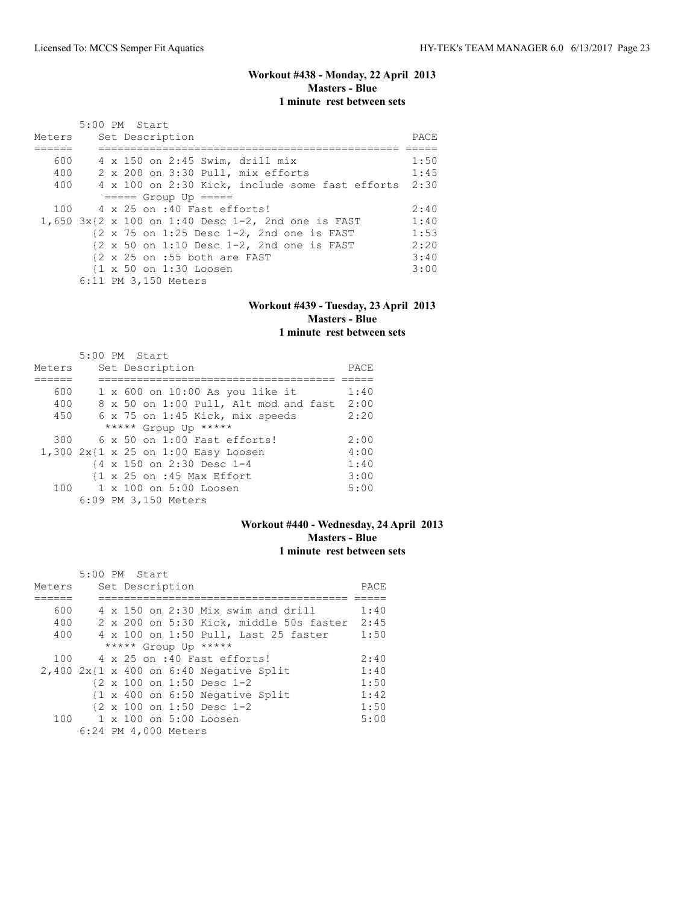## **Workout #438 - Monday, 22 April 2013 Masters - Blue 1 minute rest between sets**

| Meters | 5:00 PM Start<br>Set Description                                               | PACE |
|--------|--------------------------------------------------------------------------------|------|
|        |                                                                                |      |
| 600    | 4 x 150 on 2:45 Swim, drill mix                                                | 1:50 |
| 400    | 2 x 200 on 3:30 Pull, mix efforts                                              | 1:45 |
| 400    | 4 x 100 on 2:30 Kick, include some fast efforts                                | 2:30 |
|        | $====$ Group Up $====$                                                         |      |
| 100    | 4 x 25 on :40 Fast efforts!                                                    | 2:40 |
|        | $1,650$ $3x$ {2 x 100 on 1:40 Desc 1-2, 2nd one is FAST                        | 1:40 |
|        | $\{2 \times 75 \text{ on } 1:25 \text{ Desc } 1-2, 2nd \text{ one is FAST}\}$  | 1:53 |
|        | $\{2 \times 50 \text{ on } 1:10 \text{ Desc } 1-2, 2nd \text{ one is FAST} \}$ | 2:20 |
|        | $\{2 \times 25 \text{ on } : 55 \text{ both are FAST}\}$                       | 3:40 |
|        | {1 x 50 on 1:30 Loosen                                                         | 3:00 |
|        | 6:11 PM 3,150 Meters                                                           |      |

#### **Workout #439 - Tuesday, 23 April 2013 Masters - Blue 1 minute rest between sets**

|        | 5:00 PM Start                                                  |      |
|--------|----------------------------------------------------------------|------|
| Meters | Set Description                                                | PACE |
|        |                                                                |      |
| 600    | $1 \times 600$ on $10:00$ As you like it                       | 1:40 |
| 400    | 8 x 50 on 1:00 Pull, Alt mod and fast                          | 2:00 |
| 450    | 6 x 75 on 1:45 Kick, mix speeds                                | 2:20 |
|        | ***** Group Up *****                                           |      |
| 300    | $6 \times 50$ on 1:00 Fast efforts!                            | 2:00 |
|        | 1,300 2x{1 x 25 on 1:00 Easy Loosen                            | 4:00 |
|        | {4 x 150 on 2:30 Desc 1-4                                      | 1:40 |
|        | $\{1 \times 25 \text{ on } : 45 \text{ Max } \text{Effort} \}$ | 3:00 |
| 100    | $1 \times 100$ on $5:00$ Loosen                                | 5:00 |
|        | 6:09 PM 3,150 Meters                                           |      |

# **Workout #440 - Wednesday, 24 April 2013 Masters - Blue 1 minute rest between sets**

|        | 5:00 PM Start                                              |      |
|--------|------------------------------------------------------------|------|
| Meters | Set Description                                            | PACE |
|        |                                                            |      |
| 600    | $4 \times 150$ on 2:30 Mix swim and drill                  | 1:40 |
| 400    | 2 x 200 on 5:30 Kick, middle 50s faster                    | 2:45 |
| 400    | 4 x 100 on 1:50 Pull, Last 25 faster                       | 1:50 |
|        | ***** Group Up *****                                       |      |
| 100    | 4 x 25 on :40 Fast efforts!                                | 2:40 |
|        | $2,400$ $2x$ {1 x 400 on 6:40 Negative Split               | 1:40 |
|        | {2 x 100 on 1:50 Desc 1-2                                  | 1:50 |
|        | $\{1 \times 400 \text{ on } 6:50 \text{ Negative Split}\}$ | 1:42 |
|        | $\{2 \times 100 \text{ on } 1:50 \text{ Desc } 1-2\}$      | 1:50 |
|        | 100 1 x 100 on 5:00 Loosen                                 | 5:00 |
|        | 6:24 PM 4,000 Meters                                       |      |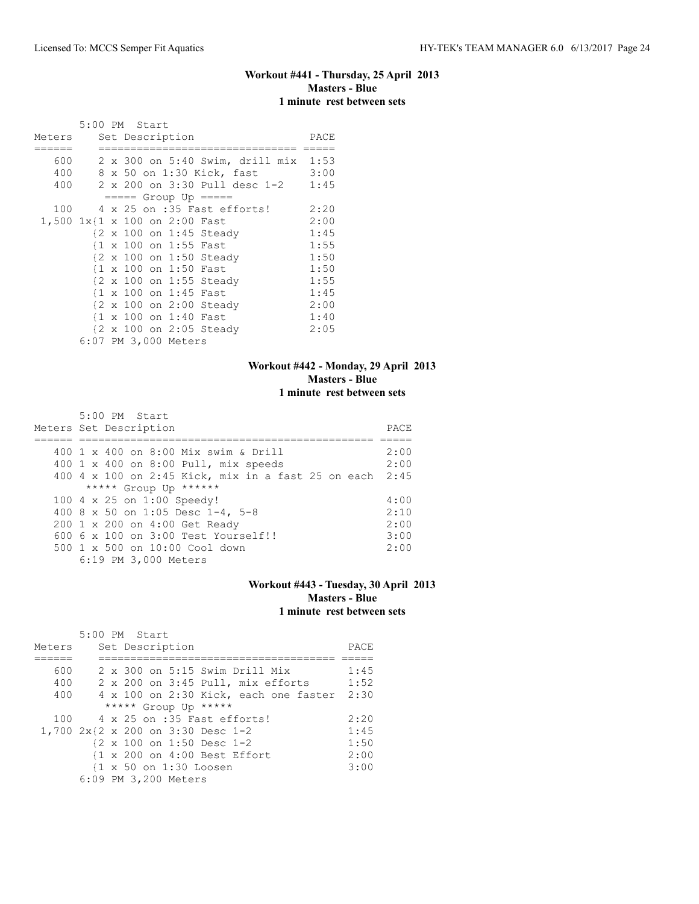# **Workout #441 - Thursday, 25 April 2013 Masters - Blue 1 minute rest between sets**

|                               | 5:00 PM Start |  |                       |                                      |      |
|-------------------------------|---------------|--|-----------------------|--------------------------------------|------|
| Meters                        |               |  | Set Description       |                                      | PACE |
|                               |               |  |                       |                                      |      |
| 600                           |               |  |                       | 2 x 300 on 5:40 Swim, drill mix 1:53 |      |
| 400                           |               |  |                       | 8 x 50 on 1:30 Kick, fast            | 3:00 |
| 400                           |               |  |                       | 2 x 200 on 3:30 Pull desc 1-2        | 1:45 |
|                               |               |  |                       | $== == $ Group Up $== == $           |      |
| 100                           |               |  |                       | 4 x 25 on :35 Fast efforts!          | 2:20 |
| 1,500 1x{1 x 100 on 2:00 Fast |               |  |                       |                                      | 2:00 |
|                               |               |  |                       | {2 x 100 on 1:45 Steady              | 1:45 |
|                               |               |  | {1 x 100 on 1:55 Fast |                                      | 1:55 |
|                               |               |  |                       | {2 x 100 on 1:50 Steady              | 1:50 |
|                               |               |  | {1 x 100 on 1:50 Fast |                                      | 1:50 |
|                               |               |  |                       | {2 x 100 on 1:55 Steady              | 1:55 |
|                               |               |  | {1 x 100 on 1:45 Fast |                                      | 1:45 |
|                               |               |  |                       | {2 x 100 on 2:00 Steady              | 2:00 |
|                               |               |  | {1 x 100 on 1:40 Fast |                                      | 1:40 |
|                               |               |  |                       | {2 x 100 on 2:05 Steady              | 2:05 |
|                               |               |  | 6:07 PM 3,000 Meters  |                                      |      |

# **Workout #442 - Monday, 29 April 2013 Masters - Blue 1 minute rest between sets**

| $5:00$ PM Start<br>Meters Set Description               | PACE |
|---------------------------------------------------------|------|
| 400 1 x 400 on 8:00 Mix swim & Drill                    | 2:00 |
| 400 1 x 400 on 8:00 Pull, mix speeds                    | 2:00 |
| 400 4 x 100 on 2:45 Kick, mix in a fast 25 on each 2:45 |      |
| ***** Group Up ******                                   |      |
| 100 4 x 25 on 1:00 Speedy!                              | 4:00 |
| 400 8 x 50 on 1:05 Desc 1-4, 5-8                        | 2:10 |
| 200 1 x 200 on 4:00 Get Ready                           | 2:00 |
| $6006 \times 100$ on $3:00$ Test Yourself!!             | 3:00 |
| 500 1 x 500 on 10:00 Cool down                          | 2:00 |
| 6:19 PM 3,000 Meters                                    |      |

## **Workout #443 - Tuesday, 30 April 2013 Masters - Blue 1 minute rest between sets**

| Meters |  | 5:00 PM Start<br>Set Description  |  |                                         | PACE |
|--------|--|-----------------------------------|--|-----------------------------------------|------|
|        |  |                                   |  |                                         |      |
|        |  |                                   |  |                                         |      |
| 600    |  |                                   |  | $2 \times 300$ on $5:15$ Swim Drill Mix | 1:45 |
| 400    |  |                                   |  | 2 x 200 on 3:45 Pull, mix efforts       | 1:52 |
| 400    |  |                                   |  | 4 x 100 on 2:30 Kick, each one faster   | 2:30 |
|        |  | ***** Group Up *****              |  |                                         |      |
| 100    |  | 4 x 25 on :35 Fast efforts!       |  |                                         | 2:20 |
|        |  | 1,700 2x{2 x 200 on 3:30 Desc 1-2 |  |                                         | 1:45 |
|        |  | {2 x 100 on 1:50 Desc 1-2         |  |                                         | 1:50 |
|        |  | {1 x 200 on 4:00 Best Effort      |  |                                         | 2:00 |
|        |  | {1 x 50 on 1:30 Loosen            |  |                                         | 3:00 |
|        |  | 6:09 PM 3,200 Meters              |  |                                         |      |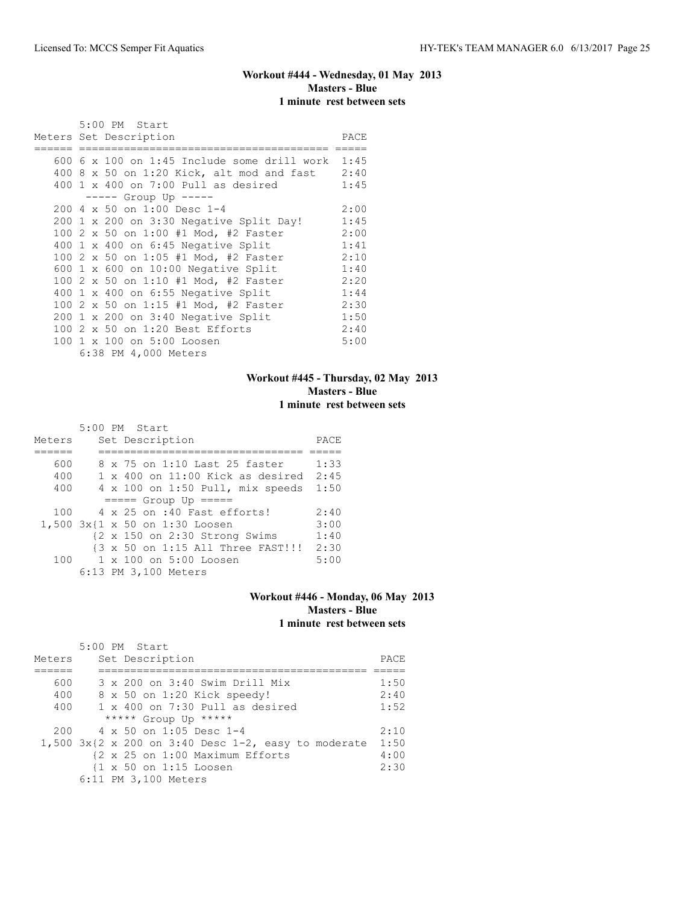# **Workout #444 - Wednesday, 01 May 2013 Masters - Blue 1 minute rest between sets**

|  | 5:00 PM Start                                 |      |
|--|-----------------------------------------------|------|
|  | Meters Set Description                        | PACE |
|  | $600$ 6 x 100 on 1:45 Include some drill work | 1:45 |
|  | $400$ 8 x 50 on 1:20 Kick, alt mod and fast   | 2:40 |
|  | $400 \t1 x 400$ on 7:00 Pull as desired       | 1:45 |
|  | ----- Group Up -----                          |      |
|  | 200 4 x 50 on 1:00 Desc 1-4                   | 2:00 |
|  | 200 1 x 200 on 3:30 Negative Split Day!       | 1:45 |
|  | 100 2 x 50 on 1:00 #1 Mod, #2 Faster          | 2:00 |
|  | $400 \t1 x 400$ on $6:45$ Negative Split      | 1:41 |
|  | 100 2 x 50 on 1:05 #1 Mod, #2 Faster          | 2:10 |
|  | 600 1 x 600 on 10:00 Negative Split           | 1:40 |
|  | 100 2 x 50 on 1:10 #1 Mod, #2 Faster          | 2:20 |
|  | 400 1 x 400 on 6:55 Negative Split            | 1:44 |
|  | 100 2 x 50 on 1:15 #1 Mod, #2 Faster          | 2:30 |
|  | $200 \t1 x 200$ on $3:40$ Negative Split      | 1:50 |
|  | 100 2 x 50 on 1:20 Best Efforts               | 2:40 |
|  | 100 1 x 100 on 5:00 Loosen                    | 5:00 |
|  | 6:38 PM 4,000 Meters                          |      |

# **Workout #445 - Thursday, 02 May 2013 Masters - Blue 1 minute rest between sets**

|        | 5:00 PM Start                                            |      |
|--------|----------------------------------------------------------|------|
| Meters | Set Description                                          | PACE |
|        |                                                          |      |
| 600    | 8 x 75 on 1:10 Last 25 faster                            | 1:33 |
| 400    | $1 \times 400$ on $11:00$ Kick as desired                | 2:45 |
| 400    | 4 x 100 on 1:50 Pull, mix speeds                         | 1:50 |
|        | $====$ Group Up $====$                                   |      |
| 100    | $4 \times 25$ on :40 Fast efforts!                       | 2:40 |
|        | 1,500 3x{1 x 50 on 1:30 Loosen                           | 3:00 |
|        | $\{2 \times 150 \text{ on } 2:30 \text{ Strong Swims}\}$ | 1:40 |
|        | {3 x 50 on 1:15 All Three FAST!!!                        | 2:30 |
| 100    | 1 x 100 on 5:00 Loosen                                   | 5:00 |
|        | 6:13 PM 3,100 Meters                                     |      |

#### **Workout #446 - Monday, 06 May 2013 Masters - Blue 1 minute rest between sets**

|        | 5:00 PM Start                                               |      |
|--------|-------------------------------------------------------------|------|
| Meters | Set Description                                             | PACE |
|        |                                                             |      |
| 600    | 3 x 200 on 3:40 Swim Drill Mix                              | 1:50 |
| 400    | 8 x 50 on 1:20 Kick speedy!                                 | 2:40 |
| 400    | $1 \times 400$ on 7:30 Pull as desired                      | 1:52 |
|        | ***** Group Up *****                                        |      |
| 200    | 4 x 50 on 1:05 Desc 1-4                                     | 2:10 |
|        | 1,500 $3x(2 \times 200)$ on 3:40 Desc 1-2, easy to moderate | 1:50 |
|        | {2 x 25 on 1:00 Maximum Efforts                             | 4:00 |
|        | {1 x 50 on 1:15 Loosen                                      | 2:30 |
|        | 6:11 PM 3,100 Meters                                        |      |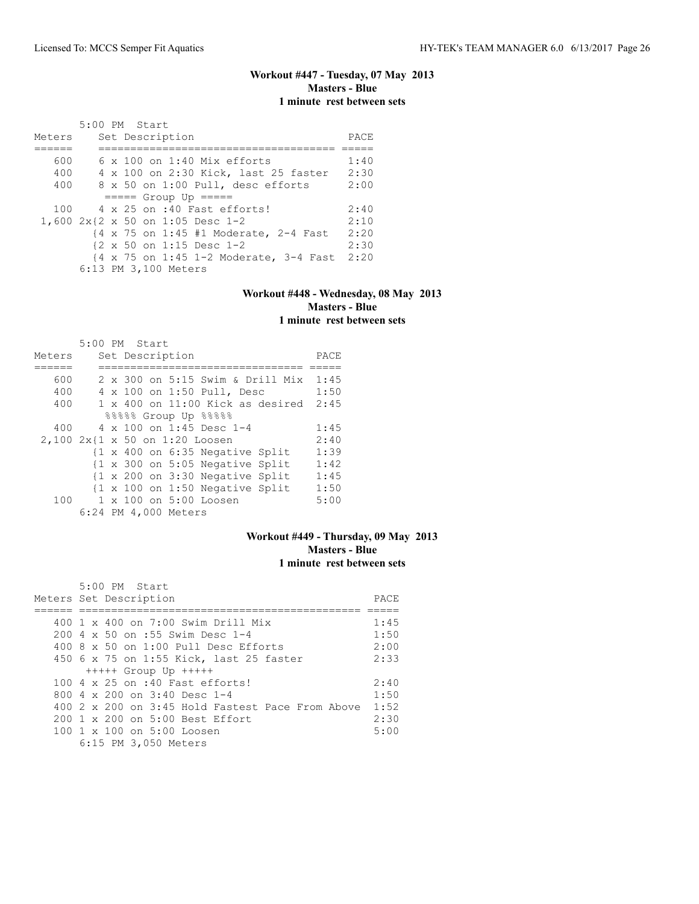# **Workout #447 - Tuesday, 07 May 2013 Masters - Blue 1 minute rest between sets**

|        | 5:00 PM Start |  |                      |                                    |                                        |      |
|--------|---------------|--|----------------------|------------------------------------|----------------------------------------|------|
| Meters |               |  | Set Description      |                                    |                                        | PACE |
|        |               |  |                      |                                    |                                        |      |
| 600    |               |  |                      | $6 \times 100$ on 1:40 Mix efforts |                                        | 1:40 |
| 400    |               |  |                      |                                    | 4 x 100 on 2:30 Kick, last 25 faster   | 2:30 |
| 400    |               |  |                      | 8 x 50 on 1:00 Pull, desc efforts  |                                        | 2:00 |
|        |               |  |                      | $====$ Group Up $====$             |                                        |      |
| 100    |               |  |                      | 4 x 25 on :40 Fast efforts!        |                                        | 2:40 |
|        |               |  |                      | 1,600 2x{2 x 50 on 1:05 Desc 1-2   |                                        | 2:10 |
|        |               |  |                      |                                    | {4 x 75 on 1:45 #1 Moderate, 2-4 Fast  | 2:20 |
|        |               |  |                      | {2 x 50 on 1:15 Desc 1-2           |                                        | 2:30 |
|        |               |  |                      |                                    | {4 x 75 on 1:45 1-2 Moderate, 3-4 Fast | 2:20 |
|        |               |  | 6:13 PM 3,100 Meters |                                    |                                        |      |

#### **Workout #448 - Wednesday, 08 May 2013 Masters - Blue 1 minute rest between sets**

|        | 5:00 PM Start                  |                 |  |                                                            |      |
|--------|--------------------------------|-----------------|--|------------------------------------------------------------|------|
| Meters |                                | Set Description |  |                                                            | PACE |
|        |                                |                 |  |                                                            |      |
| 600    |                                |                 |  | 2 x 300 on 5:15 Swim & Drill Mix                           | 1:45 |
| 400    |                                |                 |  | 4 x 100 on 1:50 Pull, Desc                                 | 1:50 |
| 400    |                                |                 |  | $1 \times 400$ on $11:00$ Kick as desired                  | 2:45 |
|        |                                |                 |  | %%%%% Group Up %%%%                                        |      |
| 400    |                                |                 |  | $4 \times 100$ on 1:45 Desc 1-4                            | 1:45 |
|        | 2,100 2x{1 x 50 on 1:20 Loosen |                 |  |                                                            | 2:40 |
|        |                                |                 |  | {1 x 400 on 6:35 Negative Split                            | 1:39 |
|        |                                |                 |  | {1 x 300 on 5:05 Negative Split                            | 1:42 |
|        |                                |                 |  | $\{1 \times 200 \text{ on } 3:30 \text{ Negative Split}\}$ | 1:45 |
|        |                                |                 |  | {1 x 100 on 1:50 Negative Split                            | 1:50 |
| 100    |                                |                 |  | 1 x 100 on 5:00 Loosen                                     | 5:00 |
|        | 6:24 PM 4,000 Meters           |                 |  |                                                            |      |

## **Workout #449 - Thursday, 09 May 2013 Masters - Blue 1 minute rest between sets**

| $5:00$ PM Start                                        |      |
|--------------------------------------------------------|------|
| Meters Set Description                                 | PACE |
|                                                        |      |
| 400 1 x 400 on 7:00 Swim Drill Mix                     | 1:45 |
| 200 4 x 50 on :55 Swim Desc 1-4                        | 1:50 |
| $400.8 \times 50$ on $1:00$ Pull Desc Efforts          | 2:00 |
| 450 6 x 75 on 1:55 Kick, last 25 faster                | 2:33 |
| $++++$ Group Up $++++$                                 |      |
| 100 4 x 25 on :40 Fast efforts!                        | 2:40 |
| 800 $4 \times 200$ on 3:40 Desc 1-4                    | 1:50 |
| 400 2 x 200 on 3:45 Hold Fastest Pace From Above       | 1:52 |
| 200 1 x 200 on 5:00 Best Effort                        | 2:30 |
| $100 \text{ 1 x } 100 \text{ on } 5:00 \text{ Loosen}$ | 5:00 |
| 6:15 PM 3,050 Meters                                   |      |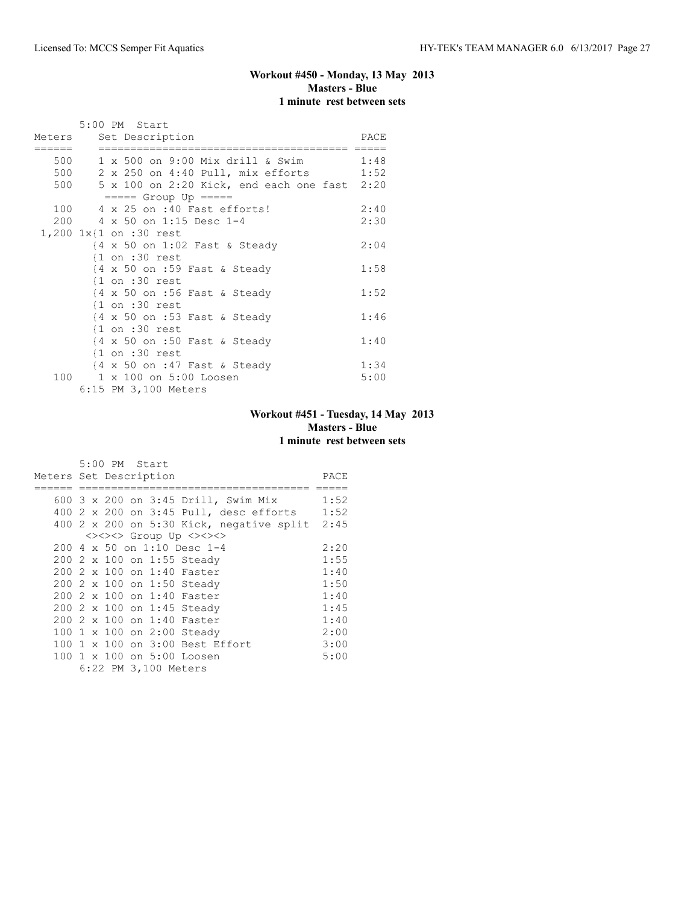# **Workout #450 - Monday, 13 May 2013 Masters - Blue 1 minute rest between sets**

|        | 5:00 PM Start                                                      |      |
|--------|--------------------------------------------------------------------|------|
|        | Meters Set Description                                             | PACE |
| ====== |                                                                    |      |
|        | 500 1 x 500 on 9:00 Mix drill & Swim 1:48                          |      |
|        | 500 2 x 250 on 4:40 Pull, mix efforts 1:52                         |      |
|        | 500 5 x 100 on 2:20 Kick, end each one fast 2:20                   |      |
|        | $====$ Group Up $====$                                             |      |
|        | 100 4 x 25 on :40 Fast efforts!                                    | 2:40 |
|        | 200 4 x 50 on 1:15 Desc 1-4                                        | 2:30 |
|        | $1,200$ $1x$ {1 on :30 rest                                        |      |
|        | $\{4 \times 50 \text{ on } 1:02 \text{ Fast } \& \text{ Steady}\}$ | 2:04 |
|        | $\{1$ on :30 rest                                                  |      |
|        | $\{4 \times 50 \text{ on } : 59 \text{ Fast } \& \text{ Steady}\}$ | 1:58 |
|        | $\{1$ on :30 rest                                                  |      |
|        | $\{4 \times 50 \text{ on } : 56 \text{ Fast } \& \text{ Steady}\}$ | 1:52 |
|        | $\{1$ on :30 rest                                                  |      |
|        | $\{4 \times 50 \text{ on } : 53 \text{ Fast } \& \text{ Steady}\}$ | 1:46 |
|        | $\{1$ on :30 rest                                                  |      |
|        | $\{4 \times 50 \text{ on } : 50 \text{ Fast } \& \text{ Steady}\}$ | 1:40 |
|        | $\{1$ on :30 rest                                                  |      |
|        | {4 x 50 on :47 Fast & Steady                                       | 1:34 |
|        | 100 1 x 100 on 5:00 Loosen                                         | 5:00 |
|        | 6:15 PM 3,100 Meters                                               |      |

# **Workout #451 - Tuesday, 14 May 2013 Masters - Blue 1 minute rest between sets**

|                        |  | 5:00 PM Start |                      |                                             |      |
|------------------------|--|---------------|----------------------|---------------------------------------------|------|
| Meters Set Description |  |               |                      |                                             | PACE |
|                        |  |               |                      |                                             |      |
|                        |  |               |                      | 600 3 x 200 on 3:45 Drill, Swim Mix         | 1:52 |
|                        |  |               |                      | 400 2 x 200 on 3:45 Pull, desc efforts 1:52 |      |
|                        |  |               |                      | 400 2 x 200 on 5:30 Kick, negative split    | 2:45 |
|                        |  |               |                      | <><><> Group Up <><><>                      |      |
|                        |  |               |                      | 200 4 x 50 on 1:10 Desc 1-4                 | 2:20 |
|                        |  |               |                      | 200 2 x 100 on 1:55 Steady                  | 1:55 |
|                        |  |               |                      | 200 2 x 100 on 1:40 Faster                  | 1:40 |
|                        |  |               |                      | 200 2 x 100 on 1:50 Steady                  | 1:50 |
|                        |  |               |                      | 200 2 x 100 on 1:40 Faster                  | 1:40 |
|                        |  |               |                      | 200 2 x 100 on 1:45 Steady                  | 1:45 |
|                        |  |               |                      | 200 2 x 100 on 1:40 Faster                  | 1:40 |
|                        |  |               |                      | 100 1 x 100 on 2:00 Steady                  | 2:00 |
| 100                    |  |               |                      | $1 \times 100$ on 3:00 Best Effort          | 3:00 |
| 100                    |  |               |                      | 1 x 100 on 5:00 Loosen                      | 5:00 |
|                        |  |               | 6:22 PM 3,100 Meters |                                             |      |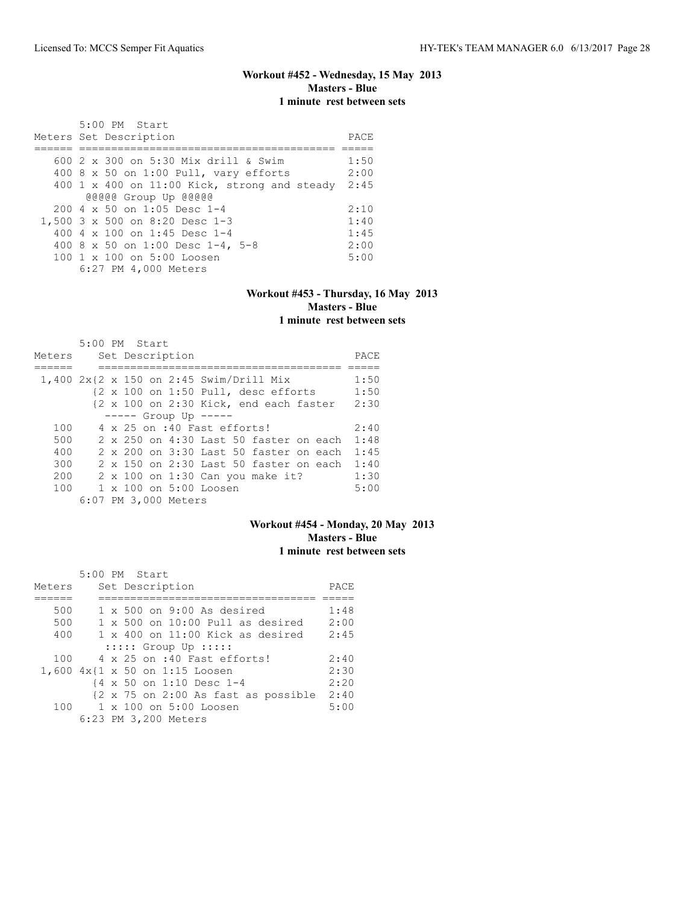# **Workout #452 - Wednesday, 15 May 2013 Masters - Blue 1 minute rest between sets**

| 5:00 PM Start                                        |      |
|------------------------------------------------------|------|
| Meters Set Description                               | PACE |
|                                                      |      |
| 600 2 x 300 on 5:30 Mix drill & Swim                 | 1:50 |
| 400 8 x 50 on 1:00 Pull, vary efforts                | 2:00 |
| 400 1 x 400 on 11:00 Kick, strong and steady         | 2:45 |
| @@@@@ Group Up @@@@@                                 |      |
| $200 \text{ } 4 \text{ } \times 50$ on 1:05 Desc 1-4 | 2:10 |
| 1,500 3 x 500 on 8:20 Desc 1-3                       | 1:40 |
| 400 4 $\times$ 100 on 1:45 Desc 1-4                  | 1:45 |
| 400 8 x 50 on 1:00 Desc 1-4, 5-8                     | 2:00 |
| 100 1 x 100 on 5:00 Loosen                           | 5:00 |
| 6:27 PM 4,000 Meters                                 |      |

#### **Workout #453 - Thursday, 16 May 2013 Masters - Blue 1 minute rest between sets**

|        | $5:00$ PM Start      |                                                 |      |
|--------|----------------------|-------------------------------------------------|------|
| Meters | Set Description      |                                                 | PACE |
|        |                      |                                                 |      |
|        |                      | 1,400 $2x$ {2 x 150 on 2:45 Swim/Drill Mix      | 1:50 |
|        |                      | {2 x 100 on 1:50 Pull, desc efforts             | 1:50 |
|        |                      | {2 x 100 on 2:30 Kick, end each faster          | 2:30 |
|        |                      | $--- $ Group Up $---$                           |      |
| 100    |                      | 4 x 25 on :40 Fast efforts!                     | 2:40 |
| 500    |                      | $2 \times 250$ on $4:30$ Last 50 faster on each | 1:48 |
| 400    |                      | $2 \times 200$ on $3:30$ Last 50 faster on each | 1:45 |
| 300    |                      | $2 \times 150$ on $2:30$ Last 50 faster on each | 1:40 |
| 200    |                      | $2 \times 100$ on 1:30 Can you make it?         | 1:30 |
| 100    |                      | $1 \times 100$ on $5:00$ Loosen                 | 5:00 |
|        | 6:07 PM 3,000 Meters |                                                 |      |

# **Workout #454 - Monday, 20 May 2013 Masters - Blue 1 minute rest between sets**

|        | 5:00 PM Start                             |      |
|--------|-------------------------------------------|------|
| Meters | Set Description                           | PACE |
|        |                                           |      |
| 500    | $1 \times 500$ on 9:00 As desired         | 1:48 |
| 500    | $1 \times 500$ on $10:00$ Pull as desired | 2:00 |
| 400    | $1 \times 400$ on $11:00$ Kick as desired | 2:45 |
|        | $:::::$ Group Up $:::::$                  |      |
| 100    | 4 x 25 on :40 Fast efforts!               | 2:40 |
|        | 1,600 4x{1 x 50 on 1:15 Loosen            | 2:30 |
|        | {4 x 50 on 1:10 Desc 1-4                  | 2:20 |
|        | {2 x 75 on 2:00 As fast as possible       | 2:40 |
| 100    | $1 \times 100$ on $5:00$ Loosen           | 5:00 |
|        | 6:23 PM 3,200 Meters                      |      |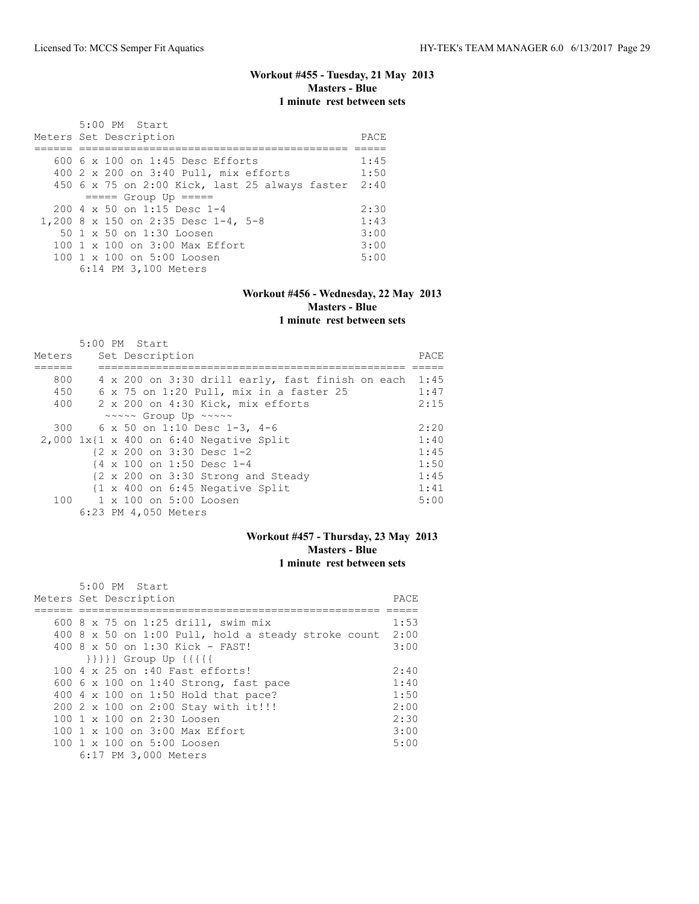# **Workout #455 - Tuesday, 21 May 2013 Masters - Blue 1 minute rest between sets**

| $5:00$ PM Start                                        | PACE |
|--------------------------------------------------------|------|
| Meters Set Description                                 |      |
|                                                        |      |
| 600 $6 \times 100$ on 1:45 Desc Efforts                | 1:45 |
| 400 2 x 200 on 3:40 Pull, mix efforts                  | 1:50 |
| 450 6 x 75 on 2:00 Kick, last 25 always faster         | 2:40 |
| $== == $ Group Up $== == $                             |      |
| $200 \times 50$ on 1:15 Desc 1-4                       | 2:30 |
| 1,200 8 x 150 on 2:35 Desc 1-4, 5-8                    | 1:43 |
| 50 1 x 50 on 1:30 Loosen                               | 3:00 |
| 100 $1 \times 100$ on $3:00$ Max Effort                | 3:00 |
| $100 \text{ 1 x } 100 \text{ on } 5:00 \text{ Loosen}$ | 5:00 |
| 6:14 PM 3,100 Meters                                   |      |

#### **Workout #456 - Wednesday, 22 May 2013 Masters - Blue 1 minute rest between sets**

|        |  | 5:00 PM Start                                        |                                                            |       |
|--------|--|------------------------------------------------------|------------------------------------------------------------|-------|
| Meters |  | Set Description                                      |                                                            | PACE. |
|        |  |                                                      |                                                            |       |
| 800    |  |                                                      | 4 x 200 on 3:30 drill early, fast finish on each           | 1:45  |
| 450    |  |                                                      | 6 x 75 on 1:20 Pull, mix in a faster 25                    | 1:47  |
| 400    |  |                                                      | 2 x 200 on 4:30 Kick, mix efforts                          | 2:15  |
|        |  | $\sim \sim \sim \sim$ Group Up $\sim \sim \sim \sim$ |                                                            |       |
| 300    |  |                                                      | 6 x 50 on 1:10 Desc 1-3, 4-6                               | 2:20  |
|        |  |                                                      | $2,000$ 1x{1 x 400 on 6:40 Negative Split                  | 1:40  |
|        |  |                                                      | {2 x 200 on 3:30 Desc 1-2                                  | 1:45  |
|        |  |                                                      | {4 x 100 on 1:50 Desc 1-4                                  | 1:50  |
|        |  |                                                      | {2 x 200 on 3:30 Strong and Steady                         | 1:45  |
|        |  |                                                      | $\{1 \times 400 \text{ on } 6:45 \text{ Negative Split}\}$ | 1:41  |
|        |  |                                                      | 100 1 x 100 on 5:00 Loosen                                 | 5:00  |
|        |  | 6:23 PM 4,050 Meters                                 |                                                            |       |

## **Workout #457 - Thursday, 23 May 2013 Masters - Blue 1 minute rest between sets**

| 5:00 PM Start                                       |      |
|-----------------------------------------------------|------|
| Meters Set Description                              | PACE |
|                                                     |      |
| 600 8 x 75 on 1:25 drill, swim mix                  | 1:53 |
| 400 8 x 50 on 1:00 Pull, hold a steady stroke count | 2:00 |
| 400 8 x 50 on 1:30 Kick - FAST!                     | 3:00 |
| $\{\{\{\{\}\}\}\}$ Group Up $\{\{\{\{\{\}\}\}\}$    |      |
| 100 4 x 25 on :40 Fast efforts!                     | 2:40 |
| 600 6 x 100 on 1:40 Strong, fast pace               | 1:40 |
| 400 4 x 100 on 1:50 Hold that pace?                 | 1:50 |
| 200 2 x 100 on 2:00 Stay with it!!!                 | 2:00 |
| 100 1 x 100 on 2:30 Loosen                          | 2:30 |
| 100 1 x 100 on 3:00 Max Effort                      | 3:00 |
| 100 1 x 100 on 5:00 Loosen                          | 5:00 |
| 6:17 PM 3,000 Meters                                |      |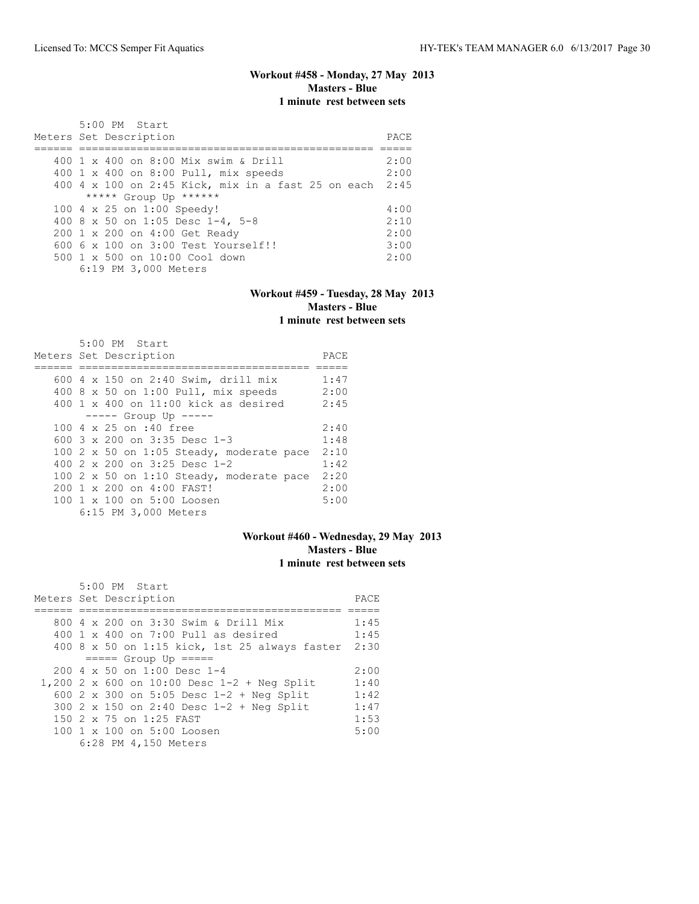## **Workout #458 - Monday, 27 May 2013 Masters - Blue 1 minute rest between sets**

| 5:00 PM Start<br>Meters Set Description                 | PACE. |
|---------------------------------------------------------|-------|
| 400 1 x 400 on 8:00 Mix swim & Drill                    | 2:00  |
| 400 1 x 400 on 8:00 Pull, mix speeds                    | 2:00  |
| 400 4 x 100 on 2:45 Kick, mix in a fast 25 on each 2:45 |       |
| ***** Group Up ******                                   |       |
| 100 4 x 25 on 1:00 Speedy!                              | 4:00  |
| 400 8 x 50 on 1:05 Desc 1-4, 5-8                        | 2:10  |
| 200 1 x 200 on 4:00 Get Ready                           | 2:00  |
| $6006 \times 100$ on $3:00$ Test Yourself!!             | 3:00  |
| $500 \t 1 \t x \t 500$ on $10:00$ Cool down             | 2:00  |
| 6:19 PM 3,000 Meters                                    |       |

#### **Workout #459 - Tuesday, 28 May 2013 Masters - Blue 1 minute rest between sets**

| $5:00$ PM Start<br>Meters Set Description         | PACE |
|---------------------------------------------------|------|
|                                                   |      |
| 600 4 x 150 on 2:40 Swim, drill mix               | 1:47 |
| 400 8 x 50 on 1:00 Pull, mix speeds               | 2:00 |
| $400 \text{ 1 x } 400$ on $11:00$ kick as desired | 2:45 |
| $--- $ Group Up $---$                             |      |
| 100 4 x 25 on :40 free                            | 2:40 |
| 600 $3 \times 200$ on $3:35$ Desc 1-3             | 1:48 |
| 100 2 x 50 on 1:05 Steady, moderate pace          | 2:10 |
| 400 $2 \times 200$ on $3:25$ Desc 1-2             | 1:42 |
| 100 2 x 50 on 1:10 Steady, moderate pace          | 2:20 |
| $200 \t 1 \t x \t 200 \t on \t 4:00$ FAST!        | 2:00 |
| 100 1 x 100 on 5:00 Loosen                        | 5:00 |
| 6:15 PM 3,000 Meters                              |      |

## **Workout #460 - Wednesday, 29 May 2013 Masters - Blue 1 minute rest between sets**

| 5:00 PM Start                                 |      |
|-----------------------------------------------|------|
| Meters Set Description                        | PACE |
|                                               |      |
| 800 4 x 200 on 3:30 Swim & Drill Mix          | 1:45 |
| 400 1 x 400 on 7:00 Pull as desired           | 1:45 |
| 400 8 x 50 on 1:15 kick, 1st 25 always faster | 2:30 |
| $====$ Group Up $====$                        |      |
| $200 \text{ } 4 \times 50$ on $1:00$ Desc 1-4 | 2:00 |
| 1,200 2 x 600 on 10:00 Desc 1-2 + Neg Split   | 1:40 |
| 600 2 x 300 on 5:05 Desc 1-2 + Neg Split      | 1:42 |
| 300 2 x 150 on 2:40 Desc $1-2$ + Neg Split    | 1:47 |
| 150 2 x 75 on 1:25 FAST                       | 1:53 |
| 100 1 x 100 on 5:00 Loosen                    | 5:00 |
| 6:28 PM 4,150 Meters                          |      |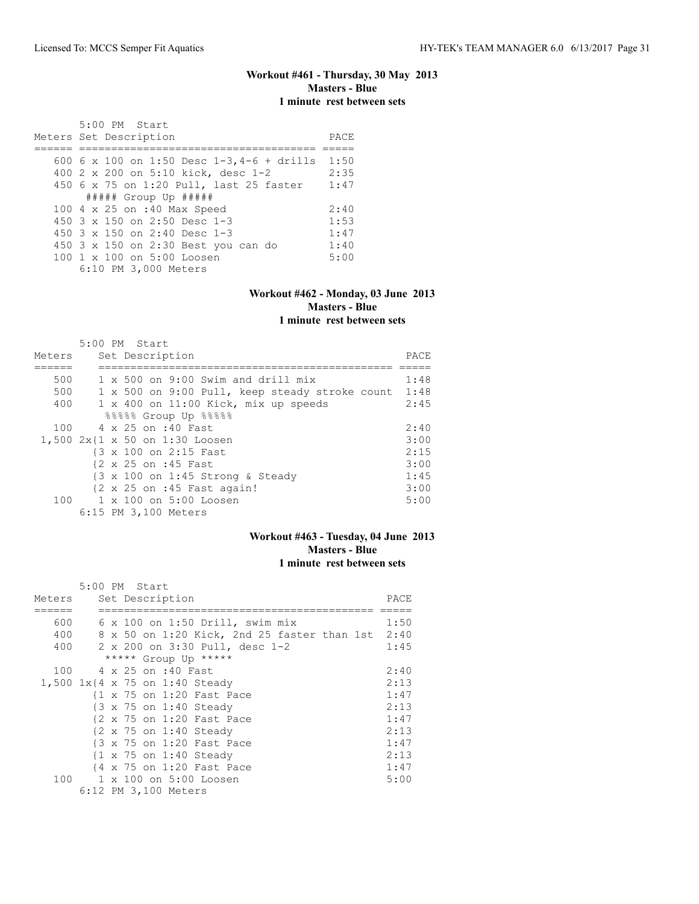## **Workout #461 - Thursday, 30 May 2013 Masters - Blue 1 minute rest between sets**

| 5:00 PM Start<br>Meters Set Description     | PACE |
|---------------------------------------------|------|
| 600 6 x 100 on 1:50 Desc $1-3, 4-6 + drift$ | 1:50 |
| 400 2 x 200 on 5:10 kick, desc 1-2          | 2:35 |
| 450 6 x 75 on 1:20 Pull, last 25 faster     | 1:47 |
| ##### Group Up #####                        |      |
| 100 4 x 25 on :40 Max Speed                 | 2:40 |
| 450 $3 \times 150$ on 2:50 Desc 1-3         | 1:53 |
| 450 3 x 150 on 2:40 Desc 1-3                | 1:47 |
| 450 3 x 150 on 2:30 Best you can do         | 1:40 |
| 100 1 x 100 on 5:00 Loosen                  | 5:00 |
| 6:10 PM 3,000 Meters                        |      |

#### **Workout #462 - Monday, 03 June 2013 Masters - Blue 1 minute rest between sets**

|        | 5:00 PM Start                                         |       |
|--------|-------------------------------------------------------|-------|
| Meters | Set Description                                       | PACE. |
|        |                                                       |       |
| 500    | 1 x 500 on 9:00 Swim and drill mix                    | 1:48  |
| 500    | 1 x 500 on 9:00 Pull, keep steady stroke count        | 1:48  |
| 400    | 1 x 400 on 11:00 Kick, mix up speeds                  | 2:45  |
|        | 88888 Group Up 88888                                  |       |
| 100    | 4 x 25 on :40 Fast                                    | 2:40  |
|        | 1,500 2x{1 x 50 on 1:30 Loosen                        | 3:00  |
|        | {3 x 100 on 2:15 Fast                                 | 2:15  |
|        | 12 x 25 on :45 Fast                                   | 3:00  |
|        | {3 x 100 on 1:45 Strong & Steady                      | 1:45  |
|        | $\{2 \times 25 \text{ on } : 45 \text{ Fast again}\}$ | 3:00  |
| 100    | 1 x 100 on 5:00 Loosen                                | 5:00  |
|        | 6:15 PM 3,100 Meters                                  |       |

## **Workout #463 - Tuesday, 04 June 2013 Masters - Blue 1 minute rest between sets**

|        | 5:00 PM Start      |  |                      |                                                   |      |
|--------|--------------------|--|----------------------|---------------------------------------------------|------|
| Meters |                    |  | Set Description      |                                                   | PACE |
|        |                    |  |                      |                                                   |      |
| 600    |                    |  |                      | $6 \times 100$ on 1:50 Drill, swim mix            | 1:50 |
| 400    |                    |  |                      | 8 x 50 on 1:20 Kick, 2nd 25 faster than 1st 2:40  |      |
| 400    |                    |  |                      | 2 x 200 on 3:30 Pull, desc 1-2                    | 1:45 |
|        |                    |  |                      | ***** Group Up *****                              |      |
| 100    | 4 x 25 on :40 Fast |  |                      |                                                   | 2:40 |
|        |                    |  |                      | 1,500 1x{4 x 75 on 1:40 Steady                    | 2:13 |
|        |                    |  |                      | {1 x 75 on 1:20 Fast Pace                         | 1:47 |
|        |                    |  |                      | {3 x 75 on 1:40 Steady                            | 2:13 |
|        |                    |  |                      | {2 x 75 on 1:20 Fast Pace                         | 1:47 |
|        |                    |  |                      | {2 x 75 on 1:40 Steady                            | 2:13 |
|        |                    |  |                      | {3 x 75 on 1:20 Fast Pace                         | 1:47 |
|        |                    |  |                      | $\{1 \times 75 \text{ on } 1:40 \text{ Steadv}\}$ | 2:13 |
|        |                    |  |                      | {4 x 75 on 1:20 Fast Pace                         | 1:47 |
|        |                    |  |                      | 100 1 x 100 on 5:00 Loosen                        | 5:00 |
|        |                    |  | 6:12 PM 3,100 Meters |                                                   |      |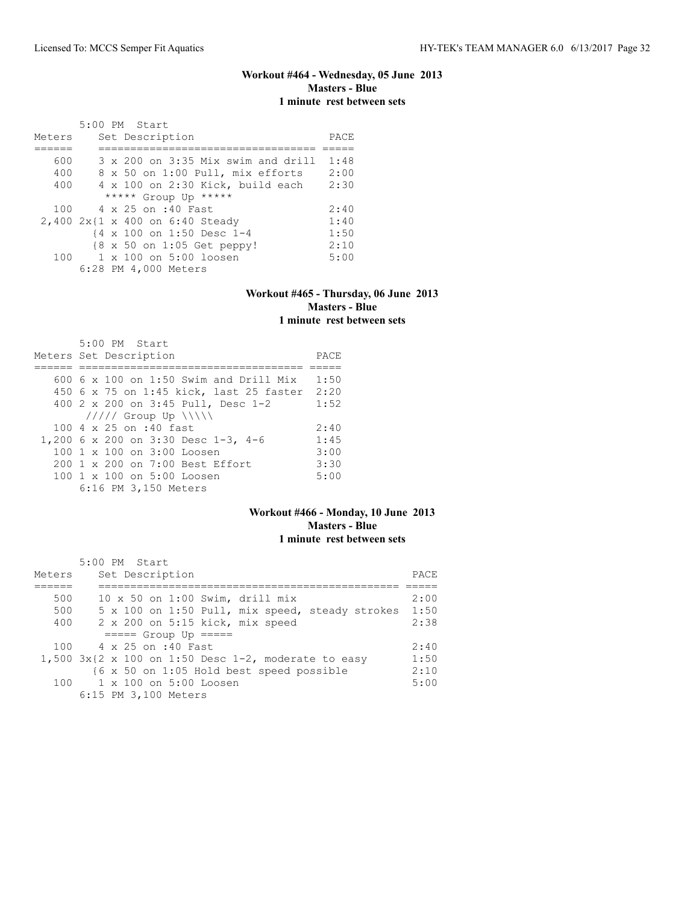# **Workout #464 - Wednesday, 05 June 2013 Masters - Blue 1 minute rest between sets**

|        | 5:00 PM Start                               |      |
|--------|---------------------------------------------|------|
| Meters | Set Description                             | PACE |
|        |                                             |      |
| 600    | $3 \times 200$ on $3:35$ Mix swim and drill | 1:48 |
| 400    | 8 x 50 on 1:00 Pull, mix efforts            | 2:00 |
| 400    | $4 \times 100$ on 2:30 Kick, build each     | 2:30 |
|        | ***** Group Up *****                        |      |
|        | 100 4 x 25 on :40 Fast                      | 2:40 |
|        | 2,400 2x{1 x 400 on 6:40 Steady             | 1:40 |
|        | {4 x 100 on 1:50 Desc 1-4                   | 1:50 |
|        | {8 x 50 on 1:05 Get peppy!                  | 2:10 |
| 100    | 1 x 100 on 5:00 loosen                      | 5:00 |
|        | 6:28 PM 4,000 Meters                        |      |

#### **Workout #465 - Thursday, 06 June 2013 Masters - Blue 1 minute rest between sets**

| 5:00 PM Start<br>Meters Set Description       | PACE |
|-----------------------------------------------|------|
|                                               |      |
| 600 $6 \times 100$ on 1:50 Swim and Drill Mix | 1:50 |
| 450 6 x 75 on 1:45 kick, last 25 faster 2:20  |      |
| 400 2 x 200 on 3:45 Pull, Desc 1-2            | 1:52 |
| $11111$ Group Up $\ \ $                       |      |
| $100.4 \times 25$ on :40 fast                 | 2:40 |
| 1,200 6 x 200 on 3:30 Desc 1-3, 4-6           | 1:45 |
| $100 \t 1 \t x \t 100$ on $3:00$ Loosen       | 3:00 |
| 200 1 x 200 on 7:00 Best Effort               | 3:30 |
| $100 \t 1 \t x \t 100$ on $5:00$ Loosen       | 5:00 |
| 6:16 PM 3,150 Meters                          |      |

## **Workout #466 - Monday, 10 June 2013 Masters - Blue 1 minute rest between sets**

| Meters | 5:00 PM Start<br>Set Description                            | PACE. |
|--------|-------------------------------------------------------------|-------|
| 500    | $10 \times 50$ on $1:00$ Swim, drill mix                    | 2:00  |
| 500    | 5 x 100 on 1:50 Pull, mix speed, steady strokes             | 1:50  |
| 400    | 2 x 200 on 5:15 kick, mix speed                             | 2:38  |
|        | $====$ Group Up $====$                                      |       |
|        | 100 4 x 25 on :40 Fast                                      | 2:40  |
|        | 1,500 $3x(2 \times 100)$ on 1:50 Desc 1-2, moderate to easy | 1:50  |
|        | {6 x 50 on 1:05 Hold best speed possible                    | 2:10  |
|        | 100 1 x 100 on 5:00 Loosen                                  | 5:00  |
|        | 6:15 PM 3,100 Meters                                        |       |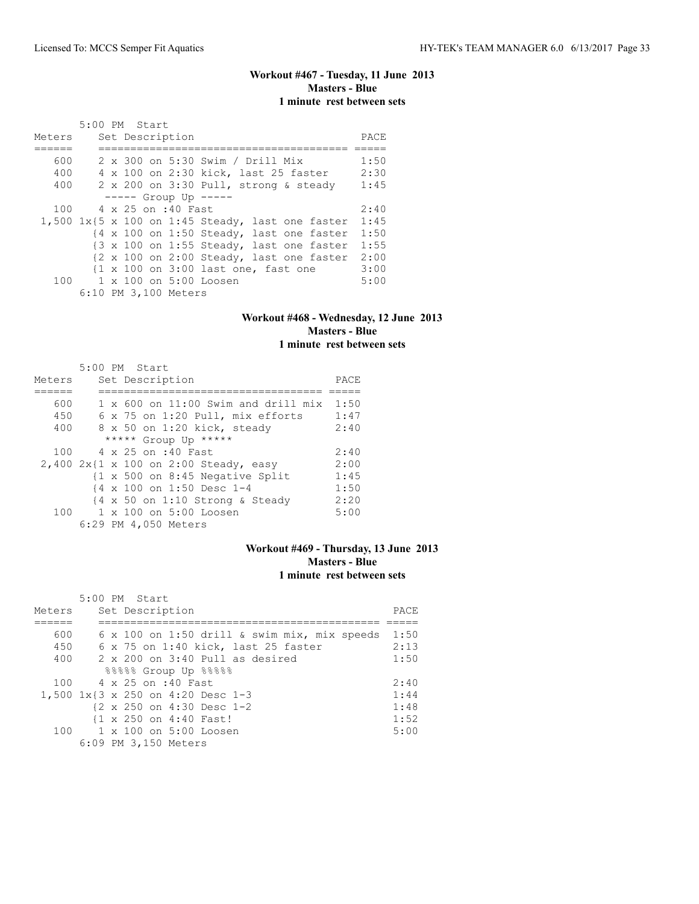# **Workout #467 - Tuesday, 11 June 2013 Masters - Blue 1 minute rest between sets**

| Meters | 5:00 PM Start<br>Set Description                                                   | PACE |
|--------|------------------------------------------------------------------------------------|------|
| 600    | 2 x 300 on 5:30 Swim / Drill Mix                                                   | 1:50 |
| 400    | 4 x 100 on 2:30 kick, last 25 faster                                               | 2:30 |
| 400    | 2 x 200 on 3:30 Pull, strong & steady                                              | 1:45 |
|        | $--- $ Group Up $---$                                                              |      |
| 100    | 4 x 25 on :40 Fast                                                                 | 2:40 |
|        | $1,500$ $1x\{5 \times 100 \text{ on } 1:45 \text{ Steady}, \text{last one faster}$ | 1:45 |
|        | {4 x 100 on 1:50 Steady, last one faster                                           | 1:50 |
|        | $\{3 \times 100 \text{ on } 1:55 \text{ Steady, last one faster}\}$                | 1:55 |
|        | {2 x 100 on 2:00 Steady, last one faster                                           | 2:00 |
|        | {1 x 100 on 3:00 last one, fast one                                                | 3:00 |
|        | 100 1 x 100 on 5:00 Loosen                                                         | 5:00 |
|        | 6:10 PM 3,100 Meters                                                               |      |

#### **Workout #468 - Wednesday, 12 June 2013 Masters - Blue 1 minute rest between sets**

|        | 5:00 PM Start                                                        |      |
|--------|----------------------------------------------------------------------|------|
| Meters | Set Description                                                      | PACE |
|        |                                                                      |      |
| 600    | $1 \times 600$ on $11:00$ Swim and drill mix                         | 1:50 |
| 450    | 6 x 75 on 1:20 Pull, mix efforts                                     | 1:47 |
| 400    | 8 x 50 on 1:20 kick, steady                                          | 2:40 |
|        | ***** Group Up *****                                                 |      |
| 100    | 4 x 25 on :40 Fast                                                   | 2:40 |
|        | 2,400 2x{1 x 100 on 2:00 Steady, easy                                | 2:00 |
|        | $\{1 \times 500 \text{ on } 8:45 \text{ Negative Split}\}$           | 1:45 |
|        | {4 x 100 on 1:50 Desc 1-4                                            | 1:50 |
|        | $\{4 \times 50 \text{ on } 1:10 \text{ Strong } \& \text{ Steady}\}$ | 2:20 |
| 100    | 1 x 100 on 5:00 Loosen                                               | 5:00 |
|        | 6:29 PM 4,050 Meters                                                 |      |

## **Workout #469 - Thursday, 13 June 2013 Masters - Blue 1 minute rest between sets**

|        | 5:00 PM Start                                |       |
|--------|----------------------------------------------|-------|
| Meters | Set Description                              | PACE. |
|        |                                              |       |
| 600    | 6 x 100 on 1:50 drill & swim mix, mix speeds | 1:50  |
| 450    | 6 x 75 on 1:40 kick, last 25 faster          | 2:13  |
| 400    | $2 \times 200$ on $3:40$ Pull as desired     | 1:50  |
|        | 88888 Group Up 88888                         |       |
| 100    | 4 x 25 on :40 Fast                           | 2:40  |
|        | 1,500 1x{3 x 250 on 4:20 Desc 1-3            | 1:44  |
|        | {2 x 250 on 4:30 Desc 1-2                    | 1:48  |
|        | {1 x 250 on 4:40 Fast!                       | 1:52  |
|        | 100 1 x 100 on 5:00 Loosen                   | 5:00  |
|        | 6:09 PM 3,150 Meters                         |       |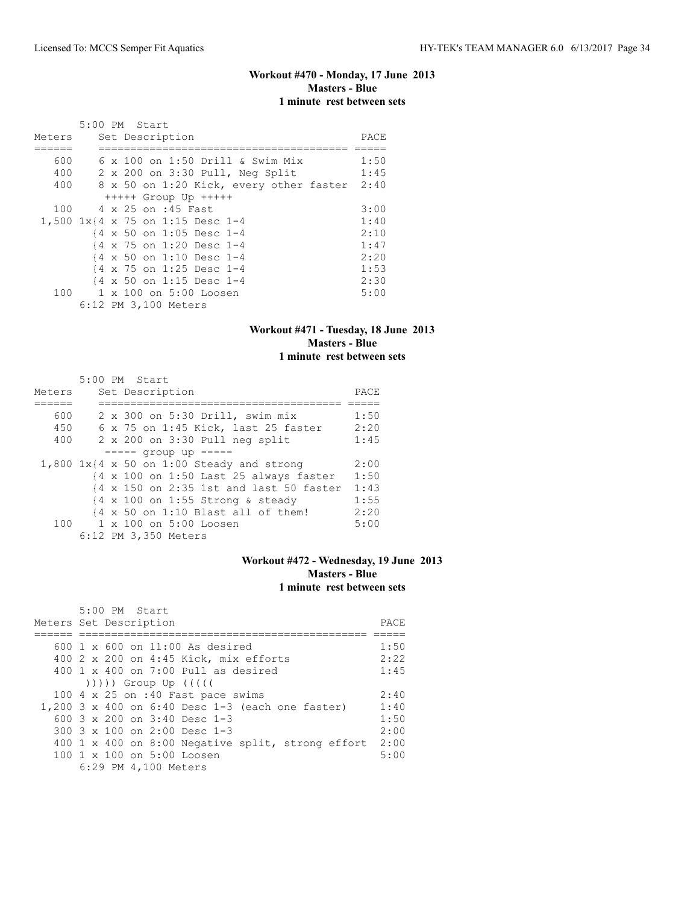## **Workout #470 - Monday, 17 June 2013 Masters - Blue 1 minute rest between sets**

|        | 5:00 PM Start                                      |      |
|--------|----------------------------------------------------|------|
| Meters | Set Description                                    | PACE |
|        |                                                    |      |
| 600    | $6 \times 100$ on 1:50 Drill & Swim Mix            | 1:50 |
| 400    | 2 x 200 on 3:30 Pull, Neg Split                    | 1:45 |
| 400    | 8 x 50 on 1:20 Kick, every other faster            | 2:40 |
|        | $++++$ Group Up $++++$                             |      |
| 100    | 4 x 25 on :45 Fast                                 | 3:00 |
|        | 1,500 1x{4 x 75 on 1:15 Desc 1-4                   | 1:40 |
|        | {4 x 50 on 1:05 Desc 1-4                           | 2:10 |
|        | {4 x 75 on 1:20 Desc 1-4                           | 1:47 |
|        | $\{4 \times 50 \text{ on } 1:10 \text{ Desc } 1-4$ | 2:20 |
|        | {4 x 75 on 1:25 Desc 1-4                           | 1:53 |
|        | {4 x 50 on 1:15 Desc 1-4                           | 2:30 |
|        | 100 1 x 100 on 5:00 Loosen                         | 5:00 |
|        | 6:12 PM 3,100 Meters                               |      |

## **Workout #471 - Tuesday, 18 June 2013 Masters - Blue 1 minute rest between sets**

|        | 5:00 PM Start                                                              |      |
|--------|----------------------------------------------------------------------------|------|
| Meters | Set Description                                                            | PACE |
|        |                                                                            |      |
| 600    | 2 x 300 on 5:30 Drill, swim mix                                            | 1:50 |
| 450    | 6 x 75 on 1:45 Kick, last 25 faster                                        | 2:20 |
| 400    | 2 x 200 on 3:30 Pull neg split                                             | 1:45 |
|        | $--- -$ qroup up $--- -$                                                   |      |
|        | $1,800$ $1x$ {4 x 50 on 1:00 Steady and strong                             | 2:00 |
|        | $\{4 \times 100 \text{ on } 1:50 \text{ Last } 25 \text{ always faster}\}$ | 1:50 |
|        | {4 x 150 on 2:35 1st and last 50 faster                                    | 1:43 |
|        | $\{4 \times 100 \text{ on } 1:55 \text{ Strong } \& \text{ steady} \}$     | 1:55 |
|        | $\{4 \times 50 \text{ on } 1:10 \text{ Black all of them}\}$               | 2:20 |
|        | 100 1 x 100 on 5:00 Loosen                                                 | 5:00 |
|        | 6:12 PM 3,350 Meters                                                       |      |

## **Workout #472 - Wednesday, 19 June 2013 Masters - Blue 1 minute rest between sets**

| 5:00 PM Start                                                                                                                                                                                                                |      |
|------------------------------------------------------------------------------------------------------------------------------------------------------------------------------------------------------------------------------|------|
| Meters Set Description                                                                                                                                                                                                       | PACE |
|                                                                                                                                                                                                                              |      |
| $600 \text{ 1 x } 600$ on $11:00$ As desired                                                                                                                                                                                 | 1:50 |
| 400 2 x 200 on 4:45 Kick, mix efforts                                                                                                                                                                                        | 2:22 |
| $400 \t 1 \t x \t 400$ on $7:00$ Pull as desired                                                                                                                                                                             | 1:45 |
| $($ $($ $($ $($ $($ $($ $))$ $)$ $)$ $($ $)$ $($ $)$ $($ $)$ $($ $)$ $($ $)$ $($ $)$ $($ $)$ $($ $)$ $($ $)$ $($ $)$ $($ $)$ $($ $)$ $($ $)$ $($ $)$ $($ $)$ $($ $)$ $($ $)$ $($ $)$ $($ $)$ $($ $)$ $($ $)$ $($ $)$ $($ $)$ |      |
| 100 $4 \times 25$ on :40 Fast pace swims                                                                                                                                                                                     | 2:40 |
| 1,200 3 x 400 on 6:40 Desc 1-3 (each one faster)                                                                                                                                                                             | 1:40 |
| 600 $3 \times 200$ on $3:40$ Desc 1-3                                                                                                                                                                                        | 1:50 |
| 300 $3 \times 100$ on 2:00 Desc 1-3                                                                                                                                                                                          | 2:00 |
| 400 1 x 400 on 8:00 Negative split, strong effort                                                                                                                                                                            | 2:00 |
| 100 1 x 100 on 5:00 Loosen                                                                                                                                                                                                   | 5:00 |
| 6:29 PM 4,100 Meters                                                                                                                                                                                                         |      |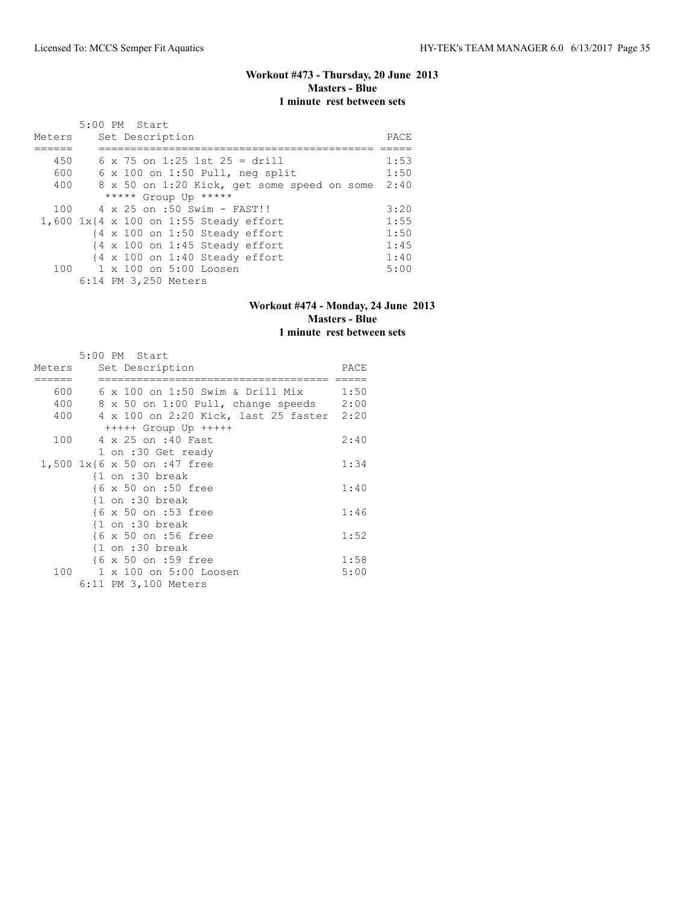# **Workout #473 - Thursday, 20 June 2013 Masters - Blue 1 minute rest between sets**

|        | 5:00 PM Start                                             |      |  |  |  |  |  |  |
|--------|-----------------------------------------------------------|------|--|--|--|--|--|--|
| Meters | Set Description                                           | PACE |  |  |  |  |  |  |
|        |                                                           |      |  |  |  |  |  |  |
| 450    | $6 \times 75$ on 1:25 1st 25 = drill                      | 1:53 |  |  |  |  |  |  |
| 600    | $6 \times 100$ on 1:50 Pull, neg split                    | 1:50 |  |  |  |  |  |  |
| 400    | 8 x 50 on 1:20 Kick, get some speed on some               | 2:40 |  |  |  |  |  |  |
|        | ***** Group Up *****                                      |      |  |  |  |  |  |  |
| 100    | 4 x 25 on :50 Swim - FAST!!                               | 3:20 |  |  |  |  |  |  |
|        | 1,600 1x{4 x 100 on 1:55 Steady effort                    | 1:55 |  |  |  |  |  |  |
|        | $\{4 \times 100 \text{ on } 1:50 \text{ Steadv effort}\}$ | 1:50 |  |  |  |  |  |  |
|        | $\{4 \times 100 \text{ on } 1:45 \text{ Steady effort}\}$ | 1:45 |  |  |  |  |  |  |
|        | $\{4 \times 100 \text{ on } 1:40 \text{ Steadv effort}\}$ | 1:40 |  |  |  |  |  |  |
|        | 100 1 x 100 on 5:00 Loosen                                | 5:00 |  |  |  |  |  |  |
|        | 6:14 PM 3,250 Meters                                      |      |  |  |  |  |  |  |

## **Workout #474 - Monday, 24 June 2013 Masters - Blue 1 minute rest between sets**

|        | 5:00 PM Start                             |      |
|--------|-------------------------------------------|------|
| Meters | Set Description                           | PACE |
|        |                                           |      |
| 600    | $6 \times 100$ on 1:50 Swim & Drill Mix   | 1:50 |
| 400    | 8 x 50 on 1:00 Pull, change speeds        | 2:00 |
| 400    | 4 x 100 on 2:20 Kick, last 25 faster 2:20 |      |
|        | $++++$ Group Up $++++$                    |      |
| 100    | 4 x 25 on :40 Fast                        | 2:40 |
|        | 1 on :30 Get ready                        |      |
|        | 1,500 1x{6 x 50 on :47 free               | 1:34 |
|        | $\{1$ on :30 break                        |      |
|        | {6 x 50 on :50 free                       | 1:40 |
|        | $\{1$ on :30 break                        |      |
|        | {6 x 50 on :53 free                       | 1:46 |
|        | $\{1$ on :30 break                        |      |
|        | {6 x 50 on :56 free                       | 1:52 |
|        | $\{1$ on :30 break                        |      |
|        | {6 x 50 on :59 free                       | 1:58 |
| 100    | $1 \times 100$ on $5:00$ Loosen           | 5:00 |
|        | 6:11 PM 3,100 Meters                      |      |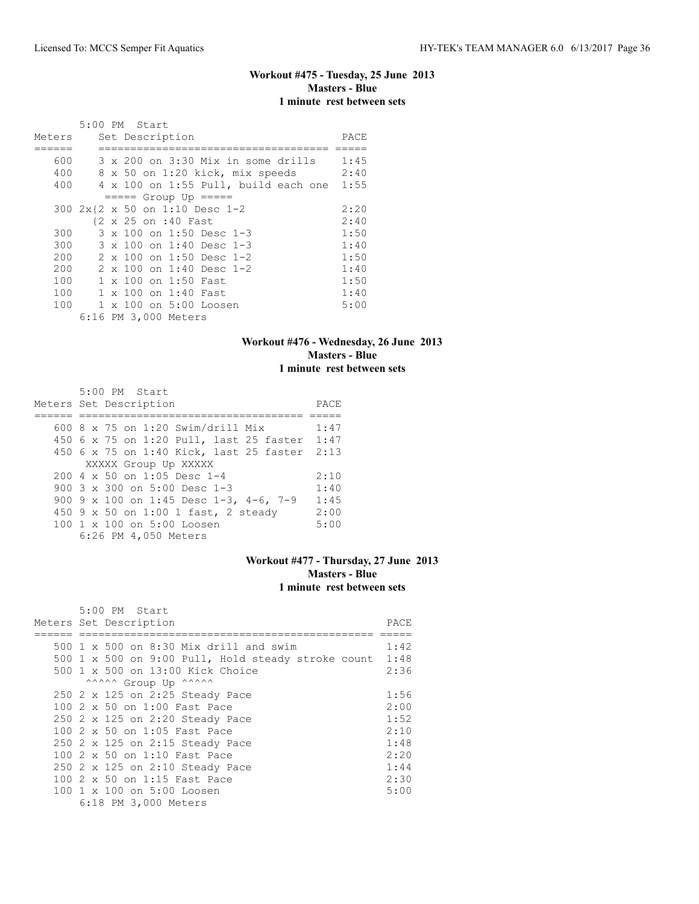# **Workout #475 - Tuesday, 25 June 2013 Masters - Blue 1 minute rest between sets**

|            |  | $5:00$ PM Start                                                           |              |
|------------|--|---------------------------------------------------------------------------|--------------|
| Meters     |  | Set Description                                                           | PACE         |
| 600<br>400 |  | 3 x 200 on 3:30 Mix in some drills<br>8 x 50 on 1:20 kick, mix speeds     | 1:45<br>2:40 |
| 400        |  | $4 \times 100$ on 1:55 Pull, build each one<br>$== == $ Group Up $== == $ | 1:55         |
|            |  | 300 2x{2 x 50 on 1:10 Desc 1-2<br>{2 x 25 on :40 Fast                     | 2:20<br>2:40 |
| 300<br>300 |  | 3 x 100 on 1:50 Desc 1-3<br>3 x 100 on 1:40 Desc 1-3                      | 1:50<br>1:40 |
| 200<br>200 |  | 2 x 100 on 1:50 Desc 1-2<br>2 x 100 on 1:40 Desc 1-2                      | 1:50<br>1:40 |
| 100        |  | 1 x 100 on 1:50 Fast                                                      | 1:50         |
| 100<br>100 |  | $1 \times 100$ on 1:40 Fast<br>1 x 100 on 5:00 Loosen                     | 1:40<br>5:00 |
|            |  | 6:16 PM 3,000 Meters                                                      |              |

## **Workout #476 - Wednesday, 26 June 2013 Masters - Blue 1 minute rest between sets**

| 5:00 PM Start                                          |      |
|--------------------------------------------------------|------|
| Meters Set Description                                 | PACE |
|                                                        |      |
| 600 8 x 75 on 1:20 Swim/drill Mix                      | 1:47 |
| 450 6 x 75 on 1:20 Pull, last 25 faster                | 1:47 |
| 450 6 x 75 on 1:40 Kick, last 25 faster 2:13           |      |
| XXXXX Group Up XXXXX                                   |      |
| $200.4 \times 50$ on 1:05 Desc 1-4                     | 2:10 |
| 900 $3 \times 300$ on $5:00$ Desc 1-3                  | 1:40 |
| 900 9 x 100 on 1:45 Desc 1-3, 4-6, 7-9                 | 1:45 |
| 450 9 x 50 on 1:00 1 fast, 2 steady                    | 2:00 |
| $100 \text{ 1 x } 100 \text{ on } 5:00 \text{ Loosen}$ | 5:00 |
| 6:26 PM 4,050 Meters                                   |      |

## **Workout #477 - Thursday, 27 June 2013 Masters - Blue 1 minute rest between sets**

|                      | 5:00 PM Start                                           |      |  |  |  |  |
|----------------------|---------------------------------------------------------|------|--|--|--|--|
|                      | Meters Set Description                                  | PACE |  |  |  |  |
|                      |                                                         |      |  |  |  |  |
|                      | 500 1 x 500 on 8:30 Mix drill and swim                  | 1:42 |  |  |  |  |
|                      | 500 1 x 500 on 9:00 Pull, Hold steady stroke count 1:48 |      |  |  |  |  |
|                      | 500 1 x 500 on 13:00 Kick Choice                        | 2:36 |  |  |  |  |
|                      | ^^^^^^ Group Up ^^^^^^                                  |      |  |  |  |  |
|                      | 250 2 x 125 on 2:25 Steady Pace                         | 1:56 |  |  |  |  |
|                      | 100 2 x 50 on 1:00 Fast Pace                            | 2:00 |  |  |  |  |
|                      | 250 2 x 125 on 2:20 Steady Pace                         | 1:52 |  |  |  |  |
|                      | 100 2 x 50 on 1:05 Fast Pace                            | 2:10 |  |  |  |  |
|                      | 250 2 x 125 on 2:15 Steady Pace                         | 1:48 |  |  |  |  |
|                      | 100 2 x 50 on 1:10 Fast Pace                            | 2:20 |  |  |  |  |
|                      | 250 2 x 125 on 2:10 Steady Pace                         | 1:44 |  |  |  |  |
|                      | 100 2 x 50 on 1:15 Fast Pace                            | 2:30 |  |  |  |  |
|                      | 100 1 x 100 on 5:00 Loosen                              | 5:00 |  |  |  |  |
| 6:18 PM 3,000 Meters |                                                         |      |  |  |  |  |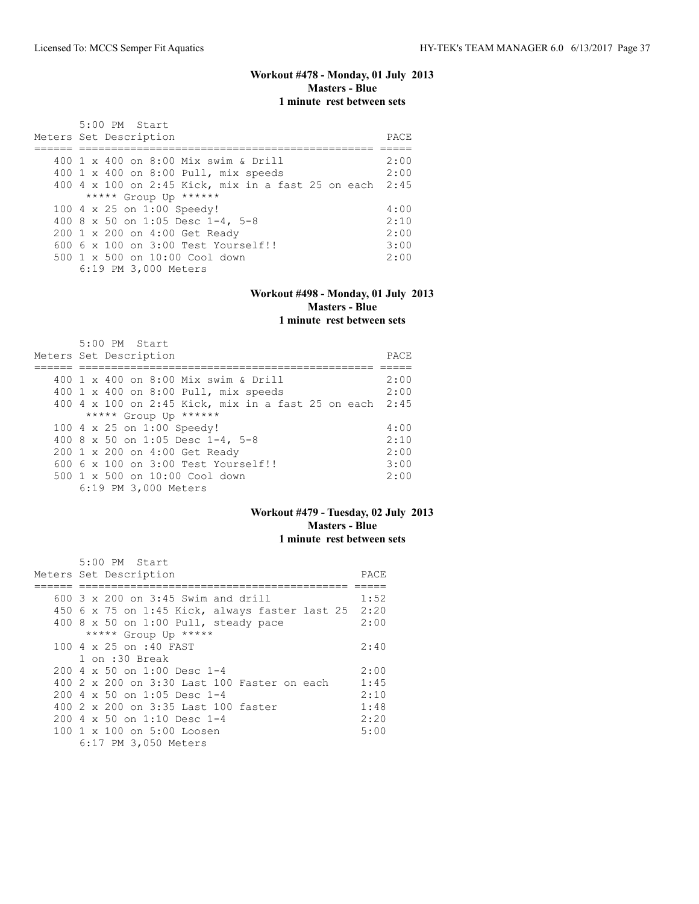## **Workout #478 - Monday, 01 July 2013 Masters - Blue 1 minute rest between sets**

| 5:00 PM Start<br>Meters Set Description              | PACE |
|------------------------------------------------------|------|
| 400 1 x 400 on 8:00 Mix swim & Drill                 | 2:00 |
| 400 1 x 400 on 8:00 Pull, mix speeds                 | 2:00 |
| $400$ 4 x 100 on 2:45 Kick, mix in a fast 25 on each | 2:45 |
| ***** Group Up ******                                |      |
| 100 4 x 25 on 1:00 Speedy!                           | 4:00 |
| 400 8 x 50 on 1:05 Desc 1-4, 5-8                     | 2:10 |
| 200 1 x 200 on 4:00 Get Ready                        | 2:00 |
| $6006 \times 100$ on $3:00$ Test Yourself!!          | 3:00 |
| 500 1 x 500 on 10:00 Cool down                       | 2:00 |
| 6:19 PM 3,000 Meters                                 |      |

# **Workout #498 - Monday, 01 July 2013 Masters - Blue**

**1 minute rest between sets**

| $5:00$ PM Start                                    |      |
|----------------------------------------------------|------|
| Meters Set Description                             | PACE |
|                                                    |      |
| 400 1 x 400 on 8:00 Mix swim & Drill               | 2:00 |
| 400 1 x 400 on 8:00 Pull, mix speeds               | 2:00 |
| 400 4 x 100 on 2:45 Kick, mix in a fast 25 on each | 2:45 |
| ***** Group Up ******                              |      |
| 100 4 x 25 on 1:00 Speedy!                         | 4:00 |
| 400 8 x 50 on 1:05 Desc 1-4, 5-8                   | 2:10 |
| 200 1 x 200 on 4:00 Get Ready                      | 2:00 |
| $6006 \times 100$ on $3:00$ Test Yourself!!        | 3:00 |
| $500 \t 1 \t x \t 500$ on $10:00$ Cool down        | 2:00 |
| 6:19 PM 3,000 Meters                               |      |

## **Workout #479 - Tuesday, 02 July 2013 Masters - Blue 1 minute rest between sets**

| 5:00 PM Start                                          |      |
|--------------------------------------------------------|------|
| Meters Set Description                                 | PACE |
|                                                        |      |
| $600$ 3 x 200 on 3:45 Swim and drill                   | 1:52 |
| 450 6 x 75 on 1:45 Kick, always faster last 25         | 2:20 |
| 400 8 x 50 on 1:00 Pull, steady pace                   | 2:00 |
| ***** Group Up *****                                   |      |
| 100 4 x 25 on :40 FAST                                 | 2:40 |
| 1 on :30 Break                                         |      |
| $200.4 \times 50$ on 1:00 Desc 1-4                     | 2:00 |
| 400 2 x 200 on 3:30 Last 100 Faster on each            | 1:45 |
| $200.4 \times 50$ on 1:05 Desc 1-4                     | 2:10 |
| 400 2 x 200 on 3:35 Last 100 faster                    | 1:48 |
| $2004 \times 50$ on 1:10 Desc 1-4                      | 2:20 |
| $100 \text{ 1 x } 100 \text{ on } 5:00 \text{ Loosen}$ | 5:00 |
| 6:17 PM 3,050 Meters                                   |      |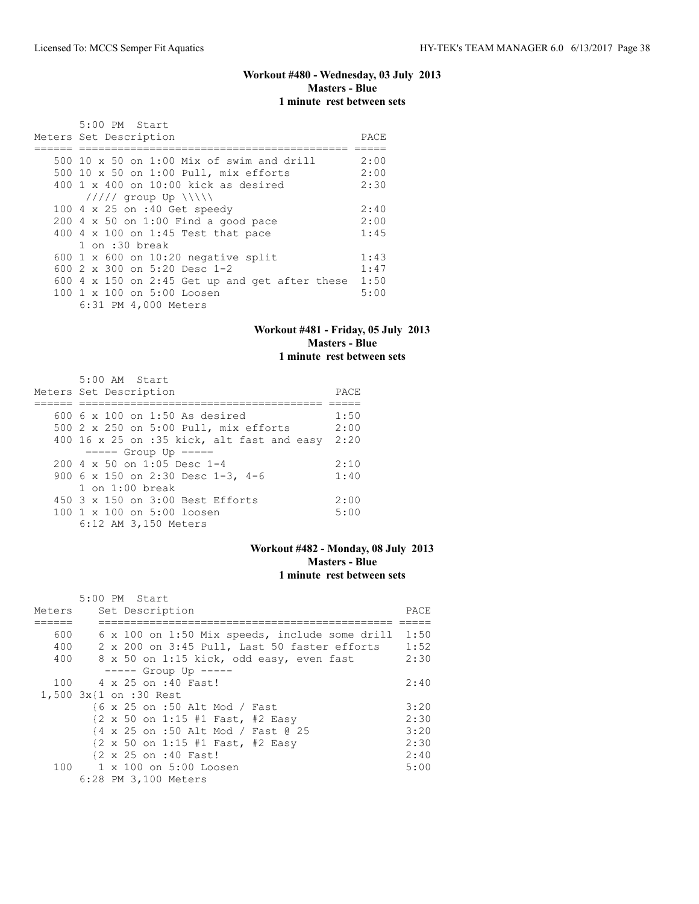## **Workout #480 - Wednesday, 03 July 2013 Masters - Blue 1 minute rest between sets**

| 5:00 PM Start                                         |      |
|-------------------------------------------------------|------|
| Meters Set Description                                | PACE |
|                                                       |      |
| $500\ 10 \times 50$ on $1:00$ Mix of swim and drill   | 2:00 |
| 500 10 x 50 on 1:00 Pull, mix efforts                 | 2:00 |
| $400 \t1 x 400$ on $10:00$ kick as desired            | 2:30 |
| $11111$ group Up $\  \  \$                            |      |
| 100 4 x 25 on :40 Get speedy                          | 2:40 |
| $200$ 4 x 50 on 1:00 Find a good pace                 | 2:00 |
| 400 4 x 100 on 1:45 Test that pace                    | 1:45 |
| 1 on :30 break                                        |      |
| 600 1 x 600 on 10:20 negative split                   | 1:43 |
| 600 $2 \times 300$ on 5:20 Desc 1-2                   | 1:47 |
| 600 $4 \times 150$ on 2:45 Get up and get after these | 1:50 |
| 100 1 x 100 on 5:00 Loosen                            | 5:00 |
| 6:31 PM 4,000 Meters                                  |      |

## **Workout #481 - Friday, 05 July 2013 Masters - Blue 1 minute rest between sets**

5:00 AM Start

| Meters Set Description                                | PACE |
|-------------------------------------------------------|------|
|                                                       |      |
| $600\,6 \times 100$ on 1:50 As desired                | 1:50 |
| 500 2 x 250 on 5:00 Pull, mix efforts                 | 2:00 |
| 400 16 x 25 on :35 kick, alt fast and easy            | 2:20 |
| $====$ Group Up $====$                                |      |
| $200 \text{ } 4 \text{ } \times 50$ on 1:05 Desc 1-4  | 2:10 |
| 900 6 x 150 on 2:30 Desc 1-3, 4-6                     | 1:40 |
| $1$ on $1:00$ break                                   |      |
| 450 3 x 150 on 3:00 Best Efforts                      | 2:00 |
| $100 \text{ 1 x } 100 \text{ on } 5:00 \text{ loops}$ | 5:00 |
| 6:12 AM 3,150 Meters                                  |      |

## **Workout #482 - Monday, 08 July 2013 Masters - Blue 1 minute rest between sets**

|        | 5:00 PM Start                                                                 |      |
|--------|-------------------------------------------------------------------------------|------|
| Meters | Set Description                                                               | PACE |
|        |                                                                               |      |
| 600    | 6 x 100 on 1:50 Mix speeds, include some drill                                | 1:50 |
| 400    | 2 x 200 on 3:45 Pull, Last 50 faster efforts                                  | 1:52 |
| 400    | 8 x 50 on 1:15 kick, odd easy, even fast                                      | 2:30 |
|        | $--- $ Group Up $--- $                                                        |      |
| 100    | 4 x 25 on :40 Fast!                                                           | 2:40 |
|        | 1,500 3x{1 on :30 Rest                                                        |      |
|        | {6 x 25 on :50 Alt Mod / Fast                                                 | 3:20 |
|        | $\{2 \times 50 \text{ on } 1:15 \text{ } 41 \text{ Fast, } 42 \text{ Easy}\}$ | 2:30 |
|        | {4 x 25 on :50 Alt Mod / Fast @ 25                                            | 3:20 |
|        | $\{2 \times 50 \text{ on } 1:15 \text{ #1 Fast, } \text{#2 Easy}\}$           | 2:30 |
|        | {2 x 25 on :40 Fast!                                                          | 2:40 |
|        | 100 1 x 100 on 5:00 Loosen                                                    | 5:00 |
|        | 6:28 PM 3,100 Meters                                                          |      |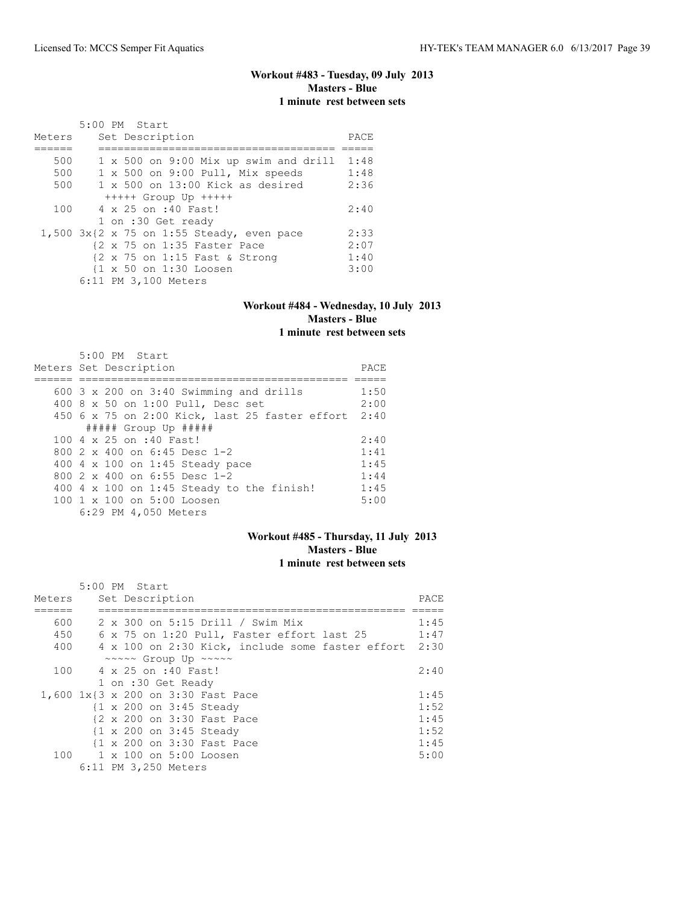## **Workout #483 - Tuesday, 09 July 2013 Masters - Blue 1 minute rest between sets**

|        | 5:00 PM Start                                                   |      |
|--------|-----------------------------------------------------------------|------|
| Meters | Set Description                                                 | PACE |
|        |                                                                 |      |
| 500    | 1 x 500 on 9:00 Mix up swim and drill                           | 1:48 |
| 500    | 1 x 500 on 9:00 Pull, Mix speeds                                | 1:48 |
| 500    | $1 \times 500$ on $13:00$ Kick as desired                       | 2:36 |
|        | $++++$ Group Up $++++$                                          |      |
| 100    | 4 x 25 on :40 Fast!                                             | 2:40 |
|        | 1 on :30 Get ready                                              |      |
|        | $1,500$ $3x$ $2x$ $75$ on $1:55$ Steady, even pace              | 2:33 |
|        | $\{2 \times 75 \text{ on } 1:35 \text{ faster Race}\}$          | 2:07 |
|        | $\{2 \times 75 \text{ on } 1:15 \text{ Fast } \& \text{Strong}$ | 1:40 |
|        | {1 x 50 on 1:30 Loosen                                          | 3:00 |
|        | 6:11 PM 3,100 Meters                                            |      |

### **Workout #484 - Wednesday, 10 July 2013 Masters - Blue 1 minute rest between sets**

| $5:00$ PM Start<br>Meters Set Description              | PACE |
|--------------------------------------------------------|------|
|                                                        |      |
| 600 $3 \times 200$ on $3:40$ Swimming and drills       | 1:50 |
| 400 8 x 50 on 1:00 Pull, Desc set                      | 2:00 |
| 450 6 x 75 on 2:00 Kick, last 25 faster effort 2:40    |      |
| ##### Group Up #####                                   |      |
| 100 4 x 25 on :40 Fast!                                | 2:40 |
| 800 $2 \times 400$ on 6:45 Desc 1-2                    | 1:41 |
| 400 4 x 100 on 1:45 Steady pace                        | 1:45 |
| 800 $2 \times 400$ on 6:55 Desc 1-2                    | 1:44 |
| 400 4 $\times$ 100 on 1:45 Steady to the finish!       | 1:45 |
| $100 \text{ 1 x } 100 \text{ on } 5:00 \text{ Loosen}$ | 5:00 |
| 6:29 PM 4,050 Meters                                   |      |

## **Workout #485 - Thursday, 11 July 2013 Masters - Blue 1 minute rest between sets**

|        | 5:00 PM Start                                    |       |
|--------|--------------------------------------------------|-------|
| Meters | Set Description                                  | PACE. |
|        |                                                  |       |
| 600    | 2 x 300 on 5:15 Drill / Swim Mix                 | 1:45  |
| 450    | 6 x 75 on 1:20 Pull, Faster effort last 25       | 1:47  |
| 400    | 4 x 100 on 2:30 Kick, include some faster effort | 2:30  |
|        | ~~~~~ Group Up ~~~~~                             |       |
| 100    | 4 x 25 on :40 Fast!                              | 2:40  |
|        | 1 on :30 Get Ready                               |       |
|        | 1,600 1x{3 x 200 on 3:30 Fast Pace               | 1:45  |
|        | {1 x 200 on 3:45 Steady                          | 1:52  |
|        | {2 x 200 on 3:30 Fast Pace                       | 1:45  |
|        | {1 x 200 on 3:45 Steady                          | 1:52  |
|        | {1 x 200 on 3:30 Fast Pace                       | 1:45  |
|        | 100 1 x 100 on 5:00 Loosen                       | 5:00  |
|        | 6:11 PM 3,250 Meters                             |       |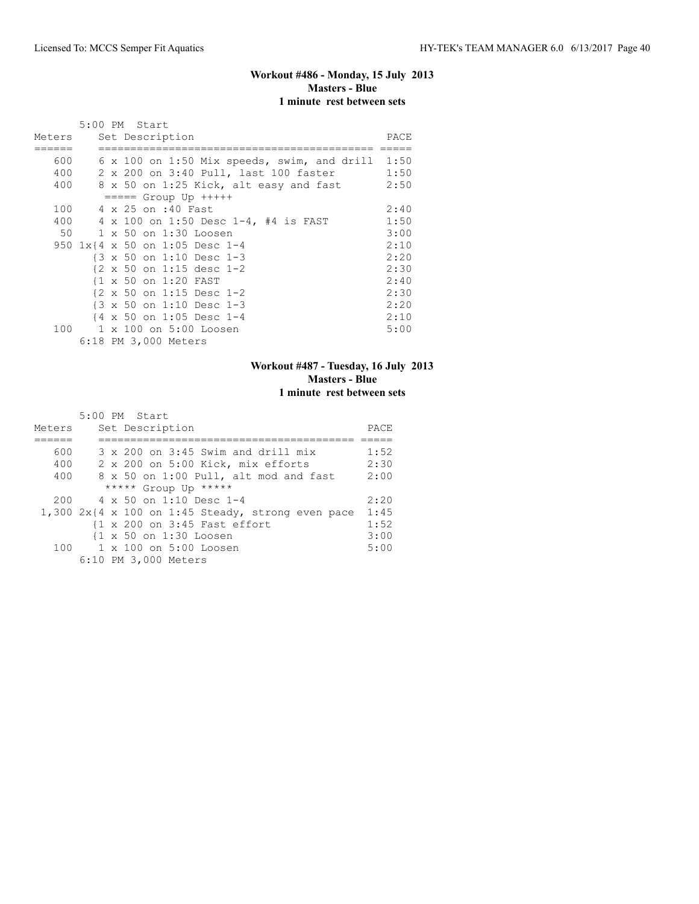## **Workout #486 - Monday, 15 July 2013 Masters - Blue 1 minute rest between sets**

|        | 5:00 PM Start                                        |      |
|--------|------------------------------------------------------|------|
| Meters | Set Description                                      | PACE |
|        |                                                      |      |
| 600    | 6 x 100 on 1:50 Mix speeds, swim, and drill 1:50     |      |
| 400    | 2 x 200 on 3:40 Pull, last 100 faster                | 1:50 |
| 400    | 8 x 50 on 1:25 Kick, alt easy and fast               | 2:50 |
|        | $== == $ Group Up $++++$                             |      |
| 100    | 4 x 25 on :40 Fast                                   | 2:40 |
| 400    | 4 x 100 on 1:50 Desc 1-4, #4 is FAST                 | 1:50 |
| 50     | 1 x 50 on 1:30 Loosen                                | 3:00 |
|        | 950 1x{4 x 50 on 1:05 Desc 1-4                       | 2:10 |
|        | {3 x 50 on 1:10 Desc 1-3                             | 2:20 |
|        | $\{2 \times 50 \text{ on } 1:15 \text{ desc } 1-2\}$ | 2:30 |
|        | {1 x 50 on 1:20 FAST                                 | 2:40 |
|        | $\{2 \times 50 \text{ on } 1:15 \text{ Desc } 1-2\}$ | 2:30 |
|        | $\{3 \times 50 \text{ on } 1:10 \text{ Desc } 1-3$   | 2:20 |
|        | $\{4 \times 50 \text{ on } 1:05 \text{ Desc } 1-4$   | 2:10 |
| 100    | 1 x 100 on 5:00 Loosen                               | 5:00 |
|        | 6:18 PM 3,000 Meters                                 |      |

### **Workout #487 - Tuesday, 16 July 2013 Masters - Blue 1 minute rest between sets**

|        | 5:00 PM Start                                       |      |
|--------|-----------------------------------------------------|------|
| Meters | Set Description                                     | PACE |
|        |                                                     |      |
| 600    | $3 \times 200$ on $3:45$ Swim and drill mix         | 1:52 |
| 400    | 2 x 200 on 5:00 Kick, mix efforts                   | 2:30 |
| 400    | 8 x 50 on 1:00 Pull, alt mod and fast               | 2:00 |
|        | ***** Group Up *****                                |      |
| 200    | $4 \times 50$ on 1:10 Desc 1-4                      | 2:20 |
|        | $1,300$ 2x{4 x 100 on 1:45 Steady, strong even pace | 1:45 |
|        | {1 x 200 on 3:45 Fast effort                        | 1:52 |
|        | {1 x 50 on 1:30 Loosen                              | 3:00 |
|        | $100 \t 1 \times 100$ on $5:00$ Loosen              | 5:00 |
|        | 6:10 PM 3,000 Meters                                |      |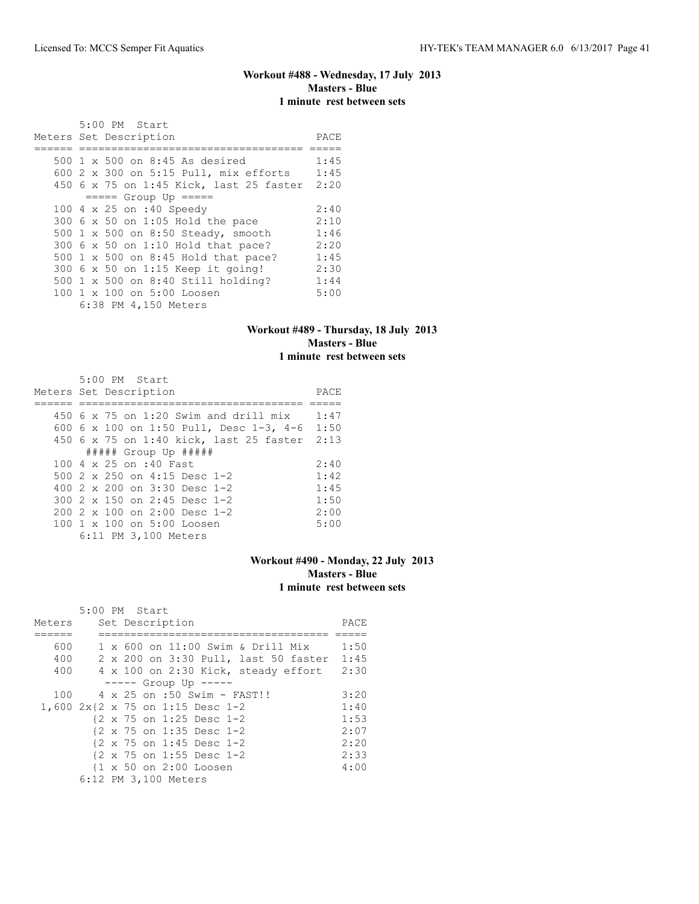## **Workout #488 - Wednesday, 17 July 2013 Masters - Blue 1 minute rest between sets**

| 5:00 PM Start                           |      |
|-----------------------------------------|------|
| Meters Set Description                  | PACE |
|                                         |      |
| 500 1 x 500 on 8:45 As desired          | 1:45 |
| 600 2 x 300 on 5:15 Pull, mix efforts   | 1:45 |
| 450 6 x 75 on 1:45 Kick, last 25 faster | 2:20 |
| $====$ Group Up $====$                  |      |
| 100 4 x 25 on :40 Speedy                | 2:40 |
| 300 6 x 50 on 1:05 Hold the pace        | 2:10 |
| 500 1 x 500 on 8:50 Steady, smooth      | 1:46 |
| 300 6 x 50 on 1:10 Hold that pace?      | 2:20 |
| 500 1 x 500 on 8:45 Hold that pace?     | 1:45 |
| 300 6 x 50 on 1:15 Keep it going!       | 2:30 |
| 500 1 x 500 on 8:40 Still holding?      | 1:44 |
| 100 1 x 100 on 5:00 Loosen              | 5:00 |
| 6:38 PM 4,150 Meters                    |      |

## **Workout #489 - Thursday, 18 July 2013 Masters - Blue 1 minute rest between sets**

| 5:00 PM Start                                |      |
|----------------------------------------------|------|
| Meters Set Description                       | PACE |
|                                              |      |
| $450\,$ 6 x 75 on 1:20 Swim and drill mix    | 1:47 |
| 600 6 x 100 on 1:50 Pull, Desc 1-3, 4-6 1:50 |      |
| 450 6 x 75 on 1:40 kick, last 25 faster 2:13 |      |
| ##### Group Up #####                         |      |
| 100 4 x 25 on :40 Fast                       | 2:40 |
| 500 2 x 250 on 4:15 Desc 1-2                 | 1:42 |
| 400 $2 \times 200$ on $3:30$ Desc 1-2        | 1:45 |
| 300 2 x 150 on 2:45 Desc 1-2                 | 1:50 |
| $2002 \times 100$ on $2:00$ Desc 1-2         | 2:00 |
| 100 1 x 100 on 5:00 Loosen                   | 5:00 |
| 6:11 PM 3,100 Meters                         |      |

## **Workout #490 - Monday, 22 July 2013 Masters - Blue 1 minute rest between sets**

|        | 5:00 PM Start        |  |                 |                                  |                                      |      |
|--------|----------------------|--|-----------------|----------------------------------|--------------------------------------|------|
| Meters |                      |  | Set Description |                                  |                                      | PACE |
|        |                      |  |                 |                                  |                                      |      |
| 600    |                      |  |                 |                                  | 1 x 600 on 11:00 Swim & Drill Mix    | 1:50 |
| 400    |                      |  |                 |                                  | 2 x 200 on 3:30 Pull, last 50 faster | 1:45 |
| 400    |                      |  |                 |                                  | 4 x 100 on 2:30 Kick, steady effort  | 2:30 |
|        |                      |  |                 | $--- $ Group Up $---$            |                                      |      |
| 100    |                      |  |                 |                                  | 4 x 25 on :50 Swim - FAST!!          | 3:20 |
|        |                      |  |                 | 1,600 2x{2 x 75 on 1:15 Desc 1-2 |                                      | 1:40 |
|        |                      |  |                 | {2 x 75 on 1:25 Desc 1-2         |                                      | 1:53 |
|        |                      |  |                 | {2 x 75 on 1:35 Desc 1-2         |                                      | 2:07 |
|        |                      |  |                 | {2 x 75 on 1:45 Desc 1-2         |                                      | 2:20 |
|        |                      |  |                 | {2 x 75 on 1:55 Desc 1-2         |                                      | 2:33 |
|        |                      |  |                 | {1 x 50 on 2:00 Loosen           |                                      | 4:00 |
|        | 6:12 PM 3,100 Meters |  |                 |                                  |                                      |      |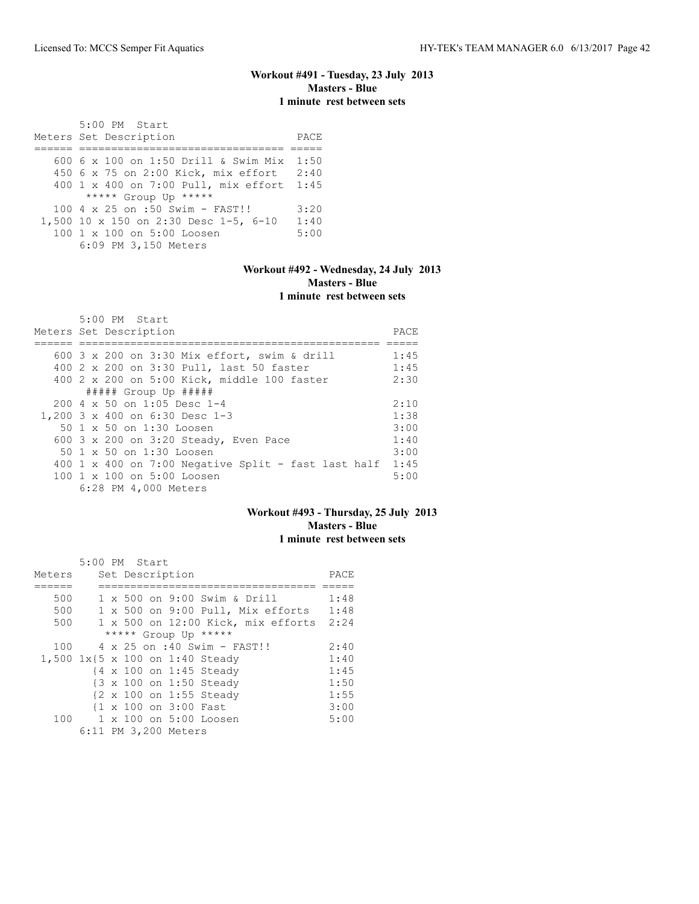## **Workout #491 - Tuesday, 23 July 2013 Masters - Blue 1 minute rest between sets**

 5:00 PM Start Meters Set Description PACE ====== ================================ ===== 600 6 x 100 on 1:50 Drill & Swim Mix 1:50 450 6 x 75 on 2:00 Kick, mix effort 2:40 400 1 x 400 on 7:00 Pull, mix effort 1:45 \*\*\*\*\* Group Up \*\*\*\*\* 100 4 x 25 on :50 Swim - FAST!! 3:20 1,500 10 x 150 on 2:30 Desc 1-5, 6-10 1:40<br>100 1 x 100 on 5:00 Loosen 5:00 100 1 x 100 on 5:00 Loosen 6:09 PM 3,150 Meters

## **Workout #492 - Wednesday, 24 July 2013 Masters - Blue 1 minute rest between sets**

| 5:00 PM Start                                              |      |
|------------------------------------------------------------|------|
| Meters Set Description                                     | PACE |
|                                                            |      |
| 600 3 x 200 on 3:30 Mix effort, swim & drill               | 1:45 |
| 400 2 x 200 on 3:30 Pull, last 50 faster                   | 1:45 |
| 400 2 x 200 on 5:00 Kick, middle 100 faster                | 2:30 |
| ##### Group Up #####                                       |      |
| $200 \text{ } 4 \text{ } \times 50$ on 1:05 Desc 1-4       | 2:10 |
| 1,200 3 x 400 on 6:30 Desc 1-3                             | 1:38 |
| 50 1 x 50 on 1:30 Loosen                                   | 3:00 |
| 600 3 x 200 on 3:20 Steady, Even Pace                      | 1:40 |
| 50 1 x 50 on 1:30 Loosen                                   | 3:00 |
| 400 1 x 400 on 7:00 Negative Split - fast last half $1:45$ |      |
| 100 1 x 100 on 5:00 Loosen                                 | 5:00 |
| 6:28 PM 4,000 Meters                                       |      |

### **Workout #493 - Thursday, 25 July 2013 Masters - Blue 1 minute rest between sets**

|        | 5:00 PM Start |  |                       |                                    |      |
|--------|---------------|--|-----------------------|------------------------------------|------|
| Meters |               |  | Set Description       |                                    | PACE |
|        |               |  |                       |                                    |      |
| 500    |               |  |                       | 1 x 500 on 9:00 Swim & Drill       | 1:48 |
| 500    |               |  |                       | 1 x 500 on 9:00 Pull, Mix efforts  | 1:48 |
| 500    |               |  |                       | 1 x 500 on 12:00 Kick, mix efforts | 2:24 |
|        |               |  |                       | ***** Group Up *****               |      |
| 100    |               |  |                       | 4 x 25 on :40 Swim - FAST!!        | 2:40 |
|        |               |  |                       | 1,500 1x{5 x 100 on 1:40 Steady    | 1:40 |
|        |               |  |                       | {4 x 100 on 1:45 Steady            | 1:45 |
|        |               |  |                       | {3 x 100 on 1:50 Steady            | 1:50 |
|        |               |  |                       | {2 x 100 on 1:55 Steady            | 1:55 |
|        |               |  | {1 x 100 on 3:00 Fast |                                    | 3:00 |
| 100    |               |  |                       | 1 x 100 on 5:00 Loosen             | 5:00 |
|        |               |  | 6:11 PM 3,200 Meters  |                                    |      |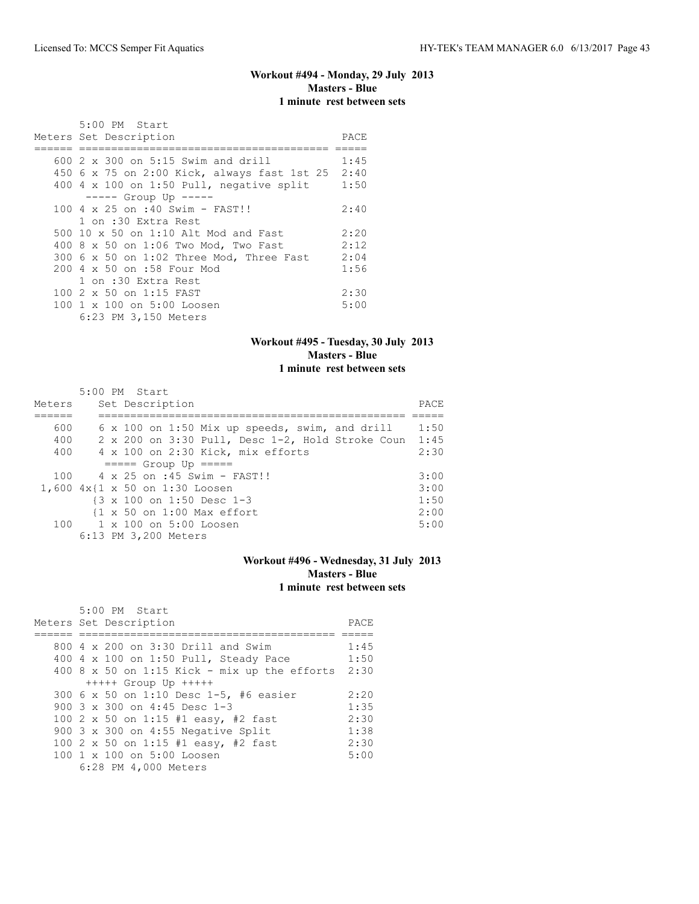## **Workout #494 - Monday, 29 July 2013 Masters - Blue 1 minute rest between sets**

| 5:00 PM Start<br>Meters Set Description          | PACE |
|--------------------------------------------------|------|
| 600 2 x 300 on 5:15 Swim and drill               | 1:45 |
| 450 6 x 75 on 2:00 Kick, always fast 1st 25 2:40 |      |
| 400 4 x 100 on 1:50 Pull, negative split         | 1:50 |
| $--- $ Group Up $--- $                           |      |
| 100 4 x 25 on :40 Swim - FAST!!                  | 2:40 |
| 1 on :30 Extra Rest                              |      |
| 500 10 x 50 on 1:10 Alt Mod and Fast             | 2:20 |
| 400 8 x 50 on 1:06 Two Mod, Two Fast             | 2:12 |
| 300 6 x 50 on 1:02 Three Mod, Three Fast         | 2:04 |
| 200 4 x 50 on :58 Four Mod                       | 1:56 |
| 1 on :30 Extra Rest                              |      |
| 100 2 x 50 on 1:15 FAST                          | 2:30 |
| 100 1 x 100 on 5:00 Loosen                       | 5:00 |
| 6:23 PM 3,150 Meters                             |      |

### **Workout #495 - Tuesday, 30 July 2013 Masters - Blue 1 minute rest between sets**

| Meters | $5:00$ PM Start<br>Set Description                  | PACE |
|--------|-----------------------------------------------------|------|
| 600    | 6 x 100 on 1:50 Mix up speeds, swim, and drill      | 1:50 |
| 400    | 2 x 200 on 3:30 Pull, Desc 1-2, Hold Stroke Coun    | 1:45 |
| 400    | 4 x 100 on 2:30 Kick, mix efforts                   | 2:30 |
|        | $====$ Group Up $====$                              |      |
| 100    | $4 \times 25$ on :45 Swim - FAST!!                  | 3:00 |
|        | 1,600 $4x$ {1 x 50 on 1:30 Loosen                   | 3:00 |
|        | $\{3 \times 100 \text{ on } 1:50 \text{ Desc } 1-3$ | 1:50 |
|        | {1 x 50 on 1:00 Max effort                          | 2:00 |
|        | 100 1 x 100 on 5:00 Loosen                          | 5:00 |
|        | 6:13 PM 3,200 Meters                                |      |

## **Workout #496 - Wednesday, 31 July 2013 Masters - Blue 1 minute rest between sets**

| 5:00 PM Start                                |      |
|----------------------------------------------|------|
| Meters Set Description                       | PACE |
|                                              |      |
| 800 4 x 200 on 3:30 Drill and Swim           | 1:45 |
| 400 4 x 100 on 1:50 Pull, Steady Pace        | 1:50 |
| 400 8 x 50 on 1:15 Kick - mix up the efforts | 2:30 |
| $++++$ Group Up $++++$                       |      |
| 300 6 x 50 on 1:10 Desc 1-5, #6 easier       | 2:20 |
| 900 $3 \times 300$ on 4:45 Desc 1-3          | 1:35 |
| 100 2 x 50 on 1:15 #1 easy, #2 fast          | 2:30 |
| 900 3 x 300 on 4:55 Negative Split           | 1:38 |
| 100 2 x 50 on 1:15 #1 easy, #2 fast          | 2:30 |
| 100 1 x 100 on 5:00 Loosen                   | 5:00 |
| 6:28 PM 4,000 Meters                         |      |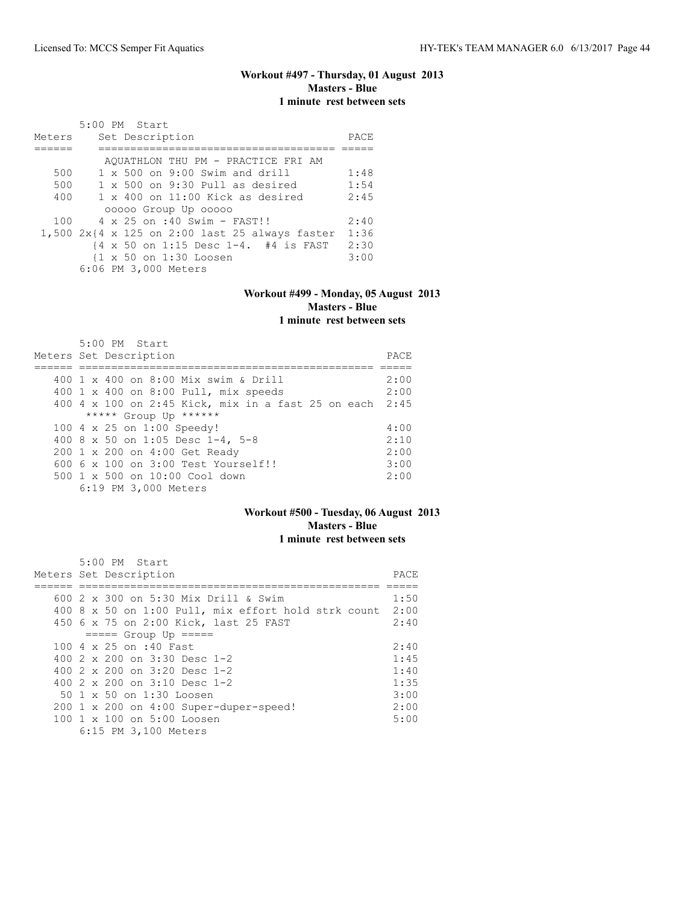### **Workout #497 - Thursday, 01 August 2013 Masters - Blue 1 minute rest between sets**

|        | $5:00$ PM Start                                                             |      |
|--------|-----------------------------------------------------------------------------|------|
| Meters | Set Description                                                             | PACE |
|        |                                                                             |      |
|        | AQUATHLON THU PM - PRACTICE FRI AM                                          |      |
| 500    | $1 \times 500$ on 9:00 Swim and drill                                       | 1:48 |
| 500    | $1 \times 500$ on 9:30 Pull as desired                                      | 1:54 |
| 400    | $1 \times 400$ on $11:00$ Kick as desired                                   | 2:45 |
|        | 00000 Group Up 00000                                                        |      |
| 100    | 4 x 25 on :40 Swim - FAST!!                                                 | 2:40 |
|        | 1,500 $2x(4 \times 125$ on 2:00 last 25 always faster                       | 1:36 |
|        | $\{4 \times 50 \text{ on } 1:15 \text{ Desc } 1-4. \# 4 \text{ is FAST} \}$ | 2:30 |
|        | {1 x 50 on 1:30 Loosen                                                      | 3:00 |
|        | 6:06 PM 3,000 Meters                                                        |      |

## **Workout #499 - Monday, 05 August 2013 Masters - Blue**

## **1 minute rest between sets**

| 5:00 PM Start                                           |       |
|---------------------------------------------------------|-------|
| Meters Set Description                                  | PACE. |
|                                                         |       |
| 400 1 x 400 on 8:00 Mix swim & Drill                    | 2:00  |
| 400 1 x 400 on 8:00 Pull, mix speeds                    | 2:00  |
| 400 4 x 100 on 2:45 Kick, mix in a fast 25 on each 2:45 |       |
| ***** Group Up ******                                   |       |
| 100 4 x 25 on 1:00 Speedy!                              | 4:00  |
| 400 8 x 50 on 1:05 Desc 1-4, 5-8                        | 2:10  |
| 200 1 x 200 on 4:00 Get Ready                           | 2:00  |
| $6006 \times 100$ on $3:00$ Test Yourself!!             | 3:00  |
| $500 \t 1 \t x \t 500$ on $10:00$ Cool down             | 2:00  |
| 6:19 PM 3,000 Meters                                    |       |

## **Workout #500 - Tuesday, 06 August 2013 Masters - Blue 1 minute rest between sets**

| 5:00 PM Start                                       |       |
|-----------------------------------------------------|-------|
| Meters Set Description                              | PACE. |
|                                                     |       |
| 600 2 x 300 on 5:30 Mix Drill & Swim                | 1:50  |
| 400 8 x 50 on 1:00 Pull, mix effort hold strk count | 2:00  |
| 450 6 x 75 on 2:00 Kick, last 25 FAST               | 2:40  |
| $====$ Group Up $====$                              |       |
| 100 4 x 25 on :40 Fast                              | 2:40  |
| 400 2 x 200 on 3:30 Desc 1-2                        | 1:45  |
| 400 $2 \times 200$ on $3:20$ Desc 1-2               | 1:40  |
| 400 $2 \times 200$ on $3:10$ Desc 1-2               | 1:35  |
| 50 1 x 50 on 1:30 Loosen                            | 3:00  |
| $200 \t1 x 200$ on $4:00$ Super-duper-speed!        | 2:00  |
| 100 1 x 100 on 5:00 Loosen                          | 5:00  |
| 6:15 PM 3,100 Meters                                |       |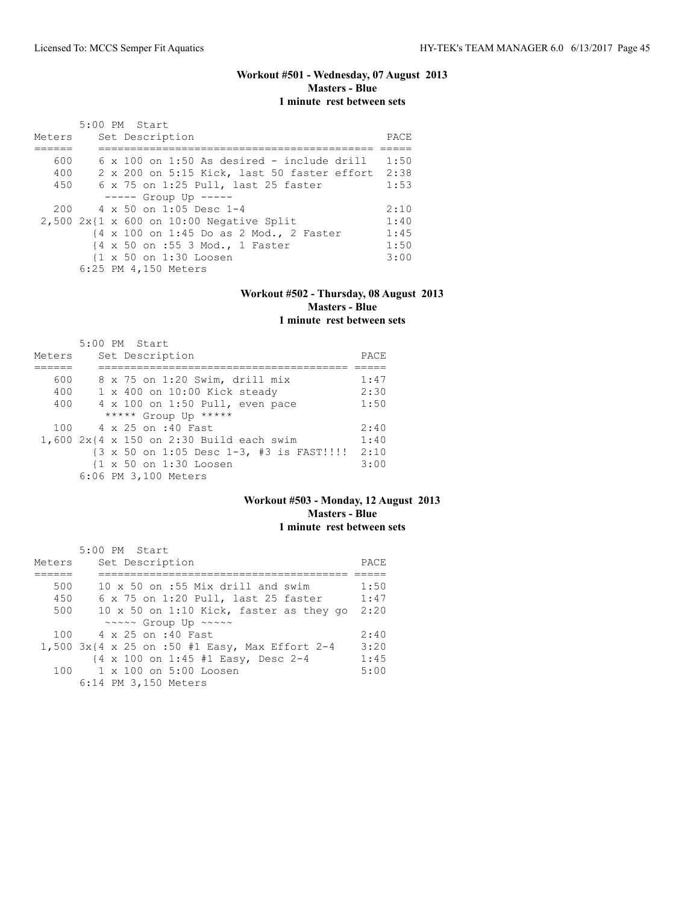## **Workout #501 - Wednesday, 07 August 2013 Masters - Blue 1 minute rest between sets**

|        | 5:00 PM Start                                     |      |
|--------|---------------------------------------------------|------|
| Meters | Set Description                                   | PACE |
|        |                                                   |      |
| 600    | $6 \times 100$ on 1:50 As desired - include drill | 1:50 |
| 400    | 2 x 200 on 5:15 Kick, last 50 faster effort       | 2:38 |
| 450    | 6 x 75 on 1:25 Pull, last 25 faster               | 1:53 |
|        | $---$ Group Up $---$                              |      |
|        | $200 \t 4 \times 50$ on 1:05 Desc 1-4             | 2:10 |
|        | $2,500$ 2x{1 x 600 on 10:00 Negative Split        | 1:40 |
|        | {4 x 100 on 1:45 Do as 2 Mod., 2 Faster           | 1:45 |
|        | {4 x 50 on :55 3 Mod., 1 Faster                   | 1:50 |
|        | {1 x 50 on 1:30 Loosen                            | 3:00 |
|        | 6:25 PM 4,150 Meters                              |      |

### **Workout #502 - Thursday, 08 August 2013 Masters - Blue 1 minute rest between sets**

|        | 5:00 PM Start                                                             |      |
|--------|---------------------------------------------------------------------------|------|
| Meters | Set Description                                                           | PACE |
|        |                                                                           |      |
| 600    | 8 x 75 on 1:20 Swim, drill mix                                            | 1:47 |
| 400    | 1 x 400 on 10:00 Kick steady                                              | 2:30 |
| 400    | 4 x 100 on 1:50 Pull, even pace                                           | 1:50 |
|        | ***** Group Up *****                                                      |      |
|        | 100 4 x 25 on :40 Fast                                                    | 2:40 |
|        | $1,600$ 2x{4 x 150 on 2:30 Build each swim                                | 1:40 |
|        | $\{3 \times 50 \text{ on } 1:05 \text{ Desc } 1-3, 43 \text{ is FAST} \}$ | 2:10 |
|        | {1 x 50 on 1:30 Loosen                                                    | 3:00 |
|        | 6:06 PM 3,100 Meters                                                      |      |

## **Workout #503 - Monday, 12 August 2013 Masters - Blue 1 minute rest between sets**

|        | 5:00 PM Start                                                |      |
|--------|--------------------------------------------------------------|------|
| Meters | Set Description                                              | PACE |
|        |                                                              |      |
| 500    | 10 x 50 on :55 Mix drill and swim                            | 1:50 |
| 450    | 6 x 75 on 1:20 Pull, last 25 faster                          | 1:47 |
| 500    | 10 x 50 on 1:10 Kick, faster as they go                      | 2:20 |
|        | ~~~~~ Group Up ~~~~~                                         |      |
|        | 100 4 x 25 on :40 Fast                                       | 2:40 |
|        | 1,500 $3x$ {4 x 25 on :50 #1 Easy, Max Effort 2-4            | 3:20 |
|        | $\{4 \times 100 \text{ on } 1:45 \text{ #1 Easy, Desc } 2-4$ | 1:45 |
|        | $100 \t 1 \times 100$ on $5:00$ Loosen                       | 5:00 |
|        | 6:14 PM 3,150 Meters                                         |      |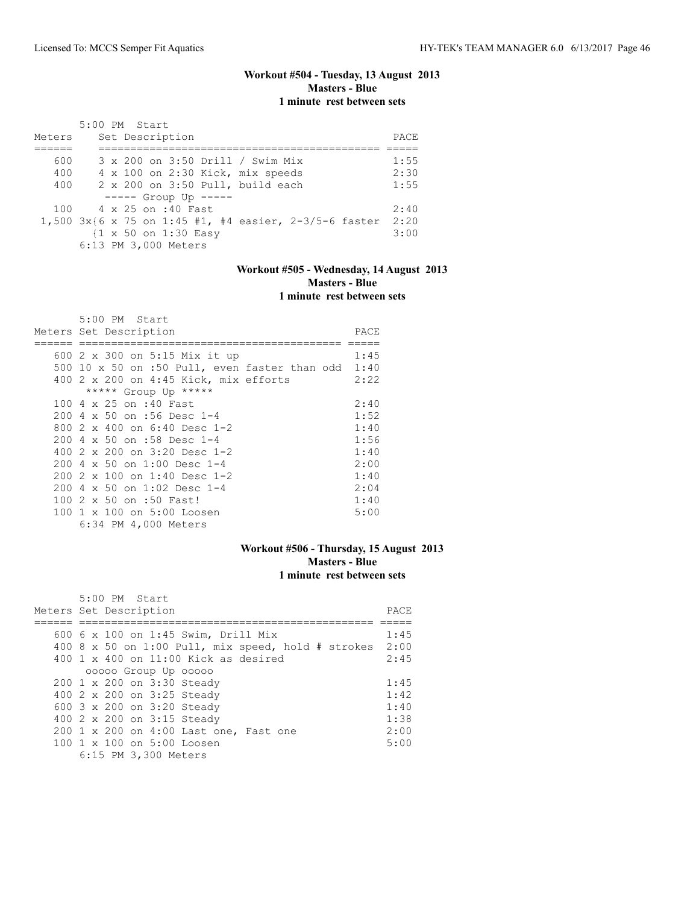## **Workout #504 - Tuesday, 13 August 2013 Masters - Blue 1 minute rest between sets**

|        | 5:00 PM Start                                         |      |
|--------|-------------------------------------------------------|------|
| Meters | Set Description                                       | PACE |
|        |                                                       |      |
| 600    | 3 x 200 on 3:50 Drill / Swim Mix                      | 1:55 |
| 400    | 4 x 100 on 2:30 Kick, mix speeds                      | 2:30 |
| 400    | 2 x 200 on 3:50 Pull, build each                      | 1:55 |
|        | $--- $ Group Up $---$                                 |      |
|        | 100 4 x 25 on :40 Fast                                | 2:40 |
|        | 1,500 3x{6 x 75 on 1:45 #1, #4 easier, 2-3/5-6 faster | 2:20 |
|        | {1 x 50 on 1:30 Easy                                  | 3:00 |
|        | 6:13 PM 3,000 Meters                                  |      |

## **Workout #505 - Wednesday, 14 August 2013 Masters - Blue 1 minute rest between sets**

| 5:00 PM Start                                        |      |
|------------------------------------------------------|------|
| Meters Set Description                               | PACE |
|                                                      |      |
| 600 2 x 300 on 5:15 Mix it up                        | 1:45 |
| 500 10 x 50 on :50 Pull, even faster than odd $1:40$ |      |
| 400 2 x 200 on 4:45 Kick, mix efforts                | 2:22 |
| ***** Group Up *****                                 |      |
| 100 4 x 25 on :40 Fast                               | 2:40 |
| 200 4 x 50 on :56 Desc 1-4                           | 1:52 |
| 800 $2 \times 400$ on 6:40 Desc 1-2                  | 1:40 |
| 200 4 x 50 on :58 Desc 1-4                           | 1:56 |
| 400 $2 \times 200$ on $3:20$ Desc 1-2                | 1:40 |
| $2004 \times 50$ on 1:00 Desc 1-4                    | 2:00 |
| $2002 \times 100$ on 1:40 Desc 1-2                   | 1:40 |
| 200 4 x 50 on 1:02 Desc 1-4                          | 2:04 |
| 100 2 x 50 on :50 Fast!                              | 1:40 |
| 100 1 x 100 on 5:00 Loosen                           | 5:00 |
| 6:34 PM 4,000 Meters                                 |      |

### **Workout #506 - Thursday, 15 August 2013 Masters - Blue 1 minute rest between sets**

| $5:00$ PM Start                                           |      |
|-----------------------------------------------------------|------|
| Meters Set Description                                    | PACE |
|                                                           |      |
| 600 6 x 100 on 1:45 Swim, Drill Mix                       | 1:45 |
| 400 8 x 50 on 1:00 Pull, mix speed, hold # strokes $2:00$ |      |
| 400 $1 \times 400$ on 11:00 Kick as desired               | 2:45 |
| 00000 Group Up 00000                                      |      |
| 200 1 x 200 on 3:30 Steady                                | 1:45 |
| 400 2 x 200 on 3:25 Steady                                | 1:42 |
| 600 3 x 200 on 3:20 Steady                                | 1:40 |
| 400 2 x 200 on 3:15 Steady                                | 1:38 |
| 200 1 x 200 on 4:00 Last one, Fast one                    | 2:00 |
| $100 \text{ 1 x } 100 \text{ on } 5:00 \text{ Loosen}$    | 5:00 |
| 6:15 PM 3,300 Meters                                      |      |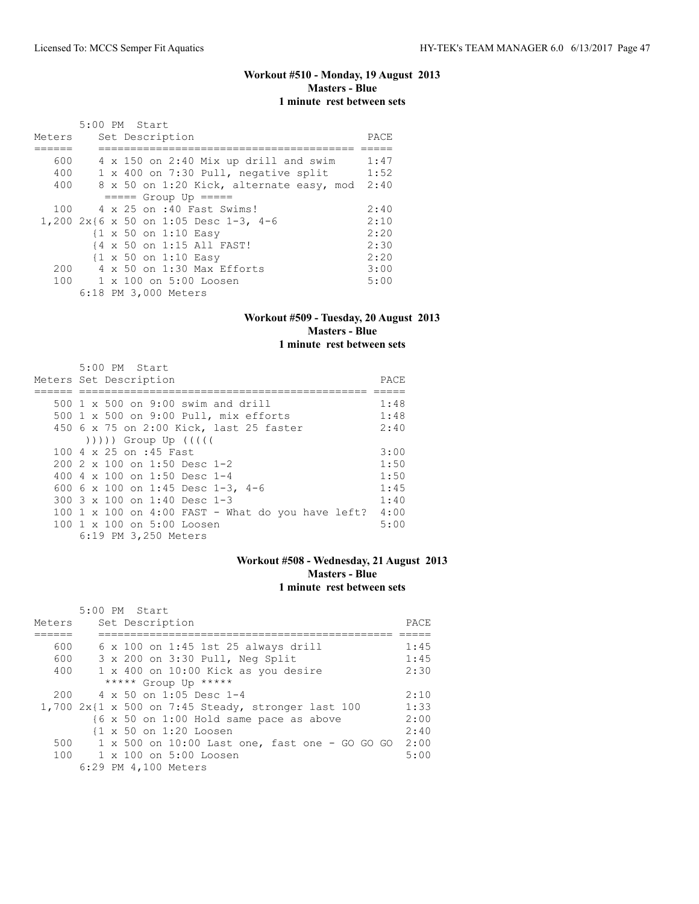## **Workout #510 - Monday, 19 August 2013 Masters - Blue 1 minute rest between sets**

|        | 5:00 PM Start                                   |      |
|--------|-------------------------------------------------|------|
| Meters | Set Description                                 | PACE |
|        |                                                 |      |
| 600    | 4 x 150 on 2:40 Mix up drill and swim           | 1:47 |
| 400    | 1 x 400 on 7:30 Pull, negative split            | 1:52 |
| 400    | 8 x 50 on 1:20 Kick, alternate easy, mod        | 2:40 |
|        | $== == $ Group Up $== == $                      |      |
| 100    | 4 x 25 on :40 Fast Swims!                       | 2:40 |
|        | 1,200 2x{6 x 50 on 1:05 Desc 1-3, 4-6           | 2:10 |
|        | $\{1 \times 50 \text{ on } 1:10 \text{ Easy}\}$ | 2:20 |
|        | {4 x 50 on 1:15 All FAST!                       | 2:30 |
|        | $\{1 \times 50 \text{ on } 1:10 \text{ Easy}\}$ | 2:20 |
| 200    | 4 x 50 on 1:30 Max Efforts                      | 3:00 |
|        | 100 1 x 100 on 5:00 Loosen                      | 5:00 |
|        | 6:18 PM 3,000 Meters                            |      |

### **Workout #509 - Tuesday, 20 August 2013 Masters - Blue 1 minute rest between sets**

| 5:00 PM Start                                                                                                                                                                                                                |      |
|------------------------------------------------------------------------------------------------------------------------------------------------------------------------------------------------------------------------------|------|
| Meters Set Description                                                                                                                                                                                                       | PACE |
|                                                                                                                                                                                                                              |      |
| 500 1 x 500 on 9:00 swim and drill                                                                                                                                                                                           | 1:48 |
| 500 1 x 500 on 9:00 Pull, mix efforts                                                                                                                                                                                        | 1:48 |
| 450 6 x 75 on 2:00 Kick, last 25 faster                                                                                                                                                                                      | 2:40 |
| $($ $($ $($ $($ $($ $($ $))$ $)$ $)$ $($ $)$ $($ $)$ $($ $)$ $($ $)$ $($ $)$ $($ $)$ $($ $)$ $($ $)$ $($ $)$ $($ $)$ $($ $)$ $($ $)$ $($ $)$ $($ $)$ $($ $)$ $($ $)$ $($ $)$ $($ $)$ $($ $)$ $($ $)$ $($ $)$ $($ $)$ $($ $)$ |      |
| 100 4 x 25 on :45 Fast                                                                                                                                                                                                       | 3:00 |
| 200 2 x 100 on 1:50 Desc 1-2                                                                                                                                                                                                 | 1:50 |
| 400 4 x 100 on 1:50 Desc 1-4                                                                                                                                                                                                 | 1:50 |
| 600 6 x 100 on 1:45 Desc 1-3, 4-6                                                                                                                                                                                            | 1:45 |
| 300 $3 \times 100$ on 1:40 Desc 1-3                                                                                                                                                                                          | 1:40 |
| 100 1 x 100 on 4:00 FAST - What do you have left?                                                                                                                                                                            | 4:00 |
| 100 1 x 100 on 5:00 Loosen                                                                                                                                                                                                   | 5:00 |
| 6:19 PM 3,250 Meters                                                                                                                                                                                                         |      |

## **Workout #508 - Wednesday, 21 August 2013 Masters - Blue 1 minute rest between sets**

|        | 5:00 PM Start                                        |      |
|--------|------------------------------------------------------|------|
| Meters | Set Description                                      | PACE |
|        |                                                      |      |
| 600    | $6 \times 100$ on 1:45 1st 25 always drill           | 1:45 |
| 600    | 3 x 200 on 3:30 Pull, Neg Split                      | 1:45 |
| 400    | 1 x 400 on 10:00 Kick as you desire                  | 2:30 |
|        | ***** Group Up *****                                 |      |
| 200    | 4 x 50 on 1:05 Desc 1-4                              | 2:10 |
|        | $1,700$ 2x{1 x 500 on 7:45 Steady, stronger last 100 | 1:33 |
|        | {6 x 50 on 1:00 Hold same pace as above              | 2:00 |
|        | {1 x 50 on 1:20 Loosen                               | 2:40 |
| 500    | 1 x 500 on 10:00 Last one, fast one - GO GO GO       | 2:00 |
| 100    | 1 x 100 on 5:00 Loosen                               | 5:00 |
|        | 6:29 PM 4,100 Meters                                 |      |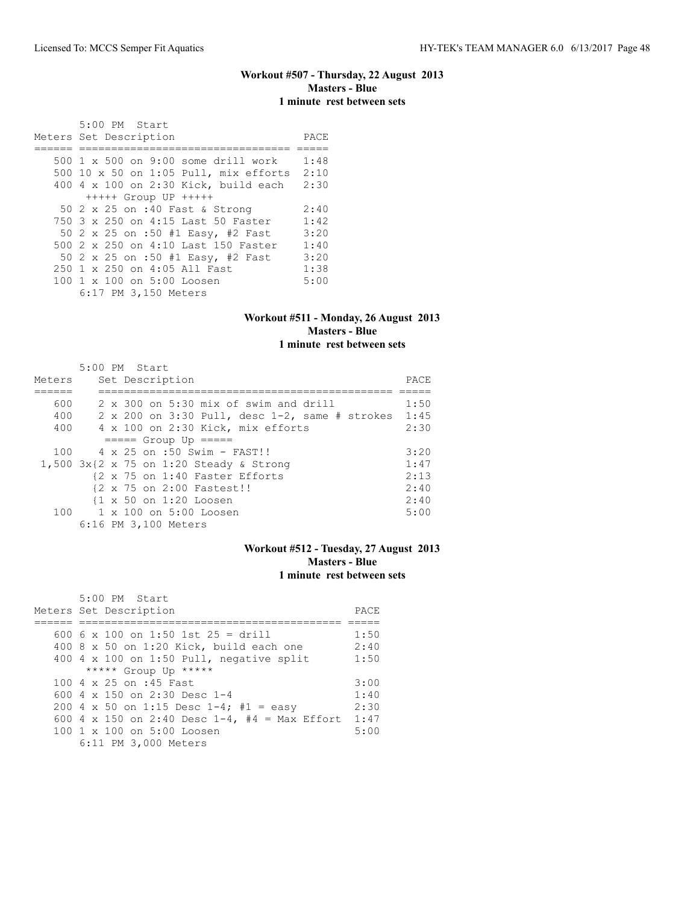## **Workout #507 - Thursday, 22 August 2013 Masters - Blue 1 minute rest between sets**

 5:00 PM Start Meters Set Description PACE ====== ================================= ===== 500 1 x 500 on 9:00 some drill work 1:48 500 10 x 50 on 1:05 Pull, mix efforts 2:10 400 4 x 100 on 2:30 Kick, build each 2:30 +++++ Group UP +++++ 50 2 x 25 on :40 Fast & Strong 2:40<br>750 3 x 250 on 4:15 Last 50 Faster 1:42 750 3 x 250 on 4:15 Last 50 Faster 1:42<br>50 2 x 25 on :50 #1 Easy, #2 Fast 3:20 50 2 x 25 on :50 #1 Easy, #2 Fast 500 2 x 250 on 4:10 Last 150 Faster 1:40<br>50 2 x 25 on :50 #1 Easy, #2 Fast 3:20 50 2 x 25 on :50 #1 Easy, #2 Fast 3:20<br>250 1 x 250 on 4:05 All Fast 1:38 250 1 x 250 on 4:05 All Fast 1:38<br>100 1 x 100 on 5:00 Loosen 5:00 100 1 x 100 on 5:00 Loosen 6:17 PM 3,150 Meters

#### **Workout #511 - Monday, 26 August 2013 Masters - Blue 1 minute rest between sets**

|        | 5:00 PM Start                                              |      |
|--------|------------------------------------------------------------|------|
| Meters | Set Description                                            | PACE |
|        |                                                            |      |
| 600    | 2 x 300 on 5:30 mix of swim and drill                      | 1:50 |
| 400    | $2 \times 200$ on 3:30 Pull, desc 1-2, same # strokes 1:45 |      |
| 400    | 4 x 100 on 2:30 Kick, mix efforts                          | 2:30 |
|        | $====$ Group Up $====$                                     |      |
| 100    | 4 x 25 on :50 Swim - FAST!!                                | 3:20 |
|        | 1,500 $3x$ {2 x 75 on 1:20 Steady & Strong                 | 1:47 |
|        | {2 x 75 on 1:40 Faster Efforts                             | 2:13 |
|        | {2 x 75 on 2:00 Fastest!!                                  | 2:40 |
|        | $\{1 \times 50 \text{ on } 1:20 \text{ Loosen}\}$          | 2:40 |
|        | $100 \t 1 \times 100$ on $5:00$ Loosen                     | 5:00 |
|        | 6:16 PM 3,100 Meters                                       |      |

### **Workout #512 - Tuesday, 27 August 2013 Masters - Blue 1 minute rest between sets**

| 5:00 PM Start                                          |      |
|--------------------------------------------------------|------|
| Meters Set Description                                 | PACE |
|                                                        |      |
| 600 6 x 100 on 1:50 1st 25 = drill                     | 1:50 |
| 400 8 x 50 on 1:20 Kick, build each one                | 2:40 |
| 400 4 x 100 on 1:50 Pull, negative split               | 1:50 |
| ***** Group Up *****                                   |      |
| 100 4 x 25 on :45 Fast                                 | 3:00 |
| 600 $4 \times 150$ on 2:30 Desc 1-4                    | 1:40 |
| 200 4 x 50 on 1:15 Desc 1-4; #1 = easy                 | 2:30 |
| 600 4 x 150 on 2:40 Desc $1-4$ , #4 = Max Effort       | 1:47 |
| $100 \text{ 1 x } 100 \text{ on } 5:00 \text{ Loosen}$ | 5:00 |
| 6:11 PM 3,000 Meters                                   |      |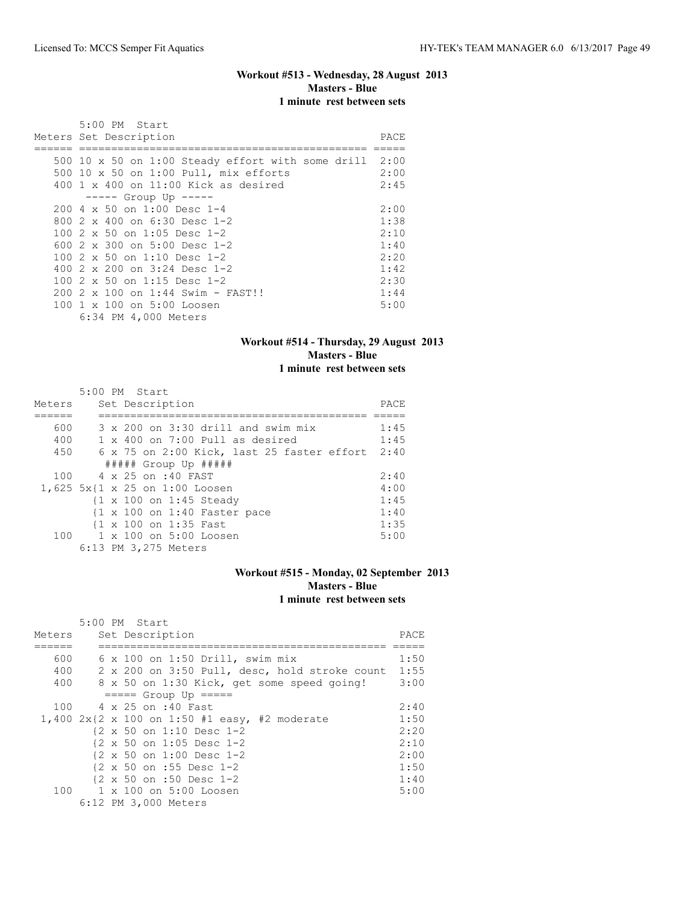## **Workout #513 - Wednesday, 28 August 2013 Masters - Blue 1 minute rest between sets**

| 5:00 PM Start                                                 |      |
|---------------------------------------------------------------|------|
| Meters Set Description                                        | PACE |
|                                                               |      |
| 500 10 $\times$ 50 on 1:00 Steady effort with some drill 2:00 |      |
| 500 10 x 50 on 1:00 Pull, mix efforts                         | 2:00 |
| $400 \t1 x 400$ on $11:00$ Kick as desired                    | 2:45 |
| $--- $ Group Up $--- $                                        |      |
| 200 4 x 50 on 1:00 Desc 1-4                                   | 2:00 |
| 800 $2 \times 400$ on 6:30 Desc 1-2                           | 1:38 |
| 100 2 x 50 on 1:05 Desc 1-2                                   | 2:10 |
| 600 $2 \times 300$ on $5:00$ Desc 1-2                         | 1:40 |
| 100 $2 \times 50$ on 1:10 Desc 1-2                            | 2:20 |
| 400 $2 \times 200$ on $3:24$ Desc 1-2                         | 1:42 |
| 100 2 x 50 on 1:15 Desc 1-2                                   | 2:30 |
| $200$ 2 x 100 on 1:44 Swim - FAST!!                           | 1:44 |
| 100 1 x 100 on 5:00 Loosen                                    | 5:00 |
| 6:34 PM 4,000 Meters                                          |      |

### **Workout #514 - Thursday, 29 August 2013 Masters - Blue 1 minute rest between sets**

|        | $5:00$ PM Start                                         |      |
|--------|---------------------------------------------------------|------|
| Meters | Set Description                                         | PACE |
|        |                                                         |      |
| 600    | $3 \times 200$ on $3:30$ drill and swim mix             | 1:45 |
| 400    | $1 \times 400$ on 7:00 Pull as desired                  | 1:45 |
| 450    | 6 x 75 on 2:00 Kick, last 25 faster effort              | 2:40 |
|        | ##### Group Up #####                                    |      |
| 100    | 4 x 25 on :40 FAST                                      | 2:40 |
|        | 1,625 5x{1 x 25 on 1:00 Loosen                          | 4:00 |
|        | {1 x 100 on 1:45 Steady                                 | 1:45 |
|        | $\{1 \times 100 \text{ on } 1:40 \text{ faster pace}\}$ | 1:40 |
|        | {1 x 100 on 1:35 Fast                                   | 1:35 |
| 100    | $1 \times 100$ on $5:00$ Loosen                         | 5:00 |
|        | 6:13 PM 3,275 Meters                                    |      |

### **Workout #515 - Monday, 02 September 2013 Masters - Blue 1 minute rest between sets**

|        |  | 5:00 PM Start                                                                    |       |
|--------|--|----------------------------------------------------------------------------------|-------|
| Meters |  | Set Description                                                                  | PACE. |
|        |  |                                                                                  |       |
| 600    |  | $6 \times 100$ on 1:50 Drill, swim mix                                           | 1:50  |
| 400    |  | 2 x 200 on 3:50 Pull, desc, hold stroke count                                    | 1:55  |
| 400    |  | 8 x 50 on 1:30 Kick, get some speed going!                                       | 3:00  |
|        |  | $====$ Group Up $====$                                                           |       |
| 100    |  | 4 x 25 on :40 Fast                                                               | 2:40  |
|        |  | 1,400 $2x\{2 \times 100 \text{ on } 1:50 \text{ #1 easy}, \text{ #2 moderate}\}$ | 1:50  |
|        |  | {2 x 50 on 1:10 Desc 1-2                                                         | 2:20  |
|        |  | $\{2 \times 50 \text{ on } 1:05 \text{ Desc } 1-2$                               | 2:10  |
|        |  | $\{2 \times 50 \text{ on } 1:00 \text{ Desc } 1-2\}$                             | 2:00  |
|        |  | {2 x 50 on :55 Desc 1-2                                                          | 1:50  |
|        |  | {2 x 50 on :50 Desc 1-2                                                          | 1:40  |
|        |  | 100 1 x 100 on 5:00 Loosen                                                       | 5:00  |
|        |  | 6:12 PM 3,000 Meters                                                             |       |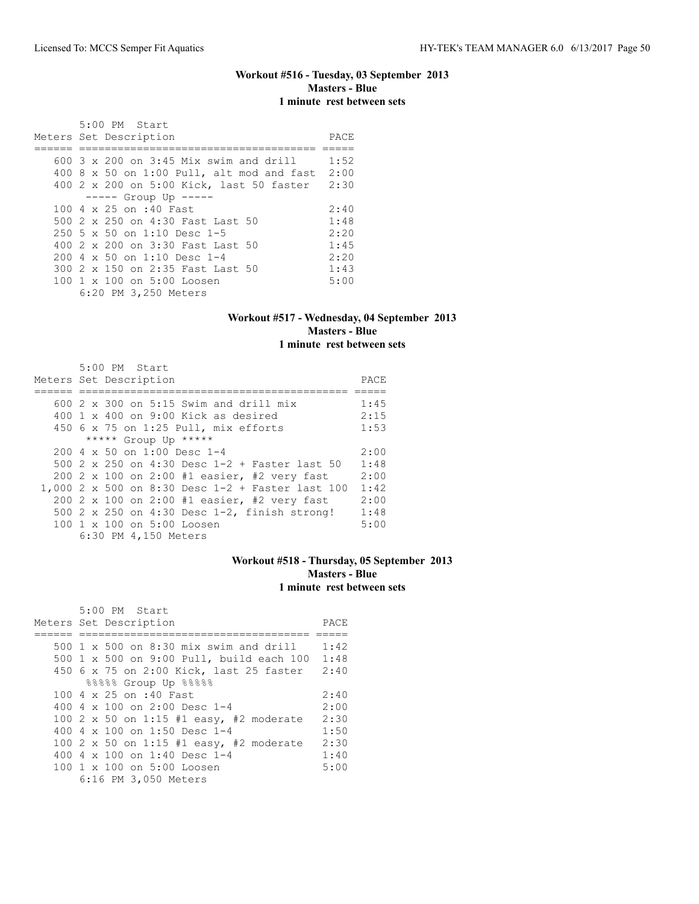## **Workout #516 - Tuesday, 03 September 2013 Masters - Blue 1 minute rest between sets**

| 5:00 PM Start                                     |      |
|---------------------------------------------------|------|
| Meters Set Description                            | PACE |
|                                                   |      |
| $600\,$ 3 $\times$ 200 on 3:45 Mix swim and drill | 1:52 |
| $400$ 8 x 50 on 1:00 Pull, alt mod and fast       | 2:00 |
| 400 2 x 200 on 5:00 Kick, last 50 faster          | 2:30 |
| $--- $ Group Up $---$                             |      |
| 100 4 x 25 on :40 Fast                            | 2:40 |
| 500 2 x 250 on 4:30 Fast Last 50                  | 1:48 |
| 250 5 x 50 on 1:10 Desc 1-5                       | 2:20 |
| 400 2 x 200 on 3:30 Fast Last 50                  | 1:45 |
| 200 4 x 50 on 1:10 Desc 1-4                       | 2:20 |
| 300 2 x 150 on 2:35 Fast Last 50                  | 1:43 |
| 100 1 x 100 on 5:00 Loosen                        | 5:00 |
| 6:20 PM 3,250 Meters                              |      |

### **Workout #517 - Wednesday, 04 September 2013 Masters - Blue 1 minute rest between sets**

| 5:00 PM Start                                    |      |
|--------------------------------------------------|------|
| Meters Set Description                           | PACE |
|                                                  |      |
| 600 2 x 300 on 5:15 Swim and drill mix           | 1:45 |
| $400 \t 1 \t x \t 400$ on 9:00 Kick as desired   | 2:15 |
| 450 6 x 75 on 1:25 Pull, mix efforts             | 1:53 |
| ***** Group Up *****                             |      |
| $2004 \times 50$ on 1:00 Desc 1-4                | 2:00 |
| 500 2 x 250 on 4:30 Desc 1-2 + Faster last 50    | 1:48 |
| 200 2 x 100 on 2:00 #1 easier, #2 very fast      | 2:00 |
| 1,000 2 x 500 on 8:30 Desc 1-2 + Faster last 100 | 1:42 |
| 200 2 x 100 on 2:00 #1 easier, #2 very fast      | 2:00 |
| 500 2 x 250 on 4:30 Desc 1-2, finish strong!     | 1:48 |
| 100 1 x 100 on 5:00 Loosen                       | 5:00 |
| 6:30 PM 4,150 Meters                             |      |

## **Workout #518 - Thursday, 05 September 2013 Masters - Blue 1 minute rest between sets**

| 5:00 PM Start                                |      |
|----------------------------------------------|------|
| Meters Set Description                       | PACE |
|                                              |      |
| 500 1 x 500 on 8:30 mix swim and drill       | 1:42 |
| 500 1 x 500 on 9:00 Pull, build each 100     | 1:48 |
| 450 6 x 75 on 2:00 Kick, last 25 faster 2:40 |      |
| 88888 Group Up 88888                         |      |
| 100 4 x 25 on :40 Fast                       | 2:40 |
| 400 4 x 100 on 2:00 Desc 1-4                 | 2:00 |
| 100 2 x 50 on 1:15 #1 easy, #2 moderate      | 2:30 |
| 400 4 $\times$ 100 on 1:50 Desc 1-4          | 1:50 |
| 100 2 x 50 on 1:15 #1 easy, #2 moderate      | 2:30 |
| 400 4 x 100 on 1:40 Desc 1-4                 | 1:40 |
| 100 1 x 100 on 5:00 Loosen                   | 5:00 |
| 6:16 PM 3,050 Meters                         |      |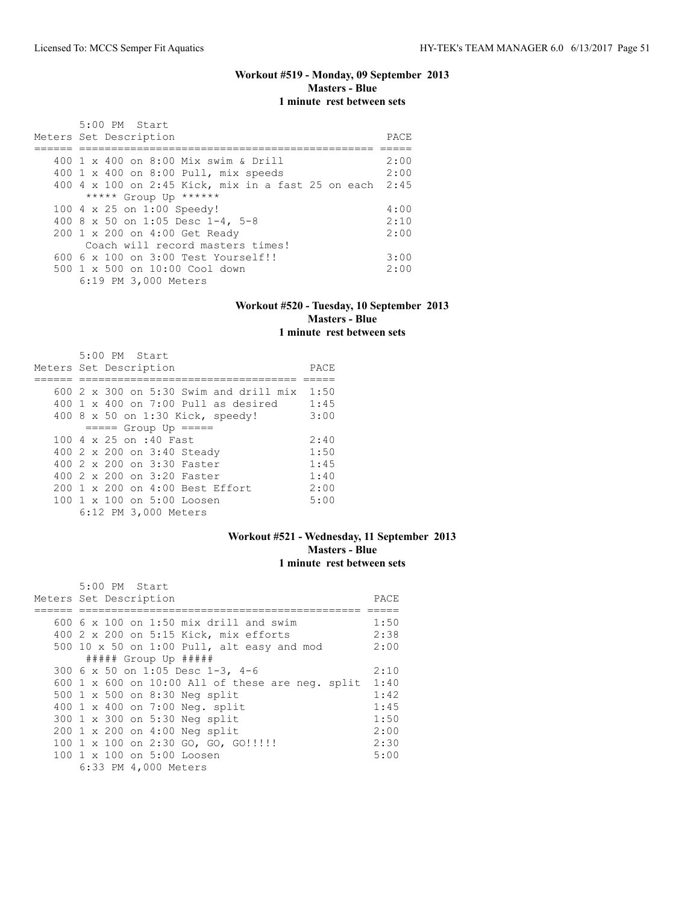## **Workout #519 - Monday, 09 September 2013 Masters - Blue 1 minute rest between sets**

| $5:00$ PM Start                                         |      |
|---------------------------------------------------------|------|
| Meters Set Description                                  | PACE |
|                                                         |      |
| 400 1 x 400 on 8:00 Mix swim & Drill                    | 2:00 |
| 400 1 x 400 on 8:00 Pull, mix speeds                    | 2:00 |
| 400 4 x 100 on 2:45 Kick, mix in a fast 25 on each 2:45 |      |
| ***** Group Up ******                                   |      |
| 100 4 x 25 on 1:00 Speedy!                              | 4:00 |
| 400 8 x 50 on 1:05 Desc 1-4, 5-8                        | 2:10 |
| 200 1 x 200 on 4:00 Get Ready                           | 2:00 |
| Coach will record masters times!                        |      |
| $6006 \times 100$ on $3:00$ Test Yourself!!             | 3:00 |
| $500 \t 1 \t x \t 500$ on $10:00$ Cool down             | 2:00 |
| 6:19 PM 3,000 Meters                                    |      |

## **Workout #520 - Tuesday, 10 September 2013 Masters - Blue 1 minute rest between sets**

| 5:00 PM Start<br>Meters Set Description       | PACE |
|-----------------------------------------------|------|
| 600 $2 \times 300$ on 5:30 Swim and drill mix | 1:50 |
| $400 \t1 x 400$ on 7:00 Pull as desired       | 1:45 |
| 400 8 x 50 on 1:30 Kick, speedy!              | 3:00 |
| $== == $ Group Up $== == $                    |      |
| 100 4 x 25 on :40 Fast                        | 2:40 |
| 400 2 x 200 on 3:40 Steady                    | 1:50 |
| 400 2 x 200 on 3:30 Faster                    | 1:45 |
| 400 2 x 200 on 3:20 Faster                    | 1:40 |
| 200 1 x 200 on 4:00 Best Effort               | 2:00 |
| 100 1 x 100 on 5:00 Loosen                    | 5:00 |
| 6:12 PM 3,000 Meters                          |      |

## **Workout #521 - Wednesday, 11 September 2013 Masters - Blue 1 minute rest between sets**

| 5:00 PM Start                                    |      |
|--------------------------------------------------|------|
| Meters Set Description                           | PACE |
|                                                  |      |
| 600 6 x 100 on 1:50 mix drill and swim           | 1:50 |
| 400 2 x 200 on 5:15 Kick, mix efforts            | 2:38 |
| 500 10 x 50 on 1:00 Pull, alt easy and mod       | 2:00 |
| ##### Group Up #####                             |      |
| 300 6 x 50 on 1:05 Desc 1-3, 4-6                 | 2:10 |
| 600 1 x 600 on 10:00 All of these are neq. split | 1:40 |
| 500 1 x 500 on 8:30 Neg split                    | 1:42 |
| 400 1 x 400 on 7:00 Neg. split                   | 1:45 |
| 300 1 x 300 on 5:30 Neg split                    | 1:50 |
| 200 1 x 200 on 4:00 Neg split                    | 2:00 |
| 100 1 x 100 on 2:30 GO, GO, GO!!!!!              | 2:30 |
| 100 1 x 100 on 5:00 Loosen                       | 5:00 |
| 6:33 PM 4,000 Meters                             |      |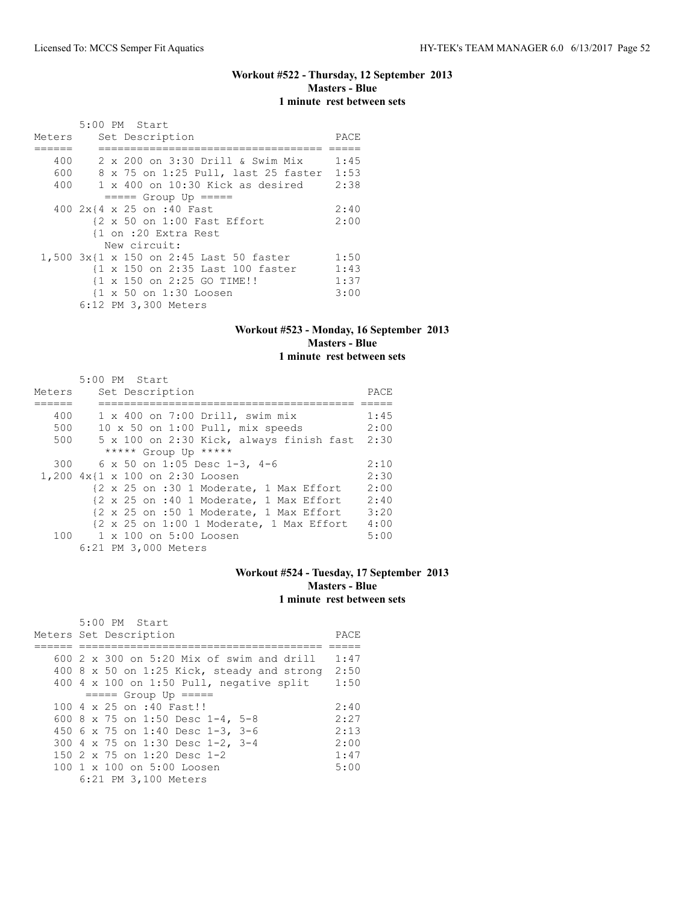## **Workout #522 - Thursday, 12 September 2013 Masters - Blue 1 minute rest between sets**

|        | $5:00$ PM Start                                        |      |
|--------|--------------------------------------------------------|------|
| Meters | Set Description                                        | PACE |
|        |                                                        |      |
| 400    | 2 x 200 on 3:30 Drill & Swim Mix                       | 1:45 |
| 600    | 8 x 75 on 1:25 Pull, last 25 faster                    | 1:53 |
| 400    | $1 \times 400$ on $10:30$ Kick as desired              | 2:38 |
|        | $== == $ Group Up $== == $                             |      |
|        | 400 2x{4 x 25 on :40 Fast                              | 2:40 |
|        | $\{2 \times 50 \text{ on } 1:00 \text{ Fast Effect}\}$ | 2:00 |
|        | {1 on :20 Extra Rest                                   |      |
|        | New circuit:                                           |      |
|        | 1,500 3x{1 x 150 on 2:45 Last 50 faster                | 1:50 |
|        | {1 x 150 on 2:35 Last 100 faster                       | 1:43 |
|        | {1 x 150 on 2:25 GO TIME!!                             | 1:37 |
|        | {1 x 50 on 1:30 Loosen                                 | 3:00 |
|        | 6:12 PM 3,300 Meters                                   |      |

## **Workout #523 - Monday, 16 September 2013 Masters - Blue 1 minute rest between sets**

| Meters | 5:00 PM Start<br>Set Description                                            | PACE |
|--------|-----------------------------------------------------------------------------|------|
| 400    | $1 \times 400$ on 7:00 Drill, swim mix                                      | 1:45 |
| 500    | 10 x 50 on 1:00 Pull, mix speeds                                            | 2:00 |
| 500    | 5 x 100 on 2:30 Kick, always finish fast                                    | 2:30 |
|        | ***** Group Up *****                                                        |      |
| 300    | 6 x 50 on 1:05 Desc 1-3, 4-6                                                | 2:10 |
| 1,200  | $4x{1 x 100 on 2:30 Loosen}$                                                | 2:30 |
|        | {2 x 25 on :30 1 Moderate, 1 Max Effort                                     | 2:00 |
|        | $\{2 \times 25 \text{ on } : 40 \text{ 1 }$ Moderate, 1 Max Effort          | 2:40 |
|        | $\{2 \times 25 \text{ on } : 50 \text{ 1 }$ Moderate, 1 Max Effort          | 3:20 |
|        | $\{2 \times 25 \text{ on } 1:001 \text{ Moderate, } 1 \text{ Max Effect}\}$ | 4:00 |
|        | 100 1 x 100 on 5:00 Loosen                                                  | 5:00 |
|        | 6:21 PM 3,000 Meters                                                        |      |

### **Workout #524 - Tuesday, 17 September 2013 Masters - Blue 1 minute rest between sets**

| 5:00 PM Start                              |      |
|--------------------------------------------|------|
| Meters Set Description                     | PACE |
|                                            |      |
| 600 2 x 300 on 5:20 Mix of swim and drill  | 1:47 |
| 400 8 x 50 on 1:25 Kick, steady and strong | 2:50 |
| 400 4 x 100 on 1:50 Pull, negative split   | 1:50 |
| $====$ Group Up $====$                     |      |
| 100 4 x 25 on :40 Fast!!                   | 2:40 |
| 600 8 x 75 on 1:50 Desc 1-4, 5-8           | 2:27 |
| 450 6 x 75 on 1:40 Desc 1-3, 3-6           | 2:13 |
| 300 4 x 75 on 1:30 Desc 1-2, 3-4           | 2:00 |
| 150 2 x 75 on 1:20 Desc 1-2                | 1:47 |
| 100 1 x 100 on 5:00 Loosen                 | 5:00 |
| 6:21 PM 3,100 Meters                       |      |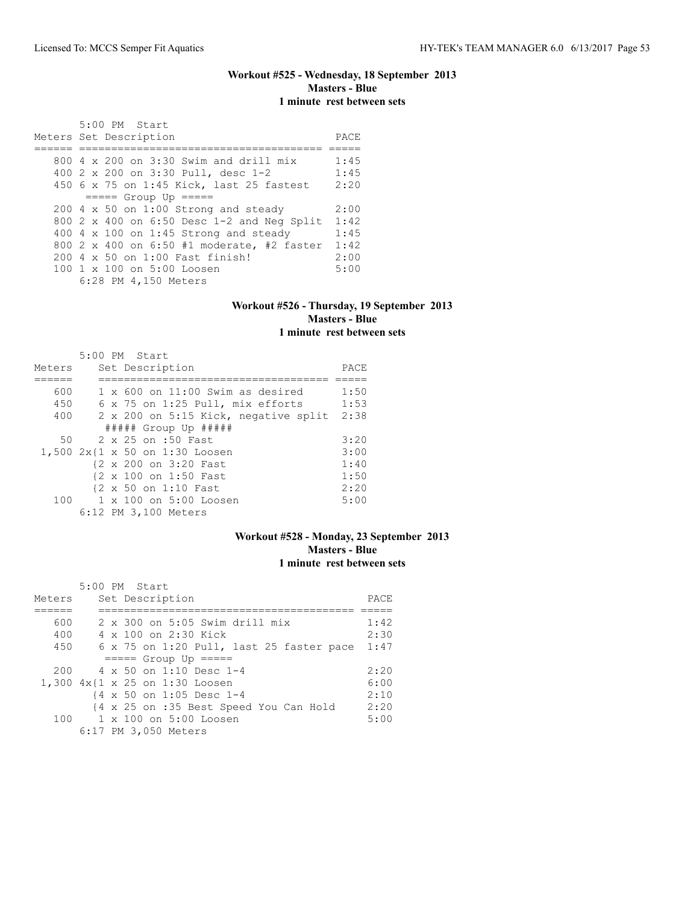## **Workout #525 - Wednesday, 18 September 2013 Masters - Blue 1 minute rest between sets**

| 5:00 PM Start<br>Meters Set Description      | PACE |
|----------------------------------------------|------|
|                                              |      |
|                                              |      |
| $800$ 4 x 200 on 3:30 Swim and drill mix     | 1:45 |
| 400 2 x 200 on 3:30 Pull, desc 1-2           | 1:45 |
| 450 6 x 75 on 1:45 Kick, last 25 fastest     | 2:20 |
| $== == $ Group Up $== == $                   |      |
| $200$ 4 x 50 on 1:00 Strong and steady       | 2:00 |
| 800 2 x 400 on 6:50 Desc 1-2 and Neg Split   | 1:42 |
| 400 $4 \times 100$ on 1:45 Strong and steady | 1:45 |
| 800 2 x 400 on 6:50 #1 moderate, #2 faster   | 1:42 |
| 200 4 x 50 on 1:00 Fast finish!              | 2:00 |
| 100 1 x 100 on 5:00 Loosen                   | 5:00 |
| 6:28 PM 4,150 Meters                         |      |

## **Workout #526 - Thursday, 19 September 2013 Masters - Blue 1 minute rest between sets**

|        | $5:00$ PM Start                           |      |
|--------|-------------------------------------------|------|
| Meters | Set Description                           | PACE |
|        |                                           |      |
| 600    | $1 \times 600$ on $11:00$ Swim as desired | 1:50 |
| 450    | 6 x 75 on 1:25 Pull, mix efforts          | 1:53 |
| 400    | 2 x 200 on 5:15 Kick, negative split      | 2:38 |
|        | ##### Group Up #####                      |      |
| 50     | 2 x 25 on :50 Fast                        | 3:20 |
|        | 1,500 2x{1 x 50 on 1:30 Loosen            | 3:00 |
|        | {2 x 200 on 3:20 Fast                     | 1:40 |
|        | {2 x 100 on 1:50 Fast                     | 1:50 |
|        | {2 x 50 on 1:10 Fast                      | 2:20 |
| 100    | 1 x 100 on 5:00 Loosen                    | 5:00 |
|        | 6:12 PM 3,100 Meters                      |      |

## **Workout #528 - Monday, 23 September 2013 Masters - Blue 1 minute rest between sets**

|        | 5:00 PM Start                                      |      |
|--------|----------------------------------------------------|------|
| Meters | Set Description                                    | PACE |
|        |                                                    |      |
| 600    | $2 \times 300$ on 5:05 Swim drill mix              | 1:42 |
| 400    | 4 x 100 on 2:30 Kick                               | 2:30 |
| 450    | 6 x 75 on 1:20 Pull, last 25 faster pace           | 1:47 |
|        | $== == $ Group Up $== == $                         |      |
| 200    | 4 x 50 on 1:10 Desc 1-4                            | 2:20 |
|        | 1,300 4x{1 x 25 on 1:30 Loosen                     | 6:00 |
|        | $\{4 \times 50 \text{ on } 1:05 \text{ Desc } 1-4$ | 2:10 |
|        | {4 x 25 on :35 Best Speed You Can Hold             | 2:20 |
| 100    | 1 x 100 on 5:00 Loosen                             | 5:00 |
|        | 6:17 PM 3,050 Meters                               |      |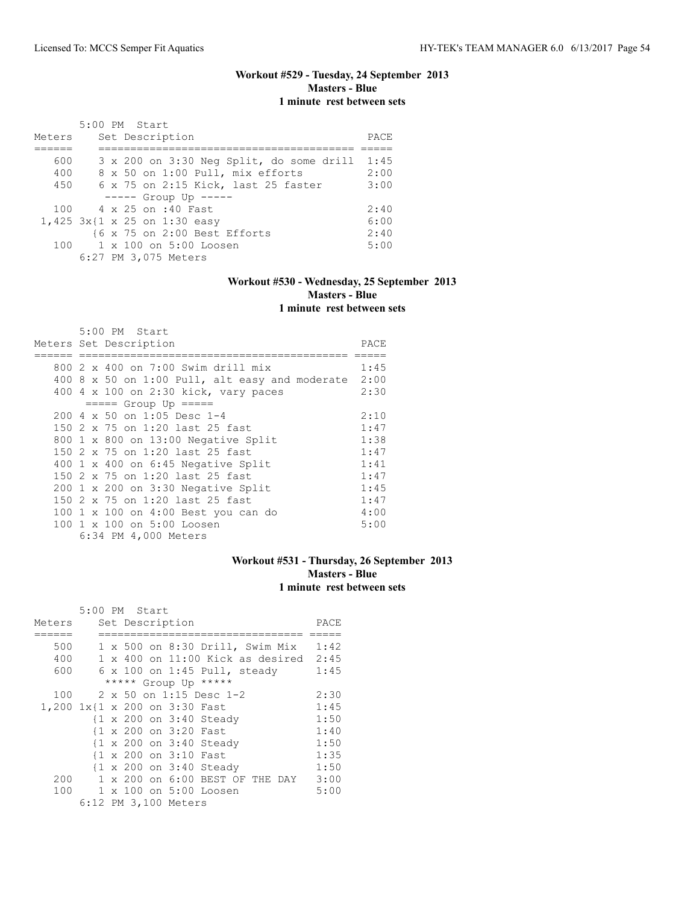## **Workout #529 - Tuesday, 24 September 2013 Masters - Blue 1 minute rest between sets**

|        | 5:00 PM Start                                            |      |
|--------|----------------------------------------------------------|------|
| Meters | Set Description                                          | PACE |
|        |                                                          |      |
| 600    | 3 x 200 on 3:30 Neg Split, do some drill                 | 1:45 |
| 400    | 8 x 50 on 1:00 Pull, mix efforts                         | 2:00 |
| 450    | 6 x 75 on 2:15 Kick, last 25 faster                      | 3:00 |
|        | $--- -$ Group Up $---$                                   |      |
|        | 100 4 x 25 on :40 Fast                                   | 2:40 |
|        | 1,425 3x{1 x 25 on 1:30 easy                             | 6:00 |
|        | $\{6 \times 75 \text{ on } 2:00 \text{ Best Effects} \}$ | 2:40 |
|        | 100 1 x 100 on 5:00 Loosen                               | 5:00 |
|        | 6:27 PM 3,075 Meters                                     |      |

## **Workout #530 - Wednesday, 25 September 2013 Masters - Blue 1 minute rest between sets**

|  | 5:00 PM Start                                  |      |
|--|------------------------------------------------|------|
|  | Meters Set Description                         | PACE |
|  |                                                |      |
|  | 800 2 x 400 on 7:00 Swim drill mix             | 1:45 |
|  | 400 8 x 50 on 1:00 Pull, alt easy and moderate | 2:00 |
|  | 400 4 x 100 on 2:30 kick, vary paces           | 2:30 |
|  | $== == $ Group Up $== == $                     |      |
|  | $200 \text{ } 4 \times 50$ on 1:05 Desc 1-4    | 2:10 |
|  | 150 2 x 75 on 1:20 last 25 fast                | 1:47 |
|  | 800 1 x 800 on 13:00 Negative Split            | 1:38 |
|  | 150 2 x 75 on 1:20 last 25 fast                | 1:47 |
|  | 400 1 x 400 on 6:45 Negative Split             | 1:41 |
|  | 150 2 x 75 on 1:20 last 25 fast                | 1:47 |
|  | $200 \t1 x 200$ on 3:30 Negative Split         | 1:45 |
|  | 150 2 x 75 on 1:20 last 25 fast                | 1:47 |
|  | 100 1 x 100 on 4:00 Best you can do            | 4:00 |
|  | 100 1 x 100 on 5:00 Loosen                     | 5:00 |
|  | 6:34 PM 4,000 Meters                           |      |

## **Workout #531 - Thursday, 26 September 2013 Masters - Blue 1 minute rest between sets**

|                               | 5:00 PM Start |  |                       |                                           |      |
|-------------------------------|---------------|--|-----------------------|-------------------------------------------|------|
| Meters                        |               |  | Set Description       |                                           | PACE |
|                               |               |  |                       |                                           |      |
| 500                           |               |  |                       | 1 x 500 on 8:30 Drill, Swim Mix           | 1:42 |
| 400                           |               |  |                       | $1 \times 400$ on $11:00$ Kick as desired | 2:45 |
| 600                           |               |  |                       | $6 \times 100$ on 1:45 Pull, steady       | 1:45 |
|                               |               |  |                       | ***** Group Up *****                      |      |
| 100                           |               |  |                       | 2 x 50 on 1:15 Desc 1-2                   | 2:30 |
| 1,200 1x{1 x 200 on 3:30 Fast |               |  |                       |                                           | 1:45 |
|                               |               |  |                       | {1 x 200 on 3:40 Steady                   | 1:50 |
|                               |               |  | {1 x 200 on 3:20 Fast |                                           | 1:40 |
|                               |               |  |                       | {1 x 200 on 3:40 Steady                   | 1:50 |
|                               |               |  | {1 x 200 on 3:10 Fast |                                           | 1:35 |
|                               |               |  |                       | {1 x 200 on 3:40 Steady                   | 1:50 |
| 200                           |               |  |                       | 1 x 200 on 6:00 BEST OF THE DAY           | 3:00 |
| 100                           |               |  |                       | 1 x 100 on 5:00 Loosen                    | 5:00 |
|                               |               |  | 6:12 PM 3,100 Meters  |                                           |      |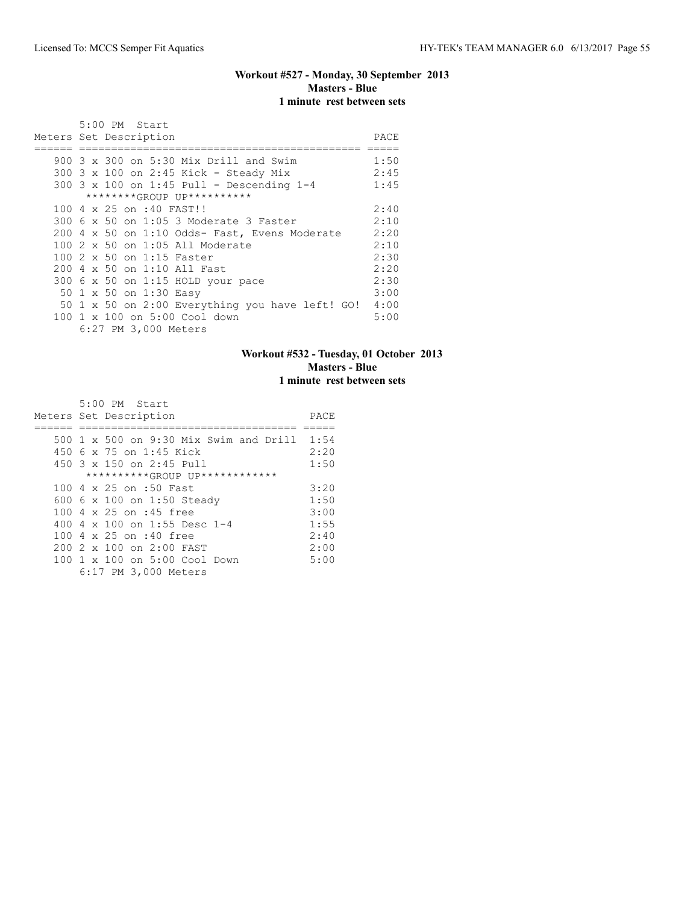## **Workout #527 - Monday, 30 September 2013 Masters - Blue 1 minute rest between sets**

| 5:00 PM Start                                   |      |
|-------------------------------------------------|------|
| Meters Set Description                          | PACE |
|                                                 |      |
| 900 3 x 300 on 5:30 Mix Drill and Swim          | 1:50 |
| 300 3 x 100 on 2:45 Kick - Steady Mix           | 2:45 |
| 300 3 x 100 on 1:45 Pull - Descending 1-4       | 1:45 |
| ********GROUP UP**********                      |      |
| 100 4 x 25 on :40 FAST!!                        | 2:40 |
| 300 6 x 50 on 1:05 3 Moderate 3 Faster          | 2:10 |
| 200 4 x 50 on 1:10 Odds- Fast, Evens Moderate   | 2:20 |
| 100 2 x 50 on 1:05 All Moderate                 | 2:10 |
| 100 2 x 50 on 1:15 Faster                       | 2:30 |
| 200 4 x 50 on 1:10 All Fast                     | 2:20 |
| 300 6 x 50 on 1:15 HOLD your pace               | 2:30 |
| 50 1 x 50 on 1:30 Easy                          | 3:00 |
| 50 1 x 50 on 2:00 Everything you have left! GO! | 4:00 |
| 100 1 x 100 on 5:00 Cool down                   | 5:00 |
| 6:27 PM 3,000 Meters                            |      |

## **Workout #532 - Tuesday, 01 October 2013 Masters - Blue 1 minute rest between sets**

| 5:00 PM Start                               |      |
|---------------------------------------------|------|
| Meters Set Description                      | PACE |
|                                             |      |
| 500 1 x 500 on 9:30 Mix Swim and Drill 1:54 |      |
| 450 6 x 75 on 1:45 Kick                     | 2:20 |
| $450$ 3 x 150 on 2:45 Pull                  | 1:50 |
| **********GROUP UP************              |      |
| 100 4 x 25 on :50 Fast                      | 3:20 |
| 600 6 x 100 on 1:50 Steady                  | 1:50 |
| 100 4 x 25 on :45 free                      | 3:00 |
| 400 4 $\times$ 100 on 1:55 Desc 1-4         | 1:55 |
| 100 4 x 25 on :40 free                      | 2:40 |
| $2002 \times 100$ on $2:00$ FAST            | 2:00 |
| 100 1 x 100 on 5:00 Cool Down               | 5:00 |
| 6:17 PM 3,000 Meters                        |      |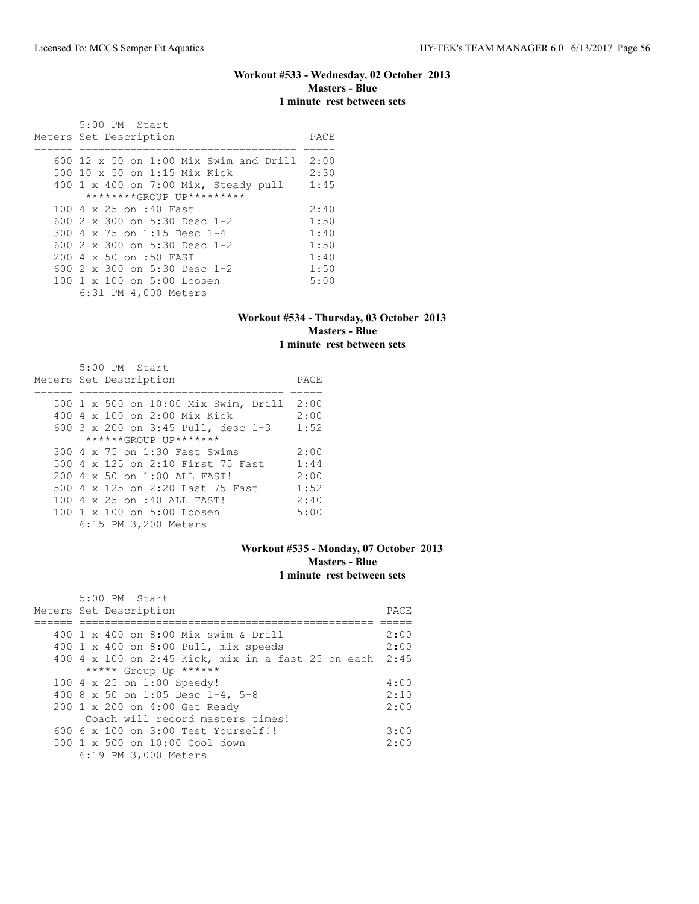## **Workout #533 - Wednesday, 02 October 2013 Masters - Blue 1 minute rest between sets**

 5:00 PM Start Meters Set Description **PACE** ====== ================================== ===== 600 12 x 50 on 1:00 Mix Swim and Drill 2:00 500 10 x 50 on 1:15 Mix Kick 2:30 400 1 x 400 on 7:00 Mix, Steady pull 1:45 \*\*\*\*\*\*\*\*GROUP UP\*\*\*\*\*\*\*\*\* 100 4 x 25 on :40 Fast 2:40 600 2 x 300 on 5:30 Desc 1-2 1:50 300 4 x 75 on 1:15 Desc 1-4 1:40 600 2 x 300 on 5:30 Desc 1-2 1:50 200 4 x 50 on :50 FAST 1:40<br>600 2 x 300 on 5:30 Desc 1-2 1:50 600 2 x 300 on 5:30 Desc 1-2 1:50 100 1 x 100 on 5:00 Loosen 6:31 PM 4,000 Meters

#### **Workout #534 - Thursday, 03 October 2013 Masters - Blue 1 minute rest between sets**

| 5:00 PM Start                        |      |
|--------------------------------------|------|
| Meters Set Description               | PACE |
|                                      |      |
| 500 1 x 500 on 10:00 Mix Swim, Drill | 2:00 |
| 400 4 x 100 on 2:00 Mix Kick         | 2:00 |
| 600 3 x 200 on 3:45 Pull, desc 1-3   | 1:52 |
| ******GROUP UP*******                |      |
| 300 4 x 75 on 1:30 Fast Swims        | 2:00 |
| 500 4 x 125 on 2:10 First 75 Fast    | 1:44 |
| 200 4 x 50 on 1:00 ALL FAST!         | 2:00 |
| 500 4 x 125 on 2:20 Last 75 Fast     | 1:52 |
| 100 4 x 25 on :40 ALL FAST!          | 2:40 |
| 100 1 x 100 on 5:00 Loosen           | 5:00 |
| 6:15 PM 3,200 Meters                 |      |

### **Workout #535 - Monday, 07 October 2013 Masters - Blue 1 minute rest between sets**

| $5:00$ PM Start                                         |      |
|---------------------------------------------------------|------|
| Meters Set Description                                  | PACE |
|                                                         |      |
| 400 1 x 400 on 8:00 Mix swim & Drill                    | 2:00 |
| 400 1 x 400 on 8:00 Pull, mix speeds                    | 2:00 |
| 400 4 x 100 on 2:45 Kick, mix in a fast 25 on each 2:45 |      |
| ***** Group Up ******                                   |      |
| 100 4 x 25 on 1:00 Speedy!                              | 4:00 |
| 400 8 x 50 on 1:05 Desc 1-4, 5-8                        | 2:10 |
| 200 1 x 200 on 4:00 Get Ready                           | 2:00 |
| Coach will record masters times!                        |      |
| $6006 \times 100$ on $3:00$ Test Yourself!!             | 3:00 |
| $500 \t 1 \t x \t 500$ on $10:00$ Cool down             | 2:00 |
| 6:19 PM 3,000 Meters                                    |      |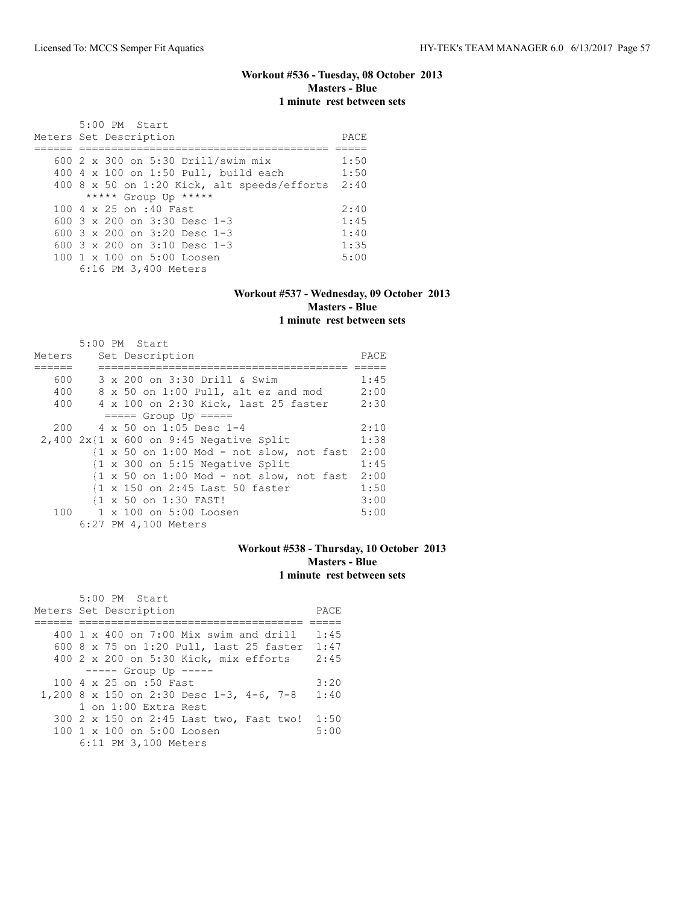## **Workout #536 - Tuesday, 08 October 2013 Masters - Blue 1 minute rest between sets**

| $5:00$ PM Start<br>Meters Set Description              | PACE. |
|--------------------------------------------------------|-------|
| 600 2 x 300 on 5:30 Drill/swim mix                     | 1:50  |
|                                                        |       |
| 400 4 x 100 on 1:50 Pull, build each                   | 1:50  |
| 400 8 x 50 on 1:20 Kick, alt speeds/efforts            | 2:40  |
| ***** Group Up *****                                   |       |
| 100 4 x 25 on :40 Fast                                 | 2:40  |
| 600 $3 \times 200$ on $3:30$ Desc 1-3                  | 1:45  |
| 600 $3 \times 200$ on $3:20$ Desc 1-3                  | 1:40  |
| 600 $3 \times 200$ on $3:10$ Desc 1-3                  | 1:35  |
| $100 \text{ 1 x } 100 \text{ on } 5:00 \text{ Loosen}$ | 5:00  |
| 6:16 PM 3,400 Meters                                   |       |

### **Workout #537 - Wednesday, 09 October 2013 Masters - Blue 1 minute rest between sets**

|        | 5:00 PM Start                                              |      |
|--------|------------------------------------------------------------|------|
| Meters | Set Description                                            | PACE |
|        |                                                            |      |
| 600    | 3 x 200 on 3:30 Drill & Swim                               | 1:45 |
| 400    | 8 x 50 on 1:00 Pull, alt ez and mod                        | 2:00 |
| 400    | 4 x 100 on 2:30 Kick, last 25 faster                       | 2:30 |
|        | $== == $ Group Up $== == $                                 |      |
| 200    | $4 \times 50$ on 1:05 Desc 1-4                             | 2:10 |
|        | $2,400$ $2x$ {1 x 600 on 9:45 Negative Split               | 1:38 |
|        | $\{1 \times 50$ on 1:00 Mod - not slow, not fast           | 2:00 |
|        | $\{1 \times 300 \text{ on } 5:15 \text{ Negative Split}\}$ | 1:45 |
|        | $\{1 \times 50$ on 1:00 Mod - not slow, not fast           | 2:00 |
|        | {1 x 150 on 2:45 Last 50 faster                            | 1:50 |
|        | {1 x 50 on 1:30 FAST!                                      | 3:00 |
|        | 100 1 x 100 on 5:00 Loosen                                 | 5:00 |
|        | 6:27 PM 4,100 Meters                                       |      |

## **Workout #538 - Thursday, 10 October 2013 Masters - Blue 1 minute rest between sets**

| 5:00 PM Start                                 |      |
|-----------------------------------------------|------|
| Meters Set Description                        | PACE |
|                                               |      |
| 400 $1 \times 400$ on 7:00 Mix swim and drill | 1:45 |
| 600 8 x 75 on 1:20 Pull, last 25 faster       | 1:47 |
| 400 2 x 200 on 5:30 Kick, mix efforts         | 2:45 |
| $--- $ Group Up $---$                         |      |
| 100 4 x 25 on :50 Fast                        | 3:20 |
| 1,200 8 x 150 on 2:30 Desc 1-3, 4-6, 7-8      | 1:40 |
| 1 on 1:00 Extra Rest                          |      |
| 300 2 x 150 on 2:45 Last two, Fast two!       | 1:50 |
| 100 1 x 100 on 5:00 Loosen                    | 5:00 |
| 6:11 PM 3,100 Meters                          |      |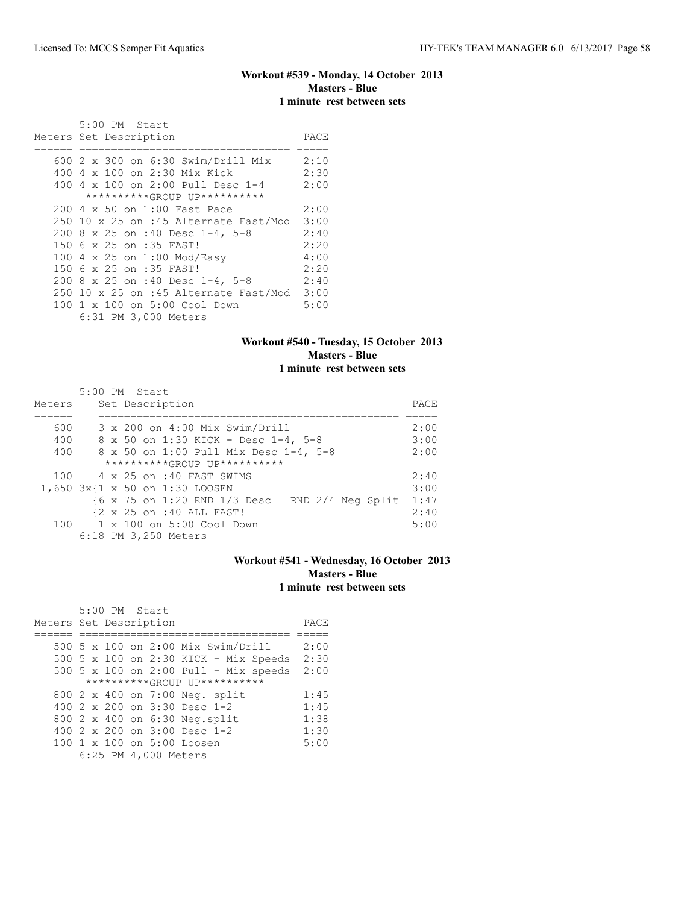## **Workout #539 - Monday, 14 October 2013 Masters - Blue 1 minute rest between sets**

| 5:00 PM Start                                  |      |
|------------------------------------------------|------|
| Meters Set Description                         | PACE |
| 600 2 x 300 on 6:30 Swim/Drill Mix             | 2:10 |
| 400 4 x 100 on 2:30 Mix Kick                   | 2:30 |
| 400 $4 \times 100$ on 2:00 Pull Desc 1-4       | 2:00 |
| **********GROUP UP**********                   |      |
| 200 4 x 50 on 1:00 Fast Pace                   | 2:00 |
| $250$ 10 x 25 on :45 Alternate Fast/Mod        | 3:00 |
| 200 8 x 25 on :40 Desc 1-4, 5-8                | 2:40 |
| 150 6 x 25 on :35 FAST!                        | 2:20 |
| 100 4 x 25 on 1:00 Mod/Easy                    | 4:00 |
| 150 6 x 25 on :35 FAST!                        | 2:20 |
| 200 8 x 25 on :40 Desc 1-4, 5-8                | 2:40 |
| $250$ 10 x 25 on :45 Alternate Fast/Mod $3:00$ |      |
| 100 1 x 100 on 5:00 Cool Down                  | 5:00 |
| 6:31 PM 3,000 Meters                           |      |

## **Workout #540 - Tuesday, 15 October 2013 Masters - Blue 1 minute rest between sets**

| Meters | 5:00 PM Start<br>Set Description                  | PACE |
|--------|---------------------------------------------------|------|
|        |                                                   |      |
| 600    | 3 x 200 on 4:00 Mix Swim/Drill                    | 2:00 |
| 400    | 8 x 50 on 1:30 KICK - Desc 1-4, 5-8               | 3:00 |
| 400    | 8 x 50 on 1:00 Pull Mix Desc 1-4, 5-8             | 2:00 |
|        | **********GROUP UP**********                      |      |
| 100    | 4 x 25 on :40 FAST SWIMS                          | 2:40 |
|        | 1,650 3x{1 x 50 on 1:30 LOOSEN                    | 3:00 |
|        | {6 x 75 on 1:20 RND 1/3 Desc<br>RND 2/4 Neg Split | 1:47 |
|        | {2 x 25 on :40 ALL FAST!                          | 2:40 |
|        | 100 1 x 100 on 5:00 Cool Down                     | 5:00 |
|        | 6:18 PM 3,250 Meters                              |      |

## **Workout #541 - Wednesday, 16 October 2013 Masters - Blue 1 minute rest between sets**

| 5:00 PM Start                                          |      |
|--------------------------------------------------------|------|
| Meters Set Description                                 | PACE |
|                                                        |      |
| 500 5 x 100 on 2:00 Mix Swim/Drill                     | 2:00 |
| 500 5 x 100 on 2:30 KICK - Mix Speeds                  | 2:30 |
| $500$ 5 x 100 on 2:00 Pull - Mix speeds                | 2:00 |
| **********GROUP UP**********                           |      |
| 800 2 x 400 on 7:00 Neg. split                         | 1:45 |
| 400 $2 \times 200$ on $3:30$ Desc 1-2                  | 1:45 |
| 800 2 x 400 on 6:30 Neg.split                          | 1:38 |
| 400 $2 \times 200$ on $3:00$ Desc 1-2                  | 1:30 |
| $100 \text{ 1 x } 100 \text{ on } 5:00 \text{ Loosen}$ | 5:00 |
| 6:25 PM 4,000 Meters                                   |      |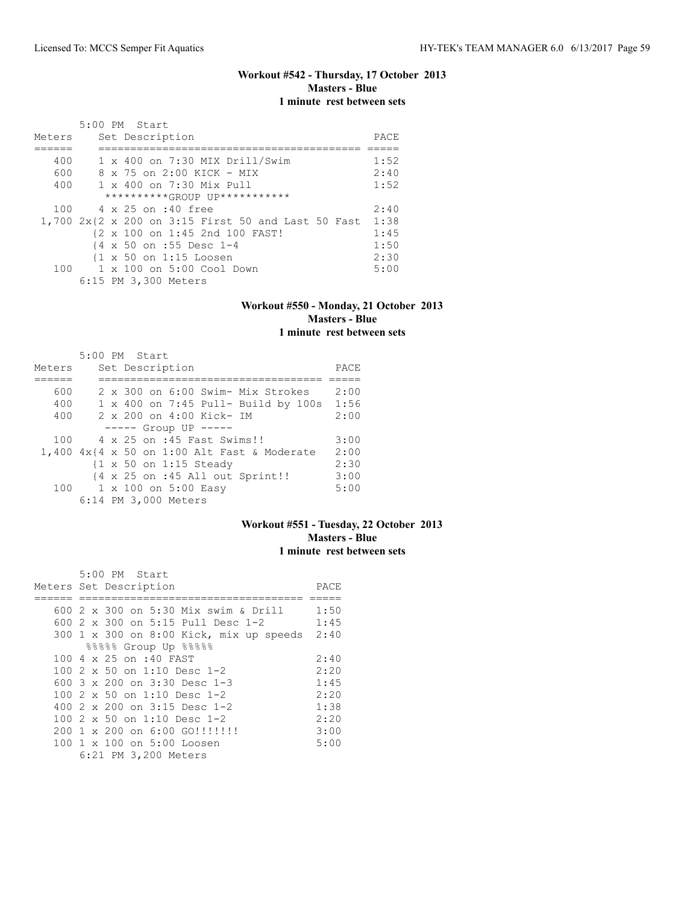## **Workout #542 - Thursday, 17 October 2013 Masters - Blue 1 minute rest between sets**

|        | $5:00$ PM Start                                         |      |
|--------|---------------------------------------------------------|------|
| Meters | Set Description                                         | PACE |
|        |                                                         |      |
| 400    | 1 x 400 on 7:30 MIX Drill/Swim                          | 1:52 |
| 600    | 8 x 75 on 2:00 KICK - MIX                               | 2:40 |
| 400    | 1 x 400 on 7:30 Mix Pull                                | 1:52 |
|        | **********(ROUP UP***********                           |      |
|        | 100 4 x 25 on :40 free                                  | 2:40 |
|        | 1,700 2x{2 x 200 on 3:15 First 50 and Last 50 Fast 1:38 |      |
|        | {2 x 100 on 1:45 2nd 100 FAST!                          | 1:45 |
|        | {4 x 50 on :55 Desc 1-4                                 | 1:50 |
|        | $\{1 \times 50 \text{ on } 1:15 \text{ Loosen}\}$       | 2:30 |
|        | $100 \t 1 \times 100$ on $5:00$ Cool Down               | 5:00 |
|        | 6:15 PM 3,300 Meters                                    |      |

### **Workout #550 - Monday, 21 October 2013 Masters - Blue 1 minute rest between sets**

|        | 5:00 PM Start |  |                                                        |      |
|--------|---------------|--|--------------------------------------------------------|------|
| Meters |               |  | Set Description                                        | PACE |
|        |               |  |                                                        |      |
| 600    |               |  | 2 x 300 on 6:00 Swim- Mix Strokes                      | 2:00 |
| 400    |               |  | 1 x 400 on 7:45 Pull- Build by 100s                    | 1:56 |
| 400    |               |  | 2 x 200 on 4:00 Kick- IM                               | 2:00 |
|        |               |  | $--- $ Group UP $--- $                                 |      |
| 100    |               |  | 4 x 25 on :45 Fast Swims!!                             | 3:00 |
|        |               |  | $1,400$ $4x$ $4 \times 50$ on 1:00 Alt Fast & Moderate | 2:00 |
|        |               |  | $\{1 \times 50 \text{ on } 1:15 \text{ Steady}\}$      | 2:30 |
|        |               |  | {4 x 25 on :45 All out Sprint!!                        | 3:00 |
|        |               |  | 100 1 x 100 on 5:00 Easy                               | 5:00 |
|        |               |  | 6:14 PM 3,000 Meters                                   |      |

## **Workout #551 - Tuesday, 22 October 2013 Masters - Blue 1 minute rest between sets**

|  | 5:00 PM Start                           |      |
|--|-----------------------------------------|------|
|  | Meters Set Description                  | PACE |
|  |                                         |      |
|  | 600 2 x 300 on 5:30 Mix swim & Drill    | 1:50 |
|  | 600 2 x 300 on 5:15 Pull Desc 1-2       | 1:45 |
|  | 300 1 x 300 on 8:00 Kick, mix up speeds | 2:40 |
|  | 88888 Group Up 88888                    |      |
|  | 100 4 x 25 on :40 FAST                  | 2:40 |
|  | 100 $2 \times 50$ on 1:10 Desc 1-2      | 2:20 |
|  | 600 3 x 200 on 3:30 Desc 1-3            | 1:45 |
|  | 100 2 x 50 on 1:10 Desc 1-2             | 2:20 |
|  | 400 $2 \times 200$ on $3:15$ Desc 1-2   | 1:38 |
|  | 100 $2 \times 50$ on 1:10 Desc 1-2      | 2:20 |
|  | 200 1 x 200 on 6:00 GO!!!!!!!!          | 3:00 |
|  | 100 1 x 100 on 5:00 Loosen              | 5:00 |
|  | 6:21 PM 3,200 Meters                    |      |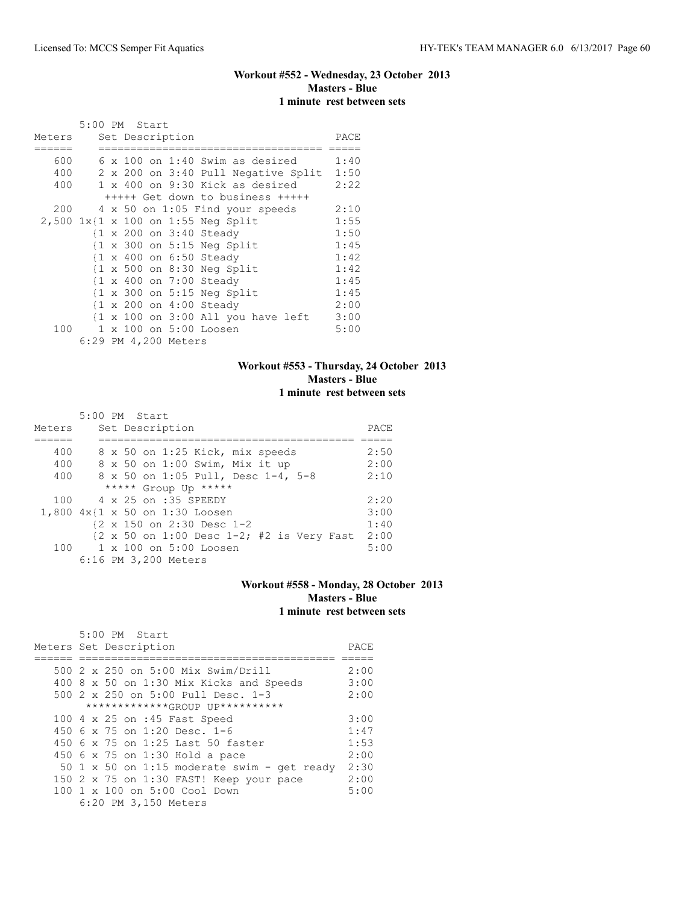## **Workout #552 - Wednesday, 23 October 2013 Masters - Blue 1 minute rest between sets**

|        | 5:00 PM Start |  |                      |                                                               |      |
|--------|---------------|--|----------------------|---------------------------------------------------------------|------|
| Meters |               |  | Set Description      |                                                               | PACE |
|        |               |  |                      |                                                               |      |
| 600    |               |  |                      | $6 \times 100$ on 1:40 Swim as desired                        | 1:40 |
| 400    |               |  |                      | 2 x 200 on 3:40 Pull Negative Split                           | 1:50 |
| 400    |               |  |                      | 1 x 400 on 9:30 Kick as desired                               | 2:22 |
|        |               |  |                      | +++++ Get down to business +++++                              |      |
| 200    |               |  |                      | 4 x 50 on 1:05 Find your speeds                               | 2:10 |
|        |               |  |                      | 2,500 1x{1 x 100 on 1:55 Neg Split                            | 1:55 |
|        |               |  |                      | {1 x 200 on 3:40 Steady                                       | 1:50 |
|        |               |  |                      | $\{1 \times 300 \text{ on } 5:15 \text{ Neg Split}\}$         | 1:45 |
|        |               |  |                      | {1 x 400 on 6:50 Steady                                       | 1:42 |
|        |               |  |                      | $\{1 \times 500$ on 8:30 Neg Split                            | 1:42 |
|        |               |  |                      | {1 x 400 on 7:00 Steady                                       | 1:45 |
|        |               |  |                      | $\{1 \times 300 \text{ on } 5:15 \text{ Neg Split}\}$         | 1:45 |
|        |               |  |                      | {1 x 200 on 4:00 Steady                                       | 2:00 |
|        |               |  |                      | $\{1 \times 100 \text{ on } 3:00 \text{ All you have left}\}$ | 3:00 |
| 100    |               |  |                      | 1 x 100 on 5:00 Loosen                                        | 5:00 |
|        |               |  | 6:29 PM 4,200 Meters |                                                               |      |

## **Workout #553 - Thursday, 24 October 2013 Masters - Blue 1 minute rest between sets**

|        | 5:00 PM Start                                     |      |
|--------|---------------------------------------------------|------|
| Meters | Set Description                                   | PACE |
|        |                                                   |      |
| 400    | 8 x 50 on 1:25 Kick, mix speeds                   | 2:50 |
| 400    | 8 x 50 on 1:00 Swim, Mix it up                    | 2:00 |
| 400    | 8 x 50 on 1:05 Pull, Desc 1-4, 5-8                | 2:10 |
|        | ***** Group Up *****                              |      |
| 100    | 4 x 25 on :35 SPEEDY                              | 2:20 |
|        | 1,800 4x{1 x 50 on 1:30 Loosen                    | 3:00 |
|        | {2 x 150 on 2:30 Desc 1-2                         | 1:40 |
|        | ${2 \times 50}$ on 1:00 Desc 1-2; #2 is Very Fast | 2:00 |
|        | 100 1 x 100 on 5:00 Loosen                        | 5:00 |
|        | 6:16 PM 3,200 Meters                              |      |

### **Workout #558 - Monday, 28 October 2013 Masters - Blue 1 minute rest between sets**

| 5:00 PM Start                               |      |
|---------------------------------------------|------|
| Meters Set Description                      | PACE |
|                                             |      |
| 500 2 x 250 on 5:00 Mix Swim/Drill          | 2:00 |
| 400 8 x 50 on 1:30 Mix Kicks and Speeds     | 3:00 |
| 500 2 x 250 on 5:00 Pull Desc. 1-3          | 2:00 |
| *************GROUP UP**********             |      |
| 100 4 x 25 on :45 Fast Speed                | 3:00 |
| 450 6 x 75 on 1:20 Desc. 1-6                | 1:47 |
| 450 6 x 75 on 1:25 Last 50 faster           | 1:53 |
| 450 6 x 75 on 1:30 Hold a pace              | 2:00 |
| 50 1 x 50 on 1:15 moderate swim - get ready | 2:30 |
| 150 2 x 75 on 1:30 FAST! Keep your pace     | 2:00 |
| 100 1 x 100 on 5:00 Cool Down               | 5:00 |
| 6:20 PM 3,150 Meters                        |      |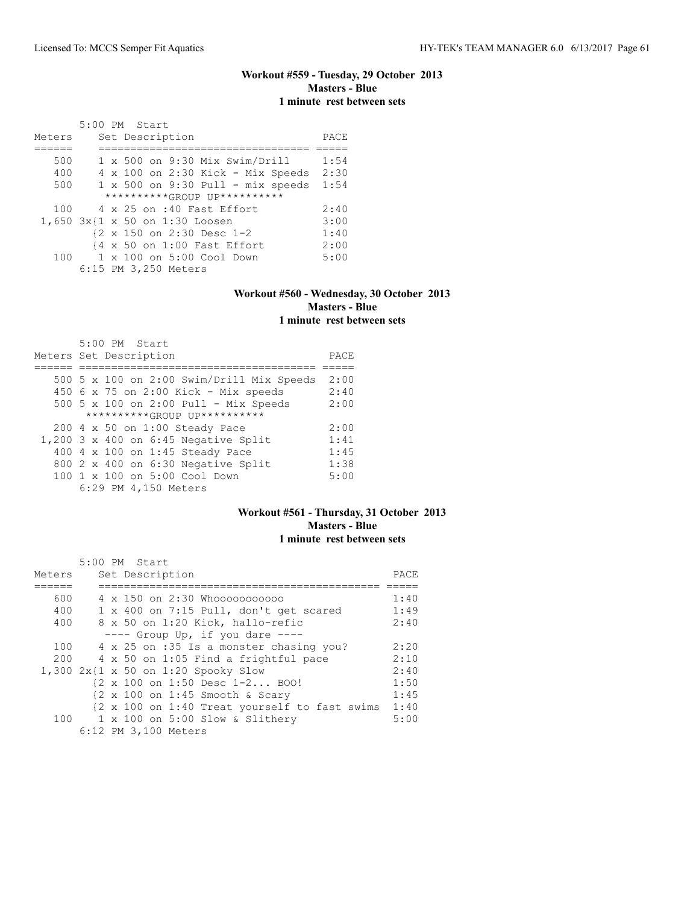## **Workout #559 - Tuesday, 29 October 2013 Masters - Blue 1 minute rest between sets**

|        | 5:00 PM Start                            |      |
|--------|------------------------------------------|------|
| Meters | Set Description                          | PACE |
|        |                                          |      |
| 500    | $1 \times 500$ on 9:30 Mix Swim/Drill    | 1:54 |
| 400    | $4 \times 100$ on 2:30 Kick - Mix Speeds | 2:30 |
| 500    | $1 \times 500$ on 9:30 Pull - mix speeds | 1:54 |
|        | **********GROUP UP**********             |      |
| 100    | 4 x 25 on :40 Fast Effort                | 2:40 |
|        | 1,650 3x{1 x 50 on 1:30 Loosen           | 3:00 |
|        | {2 x 150 on 2:30 Desc 1-2                | 1:40 |
|        | {4 x 50 on 1:00 Fast Effort              | 2:00 |
| 100    | 1 x 100 on 5:00 Cool Down                | 5:00 |
|        | 6:15 PM 3,250 Meters                     |      |

### **Workout #560 - Wednesday, 30 October 2013 Masters - Blue 1 minute rest between sets**

| $5:00$ PM Start                            |      |
|--------------------------------------------|------|
| Meters Set Description                     | PACE |
|                                            |      |
| 500 5 x 100 on 2:00 Swim/Drill Mix Speeds  | 2:00 |
| 450 6 x 75 on 2:00 Kick - Mix speeds       | 2:40 |
| 500 5 x 100 on 2:00 Pull - Mix Speeds      | 2:00 |
| **********GROUP UP**********               |      |
| 200 4 x 50 on 1:00 Steady Pace             | 2:00 |
| $1,200$ 3 x 400 on 6:45 Negative Split     | 1:41 |
| 400 4 x 100 on 1:45 Steady Pace            | 1:45 |
| 800 2 x 400 on 6:30 Negative Split         | 1:38 |
| $100 \t 1 \t x \t 100$ on $5:00$ Cool Down | 5:00 |
| 6:29 PM 4,150 Meters                       |      |

### **Workout #561 - Thursday, 31 October 2013 Masters - Blue 1 minute rest between sets**

| Meters | 5:00 PM Start<br>Set Description                                      | PACE |
|--------|-----------------------------------------------------------------------|------|
| 600    | 4 x 150 on 2:30 Whooooooooooo                                         | 1:40 |
| 400    | 1 x 400 on 7:15 Pull, don't get scared                                | 1:49 |
| 400    | 8 x 50 on 1:20 Kick, hallo-refic                                      | 2:40 |
|        | $---$ Group Up, if you dare $---$                                     |      |
| 100    | 4 x 25 on :35 Is a monster chasing you?                               | 2:20 |
| 200    | 4 x 50 on 1:05 Find a frightful pace                                  | 2:10 |
|        | 1,300 $2x(1 \times 50)$ on 1:20 Spooky Slow                           | 2:40 |
|        | {2 x 100 on 1:50 Desc 1-2 BOO!                                        | 1:50 |
|        | $\{2 \times 100 \text{ on } 1:45 \text{ smooth } \& \text{ Scary} \}$ | 1:45 |
|        | {2 x 100 on 1:40 Treat yourself to fast swims                         | 1:40 |
|        | 100 1 x 100 on 5:00 Slow & Slithery                                   | 5:00 |
|        | 6:12 PM 3,100 Meters                                                  |      |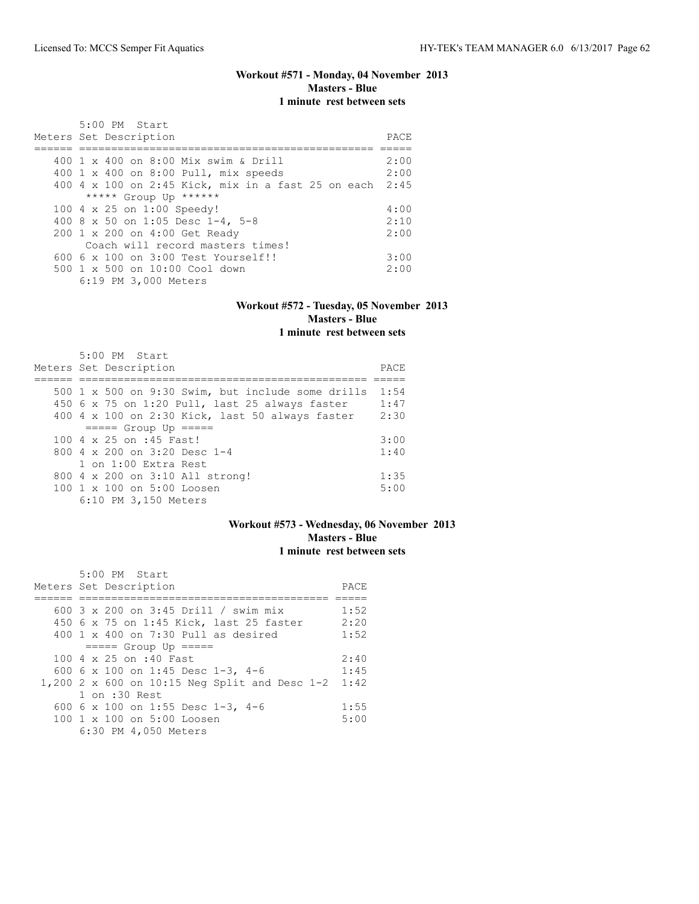## **Workout #571 - Monday, 04 November 2013 Masters - Blue 1 minute rest between sets**

| $5:00$ PM Start                                         |      |
|---------------------------------------------------------|------|
| Meters Set Description                                  | PACE |
|                                                         |      |
| 400 1 x 400 on 8:00 Mix swim & Drill                    | 2:00 |
| 400 1 x 400 on 8:00 Pull, mix speeds                    | 2:00 |
| 400 4 x 100 on 2:45 Kick, mix in a fast 25 on each 2:45 |      |
| ***** Group Up ******                                   |      |
| 100 4 x 25 on 1:00 Speedy!                              | 4:00 |
| 400 8 x 50 on 1:05 Desc 1-4, 5-8                        | 2:10 |
| 200 1 x 200 on 4:00 Get Ready                           | 2:00 |
| Coach will record masters times!                        |      |
| $6006 \times 100$ on $3:00$ Test Yourself!!             | 3:00 |
| $500 \t 1 \t x \t 500$ on $10:00$ Cool down             | 2:00 |
| 6:19 PM 3,000 Meters                                    |      |

## **Workout #572 - Tuesday, 05 November 2013 Masters - Blue 1 minute rest between sets**

| 5:00 PM Start                                     |       |
|---------------------------------------------------|-------|
| Meters Set Description                            | PACE. |
|                                                   |       |
| 500 1 x 500 on 9:30 Swim, but include some drills | 1:54  |
| 450 6 x 75 on 1:20 Pull, last 25 always faster    | 1:47  |
| 400 4 x 100 on 2:30 Kick, last 50 always faster   | 2:30  |
| $== == $ Group Up $== == $                        |       |
| 100 4 x 25 on :45 Fast!                           | 3:00  |
| 800 $4 \times 200$ on 3:20 Desc 1-4               | 1:40  |
| 1 on 1:00 Extra Rest                              |       |
| 800 4 x 200 on 3:10 All strong!                   | 1:35  |
| 100 1 x 100 on 5:00 Loosen                        | 5:00  |
| 6:10 PM 3,150 Meters                              |       |

## **Workout #573 - Wednesday, 06 November 2013 Masters - Blue 1 minute rest between sets**

| $5:00$ PM Start                                        |      |
|--------------------------------------------------------|------|
| Meters Set Description                                 | PACE |
|                                                        |      |
| 600 $3 \times 200$ on $3:45$ Drill / swim mix          | 1:52 |
| 450 6 x 75 on 1:45 Kick, last 25 faster                | 2:20 |
| $400 \t 1 \t x \t 400$ on 7:30 Pull as desired         | 1:52 |
| $== == $ Group Up $== == $                             |      |
| $100.4 \times 25$ on :40 Fast.                         | 2:40 |
| 600 6 x 100 on 1:45 Desc 1-3, 4-6                      | 1:45 |
| 1,200 2 x 600 on 10:15 Neg Split and Desc 1-2          | 1:42 |
| 1 on :30 Rest                                          |      |
| 600 6 x 100 on 1:55 Desc 1-3, 4-6                      | 1:55 |
| $100 \text{ 1 x } 100 \text{ on } 5:00 \text{ Loosen}$ | 5:00 |
| 6:30 PM 4,050 Meters                                   |      |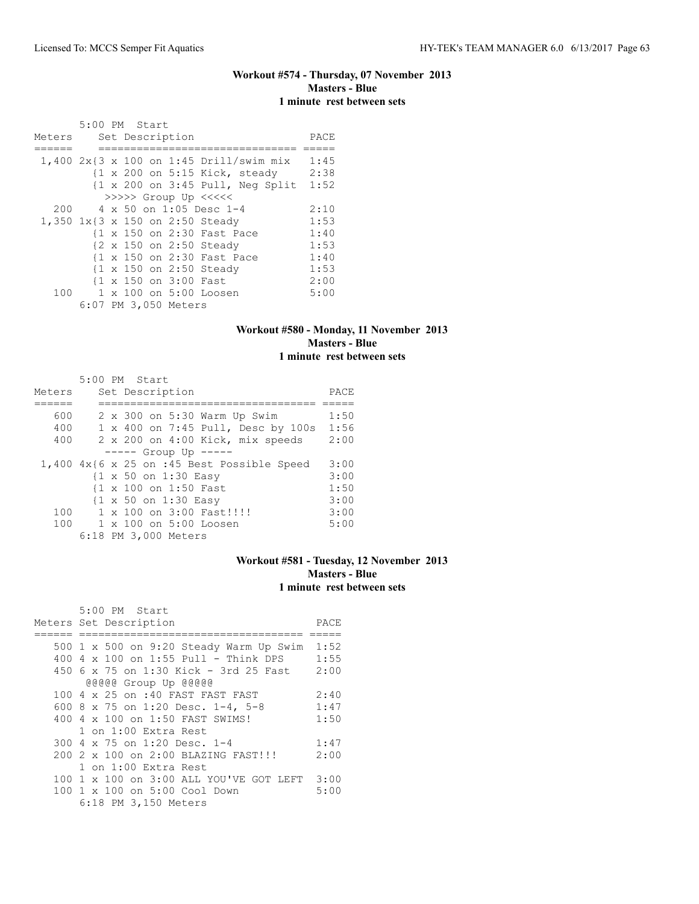## **Workout #574 - Thursday, 07 November 2013 Masters - Blue 1 minute rest between sets**

|        | 5:00 PM Start |  |                       |                                                                    |      |
|--------|---------------|--|-----------------------|--------------------------------------------------------------------|------|
| Meters |               |  | Set Description       |                                                                    | PACE |
|        |               |  |                       |                                                                    |      |
|        |               |  |                       | $1,400$ 2x{3 x 100 on 1:45 Drill/swim mix                          | 1:45 |
|        |               |  |                       | $\{1 \times 200 \text{ on } 5:15 \text{ Kick, steady}\}$           | 2:38 |
|        |               |  |                       | $\{1 \times 200 \text{ on } 3:45 \text{ Pull}, \text{Neg Split}\}$ | 1:52 |
|        |               |  |                       | >>>>> Group Up <<<<<                                               |      |
| 200    |               |  |                       | 4 x 50 on 1:05 Desc 1-4                                            | 2:10 |
|        |               |  |                       | 1,350 1x{3 x 150 on 2:50 Steady                                    | 1:53 |
|        |               |  |                       | {1 x 150 on 2:30 Fast Pace                                         | 1:40 |
|        |               |  |                       | {2 x 150 on 2:50 Steady                                            | 1:53 |
|        |               |  |                       | {1 x 150 on 2:30 Fast Pace                                         | 1:40 |
|        |               |  |                       | {1 x 150 on 2:50 Steady                                            | 1:53 |
|        |               |  | {1 x 150 on 3:00 Fast |                                                                    | 2:00 |
|        |               |  |                       | 100 1 x 100 on 5:00 Loosen                                         | 5:00 |
|        |               |  | 6:07 PM 3,050 Meters  |                                                                    |      |

## **Workout #580 - Monday, 11 November 2013 Masters - Blue 1 minute rest between sets**

|        | 5:00 PM Start                                   |      |
|--------|-------------------------------------------------|------|
| Meters | Set Description                                 | PACE |
|        |                                                 |      |
| 600    | 2 x 300 on 5:30 Warm Up Swim                    | 1:50 |
| 400    | 1 x 400 on 7:45 Pull, Desc by 100s              | 1:56 |
| 400    | 2 x 200 on 4:00 Kick, mix speeds                | 2:00 |
|        | $--- $ Group Up $--- $                          |      |
|        | $1,400$ $4x$ {6 x 25 on :45 Best Possible Speed | 3:00 |
|        | {1 x 50 on 1:30 Easy                            | 3:00 |
|        | {1 x 100 on 1:50 Fast                           | 1:50 |
|        | {1 x 50 on 1:30 Easy                            | 3:00 |
| 100    | $1 \times 100$ on $3:00$ Fast!!!!               | 3:00 |
| 100    | 1 x 100 on 5:00 Loosen                          | 5:00 |
|        | 6:18 PM 3,000 Meters                            |      |

## **Workout #581 - Tuesday, 12 November 2013 Masters - Blue 1 minute rest between sets**

| 5:00 PM Start                                                                           |              |
|-----------------------------------------------------------------------------------------|--------------|
| Meters Set Description                                                                  | PACE         |
| 500 1 x 500 on 9:20 Steady Warm Up Swim<br>400   4   x 100   on 1:55   Pull - Think DPS | 1:52<br>1:55 |
| 450 6 x 75 on 1:30 Kick - 3rd 25 Fast                                                   | 2:00         |
| @@@@@ Group Up @@@@@                                                                    |              |
| 100 4 x 25 on :40 FAST FAST FAST                                                        | 2:40         |
| 600 8 x 75 on 1:20 Desc. 1-4, 5-8                                                       | 1:47         |
| 400 4 x 100 on 1:50 FAST SWIMS!                                                         | 1:50         |
| 1 on 1:00 Extra Rest                                                                    |              |
| 300 4 x 75 on 1:20 Desc. 1-4                                                            | 1:47         |
| 200 2 x 100 on 2:00 BLAZING FAST!!!                                                     | 2:00         |
| 1 on 1:00 Extra Rest                                                                    |              |
| 100 1 x 100 on 3:00 ALL YOU'VE GOT LEFT 3:00                                            |              |
| 100 1 x 100 on 5:00 Cool Down                                                           | 5:00         |
| 6:18 PM 3,150 Meters                                                                    |              |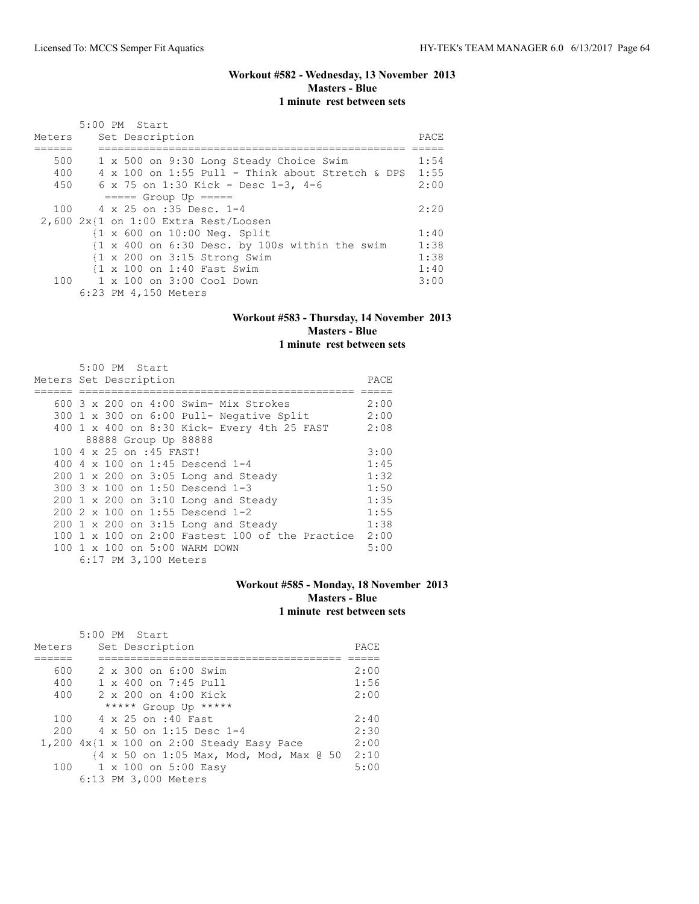## **Workout #582 - Wednesday, 13 November 2013 Masters - Blue 1 minute rest between sets**

| Meters | $5:00$ PM Start<br>Set Description                                                  | PACE |
|--------|-------------------------------------------------------------------------------------|------|
|        |                                                                                     |      |
| 500    | 1 x 500 on 9:30 Long Steady Choice Swim                                             | 1:54 |
| 400    | 4 x 100 on 1:55 Pull - Think about Stretch & DPS                                    | 1:55 |
| 450    | 6 x 75 on 1:30 Kick - Desc 1-3, 4-6                                                 | 2:00 |
|        | $====$ Group Up $====$                                                              |      |
| 100    | 4 x 25 on :35 Desc. 1-4                                                             | 2:20 |
|        | $2,600$ $2x$ {1 on 1:00 Extra Rest/Loosen                                           |      |
|        | {1 x 600 on 10:00 Neg. Split                                                        | 1:40 |
|        | $\{1 \times 400 \text{ on } 6:30 \text{ Desc. by } 100s \text{ within the swim} \}$ | 1:38 |
|        | $\{1 \times 200 \text{ on } 3:15 \text{ Strong } Swim$                              | 1:38 |
|        | {1 x 100 on 1:40 Fast Swim                                                          | 1:40 |
|        | 100 1 x 100 on 3:00 Cool Down                                                       | 3:00 |
|        | 6:23 PM 4,150 Meters                                                                |      |

### **Workout #583 - Thursday, 14 November 2013 Masters - Blue 1 minute rest between sets**

| Meters Set Description | 5:00 PM Start |                         |                                                                     | PACE |
|------------------------|---------------|-------------------------|---------------------------------------------------------------------|------|
|                        |               |                         | 600 $3 \times 200$ on $4:00$ Swim- Mix Strokes                      | 2:00 |
|                        |               |                         | 300 1 x 300 on 6:00 Pull- Negative Split                            | 2:00 |
|                        |               |                         | 400 1 x 400 on 8:30 Kick- Every 4th 25 FAST                         | 2:08 |
|                        |               |                         | 88888 Group Up 88888                                                |      |
|                        |               | 100 4 x 25 on :45 FAST! |                                                                     | 3:00 |
|                        |               |                         | 400 4 x 100 on 1:45 Descend 1-4                                     | 1:45 |
|                        |               |                         | 200 1 x 200 on 3:05 Long and Steady                                 | 1:32 |
|                        |               |                         | 300 3 x 100 on 1:50 Descend 1-3                                     | 1:50 |
|                        |               |                         | $200$ 1 x 200 on 3:10 Long and Steady                               | 1:35 |
|                        |               |                         | 200 2 x 100 on 1:55 Descend 1-2                                     | 1:55 |
|                        |               |                         | 200 1 x 200 on 3:15 Long and Steady                                 | 1:38 |
|                        |               |                         | $100 \text{ 1 x } 100 \text{ on } 2:00$ Fastest 100 of the Practice | 2:00 |
|                        |               |                         | 100 1 x 100 on 5:00 WARM DOWN                                       | 5:00 |
|                        |               | 6:17 PM 3,100 Meters    |                                                                     |      |

## **Workout #585 - Monday, 18 November 2013 Masters - Blue 1 minute rest between sets**

|        | $5:00$ PM Start                                |      |
|--------|------------------------------------------------|------|
| Meters | Set Description                                | PACE |
|        |                                                |      |
| 600    | $2 \times 300$ on $6:00$ Swim                  | 2:00 |
| 400    | $1 \times 400$ on $7:45$ Pull                  | 1:56 |
| 400    | 2 x 200 on 4:00 Kick                           | 2:00 |
|        | ***** Group Up *****                           |      |
| 100    | 4 x 25 on :40 Fast                             | 2:40 |
| 200    | $4 \times 50$ on 1:15 Desc 1-4                 | 2:30 |
|        | $1,200$ $4x$ {1 x 100 on 2:00 Steady Easy Pace | 2:00 |
|        | {4 x 50 on 1:05 Max, Mod, Mod, Max @ 50        | 2:10 |
| 100    | 1 x 100 on 5:00 Easy                           | 5:00 |
|        | 6:13 PM 3,000 Meters                           |      |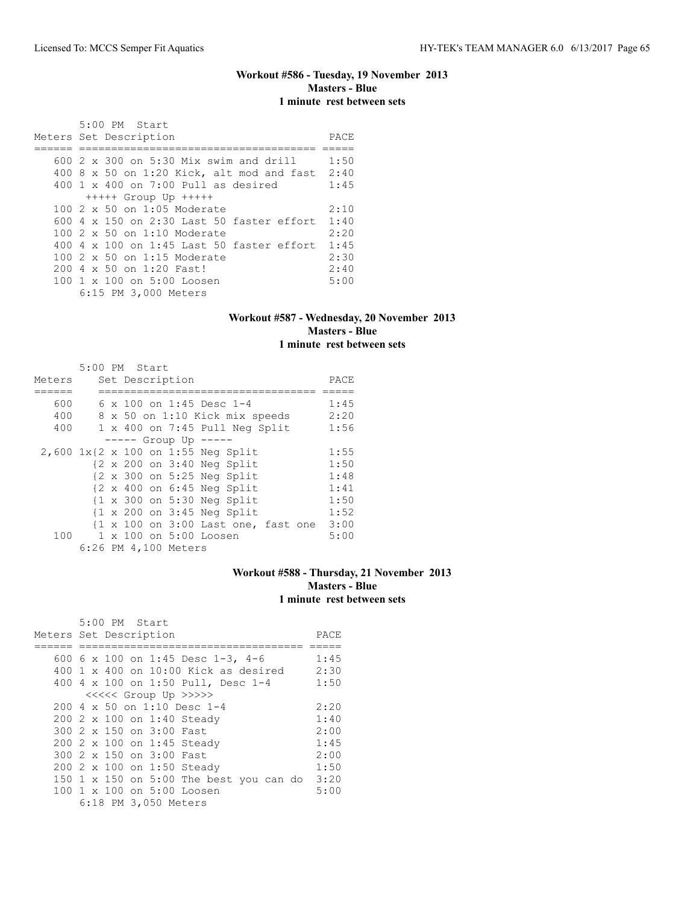## **Workout #586 - Tuesday, 19 November 2013 Masters - Blue 1 minute rest between sets**

| 5:00 PM Start                                    |      |
|--------------------------------------------------|------|
| Meters Set Description                           | PACE |
|                                                  |      |
| 600 $2 \times 300$ on 5:30 Mix swim and drill    | 1:50 |
| $400$ 8 x 50 on 1:20 Kick, alt mod and fast      | 2:40 |
| $400 \t1 x 400$ on 7:00 Pull as desired          | 1:45 |
| $++++$ Group Up $++++$                           |      |
| $100.2 \times 50$ on 1:05 Moderate               | 2:10 |
| 600 4 x 150 on 2:30 Last 50 faster effort        | 1:40 |
| 100 2 x 50 on 1:10 Moderate                      | 2:20 |
| $400.4 \times 100$ on 1:45 Last 50 faster effort | 1:45 |
| 100 2 x 50 on 1:15 Moderate                      | 2:30 |
| 200 4 x 50 on 1:20 Fast!                         | 2:40 |
| 100 1 x 100 on 5:00 Loosen                       | 5:00 |
| 6:15 PM 3,000 Meters                             |      |

### **Workout #587 - Wednesday, 20 November 2013 Masters - Blue 1 minute rest between sets**

|        | 5:00 PM Start |  |                      |                                                                       |      |
|--------|---------------|--|----------------------|-----------------------------------------------------------------------|------|
| Meters |               |  | Set Description      |                                                                       | PACE |
|        |               |  |                      |                                                                       |      |
| 600    |               |  |                      | 6 x 100 on 1:45 Desc 1-4                                              | 1:45 |
| 400    |               |  |                      | 8 x 50 on 1:10 Kick mix speeds                                        | 2:20 |
| 400    |               |  |                      | $1 \times 400$ on 7:45 Pull Neg Split                                 | 1:56 |
|        |               |  |                      | $--- $ Group Up $--- $                                                |      |
|        |               |  |                      | 2,600 1x{2 x 100 on 1:55 Neg Split                                    | 1:55 |
|        |               |  |                      | $\{2 \times 200 \text{ on } 3:40 \text{ Neg Split}\}$                 | 1:50 |
|        |               |  |                      | $\{2 \times 300 \text{ on } 5:25 \text{ Neg Split}\}$                 | 1:48 |
|        |               |  |                      | $\{2 \times 400 \text{ on } 6:45 \text{ Neq Split}\}$                 | 1:41 |
|        |               |  |                      | $\{1 \times 300 \text{ on } 5:30 \text{ Neg Split}\}$                 | 1:50 |
|        |               |  |                      | $\{1 \times 200 \text{ on } 3:45 \text{ Neq Split}\}$                 | 1:52 |
|        |               |  |                      | $\{1 \times 100 \text{ on } 3:00 \text{ Last one}, \text{fast one}\}$ | 3:00 |
|        |               |  |                      | 100 1 x 100 on 5:00 Loosen                                            | 5:00 |
|        |               |  | 6:26 PM 4,100 Meters |                                                                       |      |

### **Workout #588 - Thursday, 21 November 2013 Masters - Blue 1 minute rest between sets**

|                        |  | 5:00 PM Start |                          |                                         |      |
|------------------------|--|---------------|--------------------------|-----------------------------------------|------|
| Meters Set Description |  |               |                          |                                         | PACE |
|                        |  |               |                          |                                         |      |
|                        |  |               |                          | 600 6 x 100 on 1:45 Desc 1-3, 4-6       | 1:45 |
|                        |  |               |                          | 400 1 x 400 on 10:00 Kick as desired    | 2:30 |
|                        |  |               |                          | 400 4 x 100 on 1:50 Pull, Desc 1-4      | 1:50 |
|                        |  |               |                          | <<<<<< Group Up >>>>>                   |      |
|                        |  |               |                          | 200 4 x 50 on 1:10 Desc 1-4             | 2:20 |
|                        |  |               |                          | 200 2 x 100 on 1:40 Steady              | 1:40 |
|                        |  |               | 300 2 x 150 on 3:00 Fast |                                         | 2:00 |
|                        |  |               |                          | 200 2 x 100 on 1:45 Steady              | 1:45 |
|                        |  |               | 300 2 x 150 on 3:00 Fast |                                         | 2:00 |
|                        |  |               |                          | 200 2 x 100 on 1:50 Steady              | 1:50 |
|                        |  |               |                          | 150 1 x 150 on 5:00 The best you can do | 3:20 |
|                        |  |               |                          | 100 1 x 100 on 5:00 Loosen              | 5:00 |
|                        |  |               | 6:18 PM 3,050 Meters     |                                         |      |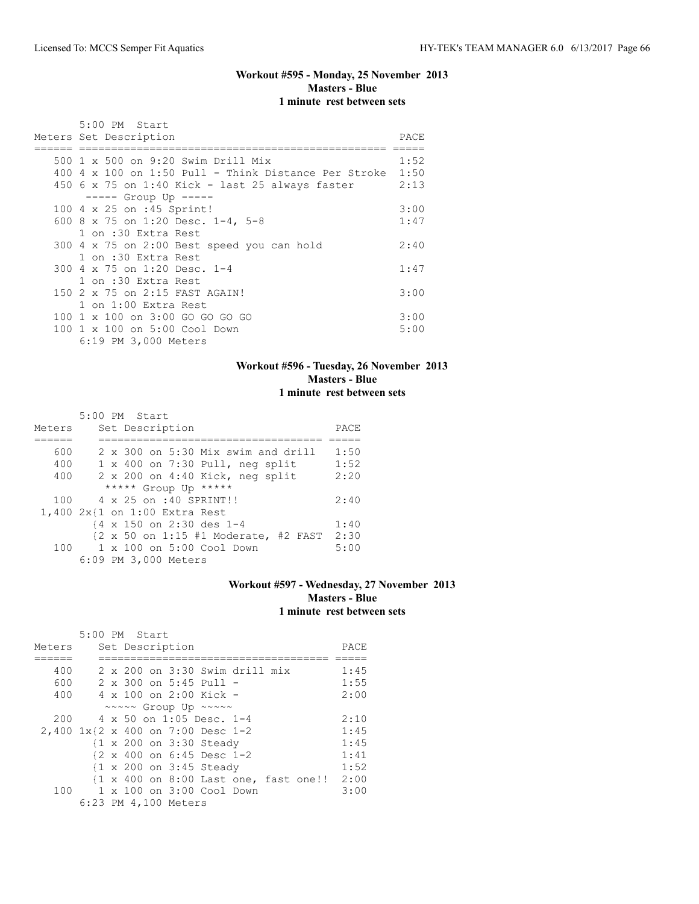## **Workout #595 - Monday, 25 November 2013 Masters - Blue 1 minute rest between sets**

|     | 5:00 PM Start                                          |      |
|-----|--------------------------------------------------------|------|
|     | Meters Set Description                                 | PACE |
|     |                                                        |      |
|     | 500 1 x 500 on 9:20 Swim Drill Mix                     | 1:52 |
| 400 | 4 x 100 on 1:50 Pull - Think Distance Per Stroke       | 1:50 |
|     | 450 $6 \times 75$ on 1:40 Kick - last 25 always faster | 2:13 |
|     | ----- Group Up -----                                   |      |
|     | 100 4 x 25 on :45 Sprint!                              | 3:00 |
|     | 600 8 x 75 on 1:20 Desc. 1-4, 5-8                      | 1:47 |
|     | 1 on :30 Extra Rest                                    |      |
|     | 300 4 x 75 on 2:00 Best speed you can hold             | 2:40 |
|     | 1 on :30 Extra Rest                                    |      |
|     | 300 4 x 75 on 1:20 Desc. 1-4                           | 1:47 |
|     | 1 on :30 Extra Rest                                    |      |
|     | 150 2 x 75 on 2:15 FAST AGAIN!                         | 3:00 |
|     | 1 on 1:00 Extra Rest                                   |      |
|     | 100 1 x 100 on 3:00 GO GO GO GO                        | 3:00 |
|     | 100 1 x 100 on 5:00 Cool Down                          | 5:00 |
|     | 6:19 PM 3,000 Meters                                   |      |

### **Workout #596 - Tuesday, 26 November 2013 Masters - Blue 1 minute rest between sets**

|        | 5:00 PM Start                                                              |      |
|--------|----------------------------------------------------------------------------|------|
| Meters | Set Description                                                            | PACE |
|        |                                                                            |      |
| 600    | $2 \times 300$ on 5:30 Mix swim and drill                                  | 1:50 |
| 400    | $1 \times 400$ on 7:30 Pull, neg split                                     | 1:52 |
| 400    | 2 x 200 on 4:40 Kick, neg split                                            | 2:20 |
|        | ***** Group Up *****                                                       |      |
| 100    | 4 x 25 on :40 SPRINT!!                                                     | 2:40 |
|        | 1,400 2x{1 on 1:00 Extra Rest                                              |      |
|        | {4 x 150 on 2:30 des 1-4                                                   | 1:40 |
|        | $\{2 \times 50 \text{ on } 1:15 \#1 \text{ Moderate, } \#2 \text{ FAST}\}$ | 2:30 |
| 100    | 1 x 100 on 5:00 Cool Down                                                  | 5:00 |
|        | 6:09 PM 3,000 Meters                                                       |      |

## **Workout #597 - Wednesday, 27 November 2013 Masters - Blue 1 minute rest between sets**

|                                   | 5:00 PM Start |  |                      |                                                     |                                |                                            |      |
|-----------------------------------|---------------|--|----------------------|-----------------------------------------------------|--------------------------------|--------------------------------------------|------|
| Meters                            |               |  | Set Description      |                                                     |                                |                                            | PACE |
|                                   |               |  |                      |                                                     |                                |                                            |      |
| 400                               |               |  |                      |                                                     | 2 x 200 on 3:30 Swim drill mix |                                            | 1:45 |
| 600                               |               |  |                      | $2 \times 300$ on 5:45 Pull -                       |                                |                                            | 1:55 |
| 400                               |               |  |                      | $4 \times 100$ on 2:00 Kick -                       |                                |                                            | 2:00 |
|                                   |               |  |                      | ~~~~~ Group Up ~~~~~                                |                                |                                            |      |
| 200                               |               |  |                      | 4 x 50 on 1:05 Desc. 1-4                            |                                |                                            | 2:10 |
| 2,400 1x{2 x 400 on 7:00 Desc 1-2 |               |  |                      |                                                     |                                |                                            | 1:45 |
|                                   |               |  |                      | {1 x 200 on 3:30 Steady                             |                                |                                            | 1:45 |
|                                   |               |  |                      | $\{2 \times 400 \text{ on } 6:45 \text{ Desc } 1-2$ |                                |                                            | 1:41 |
|                                   |               |  |                      | {1 x 200 on 3:45 Steady                             |                                |                                            | 1:52 |
|                                   |               |  |                      |                                                     |                                | {1 x 400 on 8:00 Last one, fast one!! 2:00 |      |
|                                   |               |  |                      | 100 1 x 100 on 3:00 Cool Down                       |                                |                                            | 3:00 |
|                                   |               |  | 6:23 PM 4,100 Meters |                                                     |                                |                                            |      |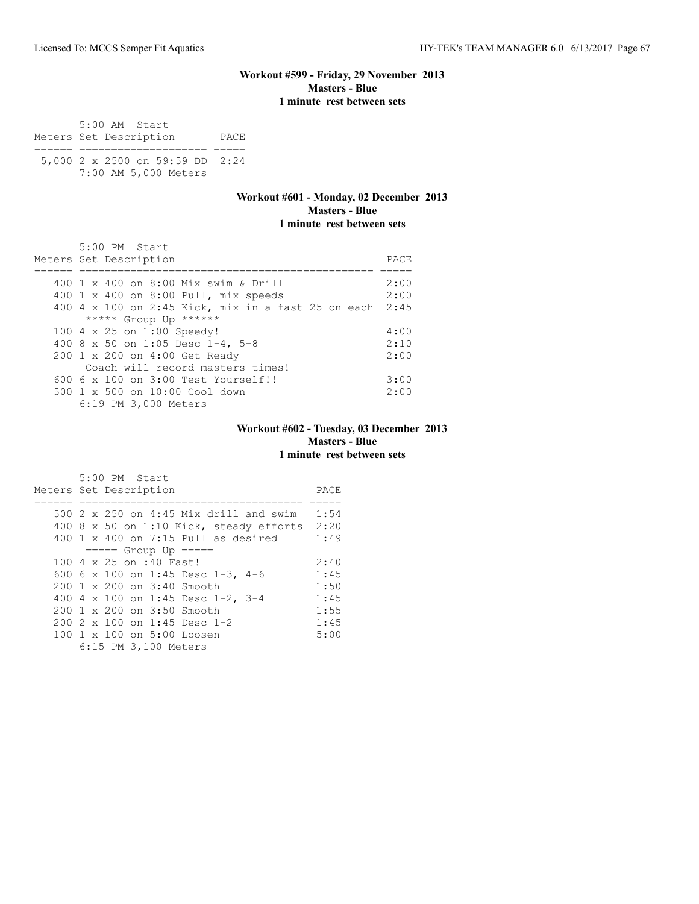### **Workout #599 - Friday, 29 November 2013 Masters - Blue 1 minute rest between sets**

 5:00 AM Start Meters Set Description PACE ====== ==================== ===== 5,000 2 x 2500 on 59:59 DD 2:24 7:00 AM 5,000 Meters

### **Workout #601 - Monday, 02 December 2013 Masters - Blue 1 minute rest between sets**

| 5:00 PM Start                                           |      |
|---------------------------------------------------------|------|
| Meters Set Description                                  | PACE |
|                                                         |      |
| 400 1 x 400 on 8:00 Mix swim & Drill                    | 2:00 |
| 400 1 x 400 on 8:00 Pull, mix speeds                    | 2:00 |
| 400 4 x 100 on 2:45 Kick, mix in a fast 25 on each 2:45 |      |
| ***** Group Up ******                                   |      |
| 100 4 x 25 on 1:00 Speedy!                              | 4:00 |
| 400 8 x 50 on 1:05 Desc 1-4, 5-8                        | 2:10 |
| 200 1 x 200 on 4:00 Get Ready                           | 2:00 |
| Coach will record masters times!                        |      |
| $6006 \times 100$ on $3:00$ Test Yourself!!             | 3:00 |
| $500 \t 1 \t x \t 500$ on $10:00$ Cool down             | 2:00 |
| 6:19 PM 3,000 Meters                                    |      |

## **Workout #602 - Tuesday, 03 December 2013 Masters - Blue 1 minute rest between sets**

| 5:00 PM Start                           |      |
|-----------------------------------------|------|
| Meters Set Description                  | PACE |
|                                         |      |
| 500 2 x 250 on 4:45 Mix drill and swim  | 1:54 |
| 400 8 x 50 on 1:10 Kick, steady efforts | 2:20 |
| $400$ 1 x $400$ on 7:15 Pull as desired | 1:49 |
| $== == $ Group Up $== == $              |      |
| 100 4 x 25 on :40 Fast!                 | 2:40 |
| 600 6 x 100 on 1:45 Desc 1-3, 4-6       | 1:45 |
| $200 \t 1 \times 200$ on $3:40$ Smooth  | 1:50 |
| 400 4 x 100 on 1:45 Desc 1-2, 3-4       | 1:45 |
| $200 \t1 x 200$ on $3:50$ Smooth        | 1:55 |
| 200 2 x 100 on 1:45 Desc 1-2            | 1:45 |
| 100 1 x 100 on 5:00 Loosen              | 5:00 |
| 6:15 PM 3,100 Meters                    |      |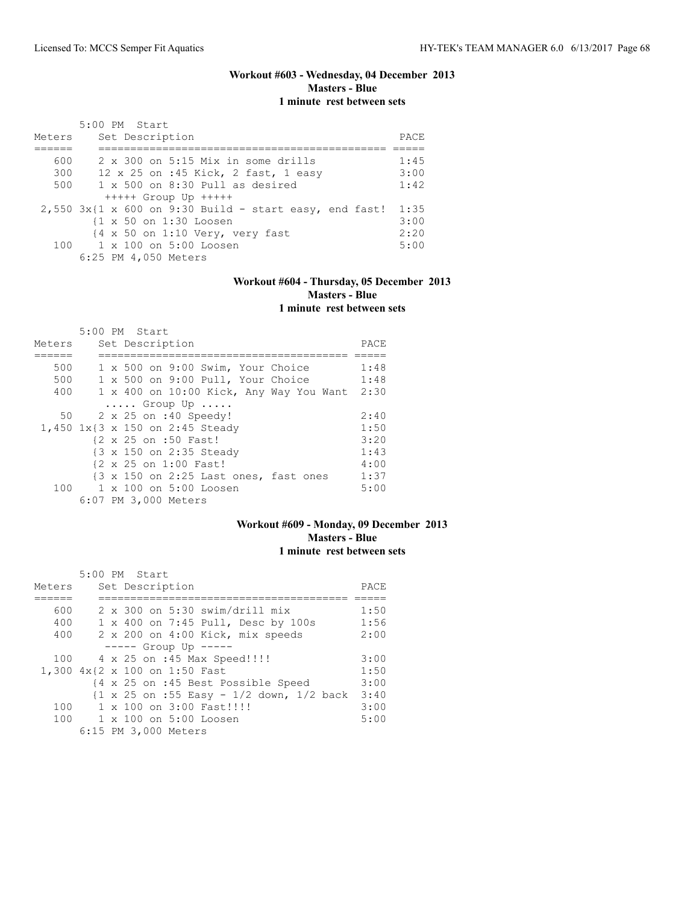## **Workout #603 - Wednesday, 04 December 2013 Masters - Blue 1 minute rest between sets**

|        | 5:00 PM Start                                              |      |
|--------|------------------------------------------------------------|------|
| Meters | Set Description                                            | PACE |
|        |                                                            |      |
| 600    | 2 x 300 on 5:15 Mix in some drills                         | 1:45 |
| 300    | 12 x 25 on :45 Kick, 2 fast, 1 easy                        | 3:00 |
| 500    | $1 \times 500$ on 8:30 Pull as desired                     | 1:42 |
|        | $++++$ Group Up $++++$                                     |      |
|        | $2,550$ 3x{1 x 600 on 9:30 Build - start easy, end fast!   | 1:35 |
|        | {1 x 50 on 1:30 Loosen                                     | 3:00 |
|        | $\{4 \times 50 \text{ on } 1:10 \text{ Very, very fast}\}$ | 2:20 |
|        | $100 \t 1 \times 100$ on $5:00$ Loosen                     | 5:00 |
|        | 6:25 PM 4,050 Meters                                       |      |

## **Workout #604 - Thursday, 05 December 2013 Masters - Blue 1 minute rest between sets**

|        | 5:00 PM Start                           |      |
|--------|-----------------------------------------|------|
| Meters | Set Description                         | PACE |
|        |                                         |      |
| 500    | 1 x 500 on 9:00 Swim, Your Choice       | 1:48 |
| 500    | 1 x 500 on 9:00 Pull, Your Choice       | 1:48 |
| 400    | 1 x 400 on 10:00 Kick, Any Way You Want | 2:30 |
|        | $\ldots$ . Group Up $\ldots$ .          |      |
| 50     | 2 x 25 on :40 Speedy!                   | 2:40 |
|        | 1,450 1x{3 x 150 on 2:45 Steady         | 1:50 |
|        | {2 x 25 on :50 Fast!                    | 3:20 |
|        | {3 x 150 on 2:35 Steady                 | 1:43 |
|        | {2 x 25 on 1:00 Fast!                   | 4:00 |
|        | {3 x 150 on 2:25 Last ones, fast ones   | 1:37 |
|        | 100 1 x 100 on 5:00 Loosen              | 5:00 |
|        | 6:07 PM 3,000 Meters                    |      |

## **Workout #609 - Monday, 09 December 2013 Masters - Blue 1 minute rest between sets**

|        | 5:00 PM Start                                |      |
|--------|----------------------------------------------|------|
| Meters | Set Description                              | PACE |
|        |                                              |      |
| 600    | $2 \times 300$ on 5:30 swim/drill mix        | 1:50 |
| 400    | 1 x 400 on 7:45 Pull, Desc by 100s           | 1:56 |
| 400    | 2 x 200 on 4:00 Kick, mix speeds             | 2:00 |
|        | $--- -$ Group Up $--- -$                     |      |
| 100    | 4 x 25 on :45 Max Speed!!!!                  | 3:00 |
|        | 1,300 4x{2 x 100 on 1:50 Fast                | 1:50 |
|        | {4 x 25 on :45 Best Possible Speed           | 3:00 |
|        | ${1 x 25 on : 55 Easy - 1/2 down, 1/2 back}$ | 3:40 |
| 100    | $1 \times 100$ on $3:00$ Fast!!!!            | 3:00 |
|        | 100 1 x 100 on 5:00 Loosen                   | 5:00 |
|        | 6:15 PM 3,000 Meters                         |      |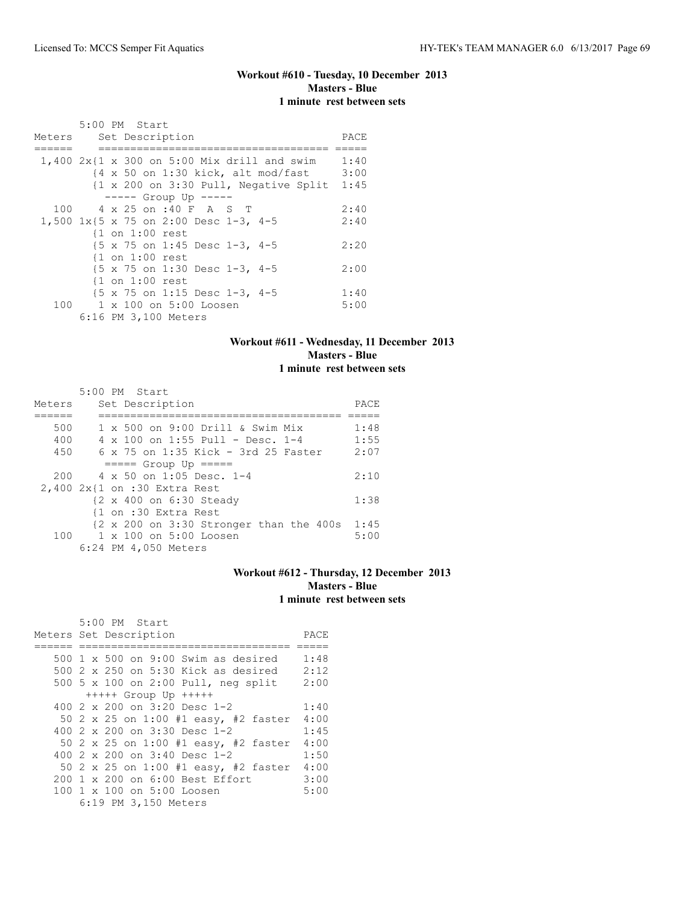## **Workout #610 - Tuesday, 10 December 2013 Masters - Blue 1 minute rest between sets**

|        | 5:00 PM Start                                                                                                                                                                                      |                      |
|--------|----------------------------------------------------------------------------------------------------------------------------------------------------------------------------------------------------|----------------------|
| Meters | Set Description                                                                                                                                                                                    | PACE                 |
|        | $1,400$ 2x{1 x 300 on 5:00 Mix drill and swim<br>$\{4 \times 50 \text{ on } 1:30 \text{ kick}, \text{ alt mod/fast}\}$<br>$\{1 \times 200 \text{ on } 3:30 \text{ Pull}, \text{ Negative Split}\}$ | 1:40<br>3:00<br>1:45 |
|        | $--- $ Group Up $---$                                                                                                                                                                              |                      |
| 100    | 4 x 25 on :40 F A S T                                                                                                                                                                              | 2:40                 |
|        | 1,500 1x{5 x 75 on 2:00 Desc 1-3, 4-5                                                                                                                                                              | 2:40                 |
|        | $\{1$ on $1:00$ rest                                                                                                                                                                               |                      |
|        | {5 x 75 on 1:45 Desc 1-3, 4-5                                                                                                                                                                      | 2:20                 |
|        | $\{1$ on $1:00$ rest                                                                                                                                                                               |                      |
|        | {5 x 75 on 1:30 Desc 1-3, 4-5                                                                                                                                                                      | 2:00                 |
|        | $\{1$ on $1:00$ rest                                                                                                                                                                               |                      |
|        | $\{5 \times 75 \text{ on } 1:15 \text{ Desc } 1-3, 4-5$                                                                                                                                            | 1:40                 |
| 100    | 1 x 100 on 5:00 Loosen                                                                                                                                                                             | 5:00                 |
|        | 6:16 PM 3,100 Meters                                                                                                                                                                               |                      |

### **Workout #611 - Wednesday, 11 December 2013 Masters - Blue 1 minute rest between sets**

|        | 5:00 PM Start                                                                   |      |
|--------|---------------------------------------------------------------------------------|------|
| Meters | Set Description                                                                 | PACE |
|        |                                                                                 |      |
| 500    | $1 \times 500$ on 9:00 Drill & Swim Mix                                         | 1:48 |
| 400    | $4 \times 100$ on 1:55 Pull - Desc. 1-4                                         | 1:55 |
| 450    | $6 \times 75$ on 1:35 Kick - 3rd 25 Faster                                      | 2:07 |
|        | $====$ Group Up $====$                                                          |      |
| 200    | $4 \times 50$ on 1:05 Desc. 1-4                                                 | 2:10 |
|        | 2,400 2x{1 on :30 Extra Rest                                                    |      |
|        | {2 x 400 on 6:30 Steady                                                         | 1:38 |
|        | {1 on :30 Extra Rest                                                            |      |
|        | $\{2 \times 200 \text{ on } 3:30 \text{ stronger than the } 400s \text{ } 1:45$ |      |
|        | $100 \t 1 \times 100$ on $5:00$ Loosen                                          | 5:00 |
|        | 6:24 PM 4,050 Meters                                                            |      |

### **Workout #612 - Thursday, 12 December 2013 Masters - Blue 1 minute rest between sets**

| 5:00 PM Start                                          |      |
|--------------------------------------------------------|------|
| Meters Set Description                                 | PACE |
|                                                        |      |
| 500 1 x 500 on 9:00 Swim as desired                    | 1:48 |
| 500 2 x 250 on 5:30 Kick as desired                    | 2:12 |
| 500 5 x 100 on 2:00 Pull, neg split                    | 2:00 |
| $++++$ Group Up $++++$                                 |      |
| 400 $2 \times 200$ on $3:20$ Desc 1-2                  | 1:40 |
| 50 2 x 25 on 1:00 #1 easy, #2 faster                   | 4:00 |
| 400 $2 \times 200$ on $3:30$ Desc 1-2                  | 1:45 |
| 50 2 x 25 on 1:00 #1 easy, #2 faster                   | 4:00 |
| 400 2 x 200 on 3:40 Desc 1-2                           | 1:50 |
| 50 2 x 25 on 1:00 #1 easy, #2 faster                   | 4:00 |
| 200 1 x 200 on 6:00 Best Effort                        | 3:00 |
| $100 \text{ 1 x } 100 \text{ on } 5:00 \text{ Loosen}$ | 5:00 |
| 6:19 PM 3,150 Meters                                   |      |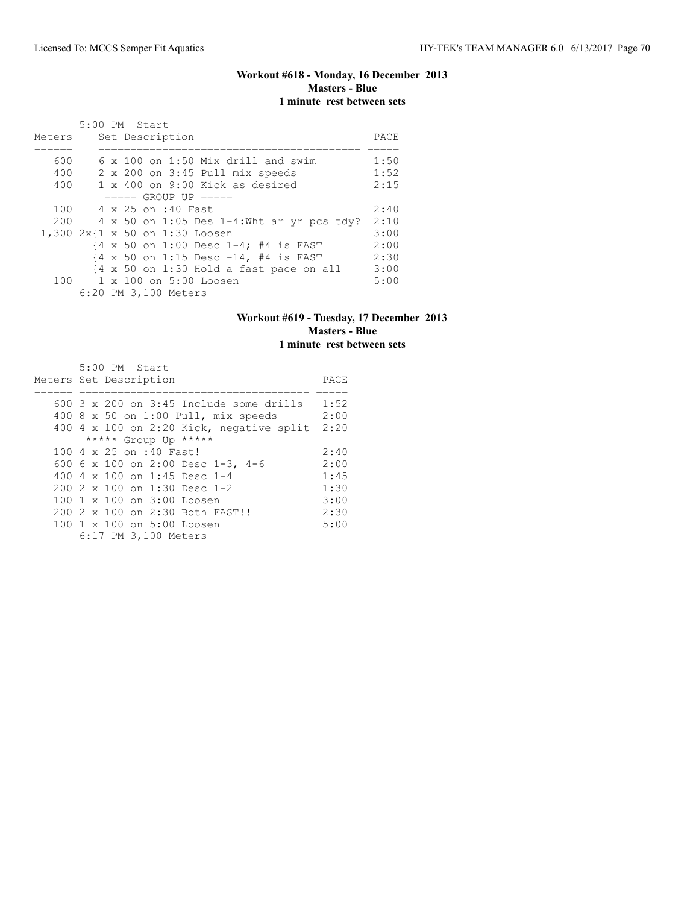## **Workout #618 - Monday, 16 December 2013 Masters - Blue 1 minute rest between sets**

|        |  | 5:00 PM Start        |                                                                            |      |
|--------|--|----------------------|----------------------------------------------------------------------------|------|
| Meters |  | Set Description      |                                                                            | PACE |
|        |  |                      |                                                                            |      |
| 600    |  |                      | $6 \times 100$ on 1:50 Mix drill and swim                                  | 1:50 |
| 400    |  |                      | 2 x 200 on 3:45 Pull mix speeds                                            | 1:52 |
| 400    |  |                      | 1 x 400 on 9:00 Kick as desired                                            | 2:15 |
|        |  |                      | $====$ GROUP UP $====$                                                     |      |
| 100    |  | 4 x 25 on :40 Fast   |                                                                            | 2:40 |
| 200    |  |                      | $4 \times 50$ on 1:05 Des 1-4:Wht ar yr pcs tdy?                           | 2:10 |
|        |  |                      | 1,300 2x{1 x 50 on 1:30 Loosen                                             | 3:00 |
|        |  |                      | $\{4 \times 50 \text{ on } 1:00 \text{ Desc } 1-4; \#4 \text{ is FAST} \}$ | 2:00 |
|        |  |                      | $\{4 \times 50 \text{ on } 1:15 \text{ Desc } -14, 44 \text{ is FAST} \}$  | 2:30 |
|        |  |                      | $\{4 \times 50 \text{ on } 1:30 \text{ Hold a fast pace on all}\}$         | 3:00 |
|        |  |                      | 100 1 x 100 on 5:00 Loosen                                                 | 5:00 |
|        |  | 6:20 PM 3,100 Meters |                                                                            |      |

### **Workout #619 - Tuesday, 17 December 2013 Masters - Blue 1 minute rest between sets**

| 5:00 PM Start                                    |      |
|--------------------------------------------------|------|
| Meters Set Description                           | PACE |
|                                                  |      |
| 600 $3 \times 200$ on $3:45$ Include some drills | 1:52 |
| 400 8 x 50 on 1:00 Pull, mix speeds              | 2:00 |
| 400 4 x 100 on 2:20 Kick, negative split         | 2:20 |
| ***** Group Up *****                             |      |
| 100 4 x 25 on :40 Fast!                          | 2:40 |
| 600 6 x 100 on 2:00 Desc 1-3, 4-6                | 2:00 |
| 400 4 $\times$ 100 on 1:45 Desc 1-4              | 1:45 |
| 200 2 x 100 on 1:30 Desc 1-2                     | 1:30 |
| 100 1 x 100 on 3:00 Loosen                       | 3:00 |
| 200 2 x 100 on 2:30 Both FAST!!                  | 2:30 |
| 100 1 x 100 on 5:00 Loosen                       | 5:00 |
| 6:17 PM 3,100 Meters                             |      |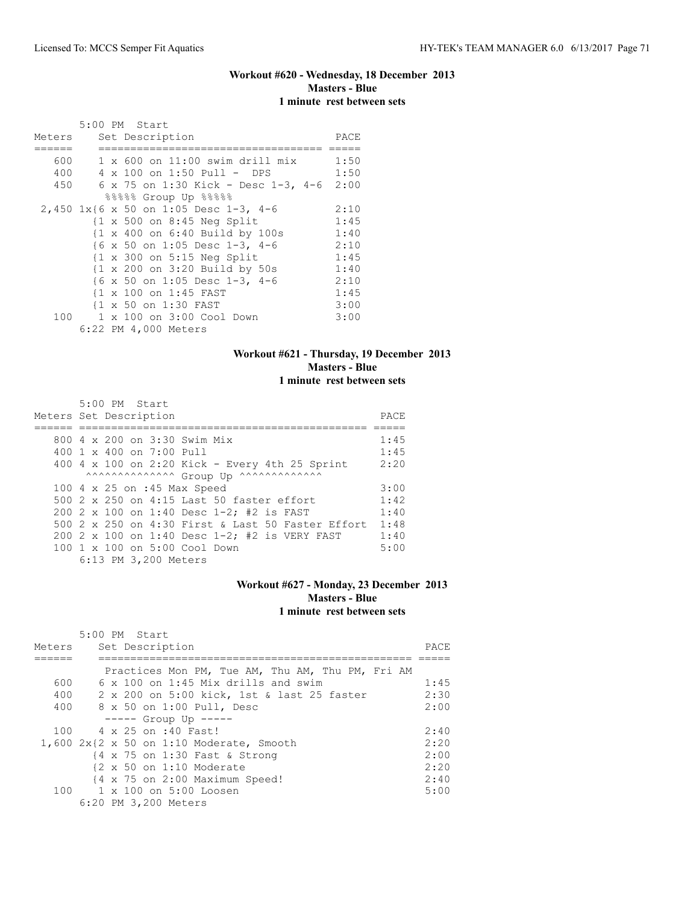## **Workout #620 - Wednesday, 18 December 2013 Masters - Blue 1 minute rest between sets**

|        |  | 5:00 PM Start                                              |      |
|--------|--|------------------------------------------------------------|------|
| Meters |  | Set Description                                            | PACE |
|        |  |                                                            |      |
| 600    |  | $1 \times 600$ on $11:00$ swim drill mix                   | 1:50 |
| 400    |  | 4 x 100 on 1:50 Pull - DPS                                 | 1:50 |
| 450    |  | $6 \times 75$ on 1:30 Kick - Desc 1-3, 4-6                 | 2:00 |
|        |  | 88888 Group Up 88888                                       |      |
|        |  | 2,450 1x{6 x 50 on 1:05 Desc 1-3, 4-6                      | 2:10 |
|        |  | $\{1 \times 500$ on 8:45 Neg Split                         | 1:45 |
|        |  | $\{1 \times 400 \text{ on } 6:40 \text{ Build by } 100s\}$ | 1:40 |
|        |  | $\{6 \times 50 \text{ on } 1:05 \text{ Desc } 1-3, 4-6$    | 2:10 |
|        |  | $\{1 \times 300 \text{ on } 5:15 \text{ Neg Split}\}$      | 1:45 |
|        |  | {1 x 200 on 3:20 Build by 50s                              | 1:40 |
|        |  | {6 x 50 on 1:05 Desc 1-3, 4-6                              | 2:10 |
|        |  | {1 x 100 on 1:45 FAST                                      | 1:45 |
|        |  | {1 x 50 on 1:30 FAST                                       | 3:00 |
| 100    |  | 1 x 100 on 3:00 Cool Down                                  | 3:00 |
|        |  | 6:22 PM 4,000 Meters                                       |      |

### **Workout #621 - Thursday, 19 December 2013 Masters - Blue 1 minute rest between sets**

| 5:00 PM Start                                     |      |
|---------------------------------------------------|------|
| Meters Set Description                            | PACE |
|                                                   |      |
| 800 4 x 200 on 3:30 Swim Mix                      | 1:45 |
| $400 \t1 x 400$ on $7:00$ Pull                    | 1:45 |
| 400 4 x 100 on 2:20 Kick - Every 4th 25 Sprint    | 2:20 |
| AAAAAAAAAAAAAA Group Up ^^^^^^^^^^^^^^^^^         |      |
| 100 4 x 25 on :45 Max Speed                       | 3:00 |
| 500 2 x 250 on 4:15 Last 50 faster effort         | 1:42 |
| 200 2 x 100 on 1:40 Desc 1-2; #2 is FAST          | 1:40 |
| 500 2 x 250 on 4:30 First & Last 50 Faster Effort | 1:48 |
| 200 2 x 100 on 1:40 Desc $1-2$ : #2 is VERY FAST  | 1:40 |
| $100 \t 1 \t x \t 100$ on 5:00 Cool Down          | 5:00 |
| 6:13 PM 3,200 Meters                              |      |

### **Workout #627 - Monday, 23 December 2013 Masters - Blue 1 minute rest between sets**

|        | 5:00 PM Start                                       |      |
|--------|-----------------------------------------------------|------|
| Meters | Set Description                                     | PACE |
|        |                                                     |      |
|        | Practices Mon PM, Tue AM, Thu AM, Thu PM, Fri AM    |      |
| 600    | $6 \times 100$ on 1:45 Mix drills and swim          | 1:45 |
| 400    | 2 x 200 on 5:00 kick, 1st & last 25 faster          | 2:30 |
| 400    | 8 x 50 on 1:00 Pull, Desc                           | 2:00 |
|        | $--- $ Group Up $--- $                              |      |
| 100    | 4 x 25 on :40 Fast!                                 | 2:40 |
|        | $1,600$ $2x$ { $2x$ 50 on 1:10 Moderate, Smooth     | 2:20 |
|        | {4 x 75 on 1:30 Fast & Strong                       | 2:00 |
|        | $\{2 \times 50 \text{ on } 1:10 \text{ Moderate}\}$ | 2:20 |
|        | {4 x 75 on 2:00 Maximum Speed!                      | 2:40 |
|        | $100 \t 1 \times 100$ on $5:00$ Loosen              | 5:00 |
|        | 6:20 PM 3,200 Meters                                |      |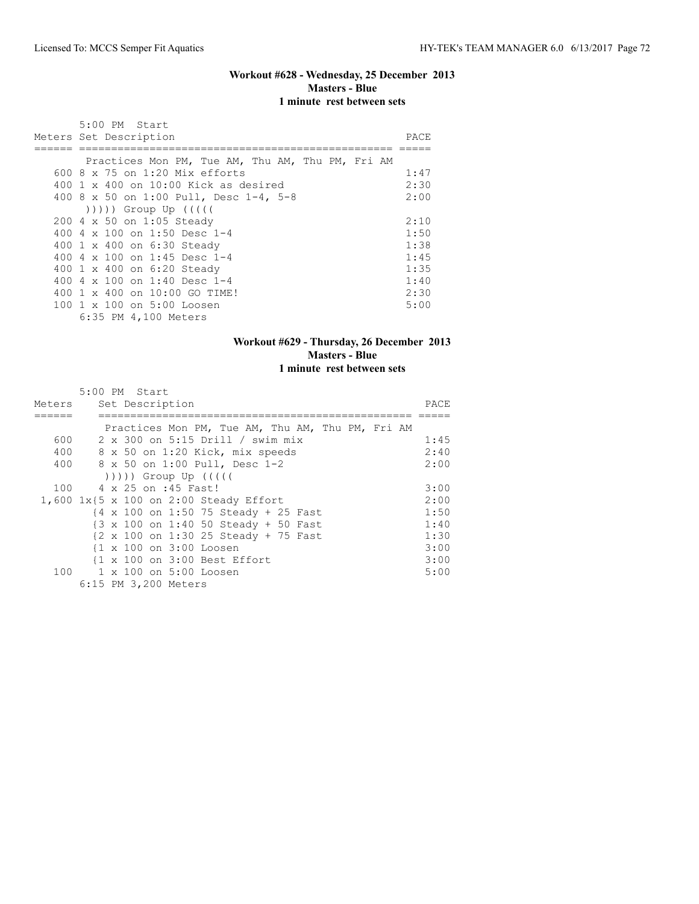## **Workout #628 - Wednesday, 25 December 2013 Masters - Blue 1 minute rest between sets**

| 5:00 PM Start                                                                                                                                                                                                                |      |
|------------------------------------------------------------------------------------------------------------------------------------------------------------------------------------------------------------------------------|------|
| Meters Set Description                                                                                                                                                                                                       | PACE |
|                                                                                                                                                                                                                              |      |
| Practices Mon PM, Tue AM, Thu AM, Thu PM, Fri AM<br>600 $8 \times 75$ on 1:20 Mix efforts                                                                                                                                    | 1:47 |
| $400 \t1 x 400$ on $10:00$ Kick as desired                                                                                                                                                                                   | 2:30 |
| 400 8 x 50 on 1:00 Pull, Desc 1-4, 5-8                                                                                                                                                                                       | 2:00 |
| $($ $($ $($ $($ $($ $($ $))$ $)$ $)$ $($ $)$ $($ $)$ $($ $)$ $($ $)$ $($ $)$ $($ $)$ $($ $)$ $($ $)$ $($ $)$ $($ $)$ $($ $)$ $($ $)$ $($ $)$ $($ $)$ $($ $)$ $($ $)$ $($ $)$ $($ $)$ $($ $)$ $($ $)$ $($ $)$ $($ $)$ $($ $)$ |      |
| 200 4 x 50 on 1:05 Steady                                                                                                                                                                                                    | 2:10 |
| 400 4 x 100 on 1:50 Desc 1-4                                                                                                                                                                                                 | 1:50 |
| 400 1 x 400 on 6:30 Steady                                                                                                                                                                                                   | 1:38 |
| 400 4 x 100 on 1:45 Desc 1-4                                                                                                                                                                                                 | 1:45 |
| 400 1 x 400 on 6:20 Steady                                                                                                                                                                                                   | 1:35 |
| 400 4 x 100 on 1:40 Desc 1-4                                                                                                                                                                                                 | 1:40 |
| 400 1 x 400 on 10:00 GO TIME!                                                                                                                                                                                                | 2:30 |
| 100 1 x 100 on 5:00 Loosen                                                                                                                                                                                                   | 5:00 |
| 6:35 PM 4,100 Meters                                                                                                                                                                                                         |      |

## **Workout #629 - Thursday, 26 December 2013 Masters - Blue 1 minute rest between sets**

|        | 5:00 PM Start                                                              |      |
|--------|----------------------------------------------------------------------------|------|
| Meters | Set Description                                                            | PACE |
|        |                                                                            |      |
|        | Practices Mon PM, Tue AM, Thu AM, Thu PM, Fri AM                           |      |
| 600    | 2 x 300 on 5:15 Drill / swim mix                                           | 1:45 |
| 400    | 8 x 50 on 1:20 Kick, mix speeds                                            | 2:40 |
| 400    | 8 x 50 on 1:00 Pull, Desc 1-2                                              | 2:00 |
|        |                                                                            |      |
| 100    | 4 x 25 on :45 Fast!                                                        | 3:00 |
|        | 1,600 1x{5 x 100 on 2:00 Steady Effort                                     | 2:00 |
|        | {4 x 100 on 1:50 75 Steady + 25 Fast                                       | 1:50 |
|        | $\{3 \times 100 \text{ on } 1:40\}$ 50 Steady + 50 Fast                    | 1:40 |
|        | $\{2 \times 100 \text{ on } 1:30\ 25 \text{ Steady } + 75 \text{ Fast} \}$ | 1:30 |
|        | {1 x 100 on 3:00 Loosen                                                    | 3:00 |
|        | {1 x 100 on 3:00 Best Effort                                               | 3:00 |
| 100    | 1 x 100 on 5:00 Loosen                                                     | 5:00 |
|        | 6:15 PM 3,200 Meters                                                       |      |